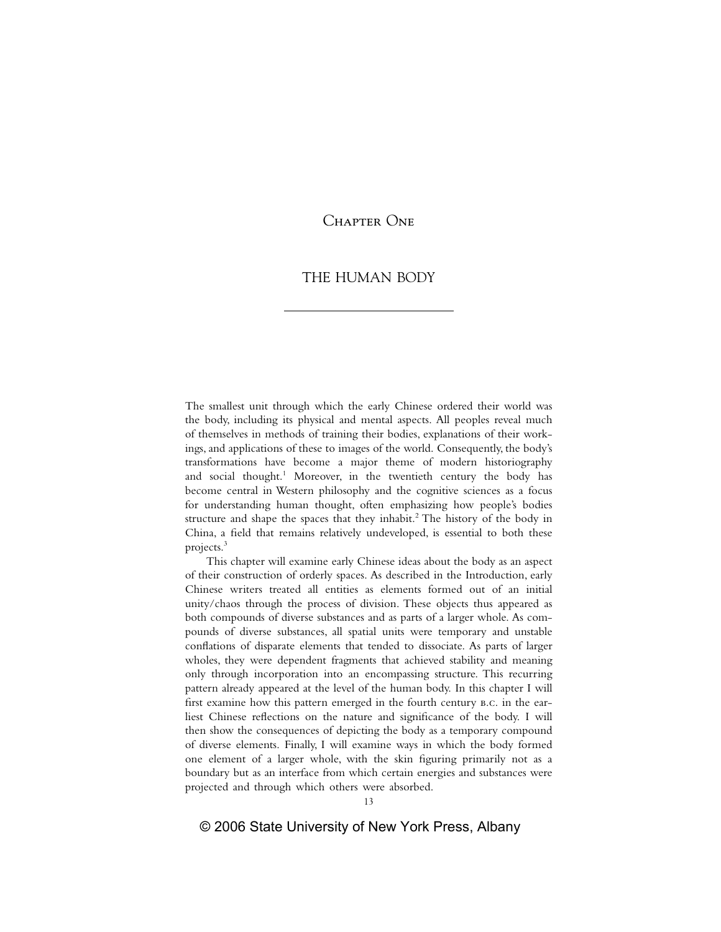# CHAPTER ONE

# THE HUMAN BODY

The smallest unit through which the early Chinese ordered their world was the body, including its physical and mental aspects. All peoples reveal much of themselves in methods of training their bodies, explanations of their workings, and applications of these to images of the world. Consequently, the body's transformations have become a major theme of modern historiography and social thought.<sup>1</sup> Moreover, in the twentieth century the body has become central in Western philosophy and the cognitive sciences as a focus for understanding human thought, often emphasizing how people's bodies structure and shape the spaces that they inhabit.<sup>2</sup> The history of the body in China, a field that remains relatively undeveloped, is essential to both these projects.<sup>3</sup>

This chapter will examine early Chinese ideas about the body as an aspect of their construction of orderly spaces. As described in the Introduction, early Chinese writers treated all entities as elements formed out of an initial unity/chaos through the process of division. These objects thus appeared as both compounds of diverse substances and as parts of a larger whole. As compounds of diverse substances, all spatial units were temporary and unstable conflations of disparate elements that tended to dissociate. As parts of larger wholes, they were dependent fragments that achieved stability and meaning only through incorporation into an encompassing structure. This recurring pattern already appeared at the level of the human body. In this chapter I will first examine how this pattern emerged in the fourth century b.c. in the earliest Chinese reflections on the nature and significance of the body. I will then show the consequences of depicting the body as a temporary compound of diverse elements. Finally, I will examine ways in which the body formed one element of a larger whole, with the skin figuring primarily not as a boundary but as an interface from which certain energies and substances were projected and through which others were absorbed.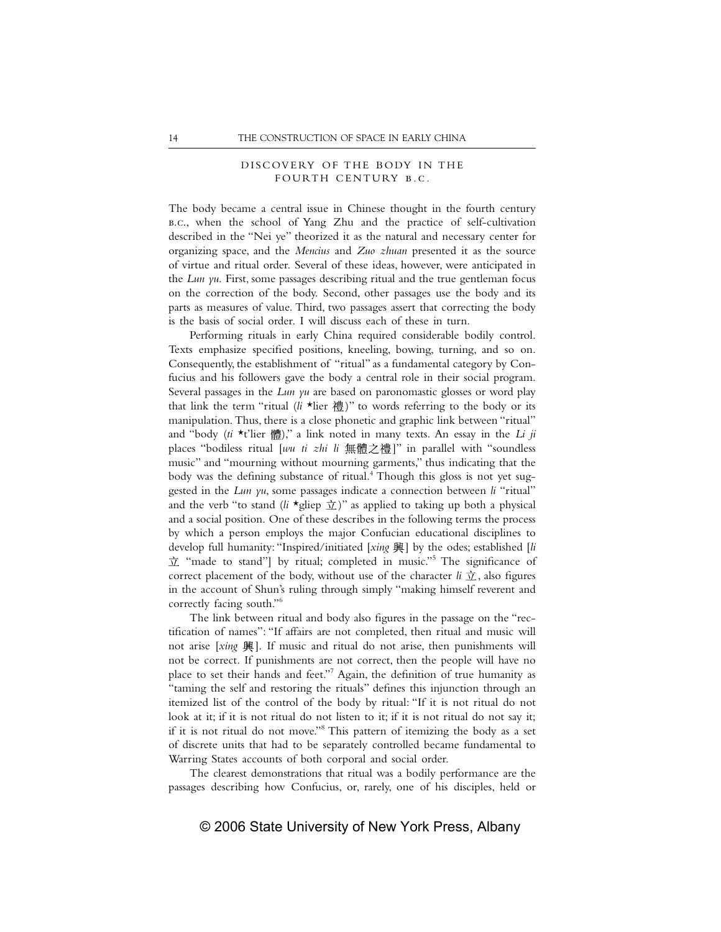#### DISCOVERY OF THE BODY IN THE FOURTH CENTURY B.C.

The body became a central issue in Chinese thought in the fourth century b.c., when the school of Yang Zhu and the practice of self-cultivation described in the "Nei ye" theorized it as the natural and necessary center for organizing space, and the *Mencius* and *Zuo zhuan* presented it as the source of virtue and ritual order. Several of these ideas, however, were anticipated in the *Lun yu*. First, some passages describing ritual and the true gentleman focus on the correction of the body. Second, other passages use the body and its parts as measures of value. Third, two passages assert that correcting the body is the basis of social order. I will discuss each of these in turn.

Performing rituals in early China required considerable bodily control. Texts emphasize specified positions, kneeling, bowing, turning, and so on. Consequently, the establishment of "ritual" as a fundamental category by Confucius and his followers gave the body a central role in their social program. Several passages in the *Lun yu* are based on paronomastic glosses or word play that link the term "ritual ( $li$ <sup>\*</sup>lier 禮)" to words referring to the body or its manipulation. Thus, there is a close phonetic and graphic link between "ritual" and "body ( $ti \star t$ 'lier  $m$ )," a link noted in many texts. An essay in the *Li ji* places "bodiless ritual [wu ti zhi li 無體之禮]" in parallel with "soundless music" and "mourning without mourning garments," thus indicating that the body was the defining substance of ritual.<sup>4</sup> Though this gloss is not yet suggested in the *Lun yu*, some passages indicate a connection between *li* "ritual" and the verb "to stand (*li*  $\star$ gliep  $\overrightarrow{T}$ )" as applied to taking up both a physical and a social position. One of these describes in the following terms the process by which a person employs the major Confucian educational disciplines to develop full humanity: "Inspired/initiated [*xing* ] by the odes; established [*li*  $\vec{\mathcal{X}}$  "made to stand"] by ritual; completed in music."<sup>5</sup> The significance of correct placement of the body, without use of the character  $li \vec{x}$ , also figures in the account of Shun's ruling through simply "making himself reverent and correctly facing south."<sup>6</sup>

The link between ritual and body also figures in the passage on the "rectification of names": "If affairs are not completed, then ritual and music will not arise [xing 興]. If music and ritual do not arise, then punishments will not be correct. If punishments are not correct, then the people will have no place to set their hands and feet."<sup>7</sup> Again, the definition of true humanity as "taming the self and restoring the rituals" defines this injunction through an itemized list of the control of the body by ritual: "If it is not ritual do not look at it; if it is not ritual do not listen to it; if it is not ritual do not say it; if it is not ritual do not move."<sup>8</sup> This pattern of itemizing the body as a set of discrete units that had to be separately controlled became fundamental to Warring States accounts of both corporal and social order.

The clearest demonstrations that ritual was a bodily performance are the passages describing how Confucius, or, rarely, one of his disciples, held or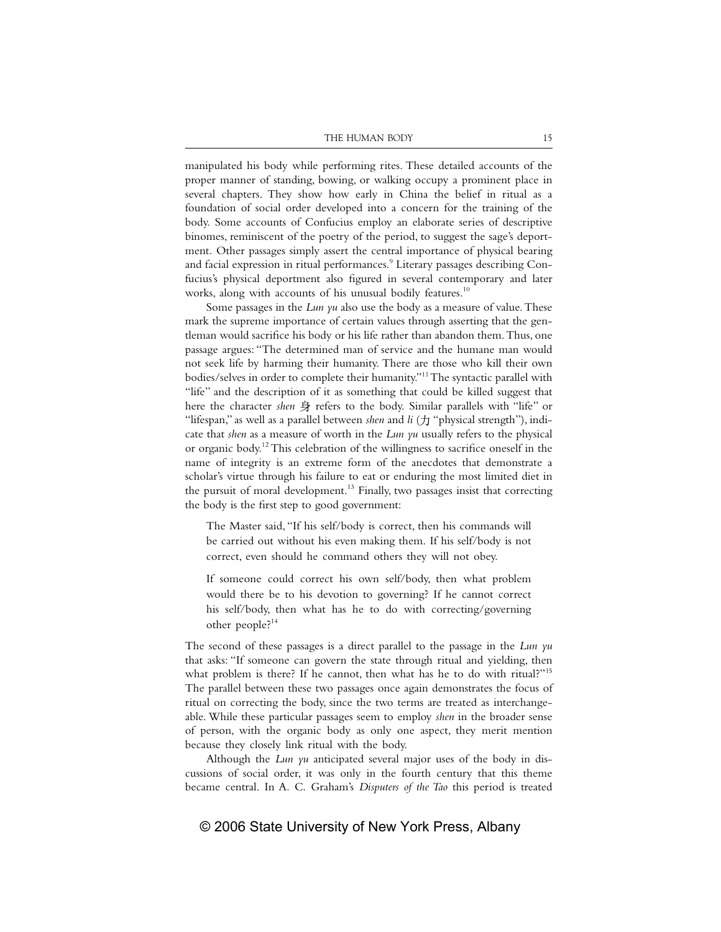manipulated his body while performing rites. These detailed accounts of the proper manner of standing, bowing, or walking occupy a prominent place in several chapters. They show how early in China the belief in ritual as a foundation of social order developed into a concern for the training of the body. Some accounts of Confucius employ an elaborate series of descriptive binomes, reminiscent of the poetry of the period, to suggest the sage's deportment. Other passages simply assert the central importance of physical bearing and facial expression in ritual performances.<sup>9</sup> Literary passages describing Confucius's physical deportment also figured in several contemporary and later works, along with accounts of his unusual bodily features.<sup>10</sup>

Some passages in the *Lun yu* also use the body as a measure of value. These mark the supreme importance of certain values through asserting that the gentleman would sacrifice his body or his life rather than abandon them.Thus, one passage argues: "The determined man of service and the humane man would not seek life by harming their humanity. There are those who kill their own bodies/selves in order to complete their humanity."<sup>11</sup>The syntactic parallel with "life" and the description of it as something that could be killed suggest that here the character *shen* 身 refers to the body. Similar parallels with "life" or "lifespan," as well as a parallel between *shen* and  $li$  ( $\pi$ ) "physical strength"), indicate that *shen* as a measure of worth in the *Lun yu* usually refers to the physical or organic body.<sup>12</sup> This celebration of the willingness to sacrifice oneself in the name of integrity is an extreme form of the anecdotes that demonstrate a scholar's virtue through his failure to eat or enduring the most limited diet in the pursuit of moral development.<sup>13</sup> Finally, two passages insist that correcting the body is the first step to good government:

The Master said, "If his self/body is correct, then his commands will be carried out without his even making them. If his self/body is not correct, even should he command others they will not obey.

If someone could correct his own self/body, then what problem would there be to his devotion to governing? If he cannot correct his self/body, then what has he to do with correcting/governing other people?<sup>14</sup>

The second of these passages is a direct parallel to the passage in the *Lun yu* that asks: "If someone can govern the state through ritual and yielding, then what problem is there? If he cannot, then what has he to do with ritual?"<sup>15</sup> The parallel between these two passages once again demonstrates the focus of ritual on correcting the body, since the two terms are treated as interchangeable. While these particular passages seem to employ *shen* in the broader sense of person, with the organic body as only one aspect, they merit mention because they closely link ritual with the body.

Although the *Lun yu* anticipated several major uses of the body in discussions of social order, it was only in the fourth century that this theme became central. In A. C. Graham's *Disputers of the Tao* this period is treated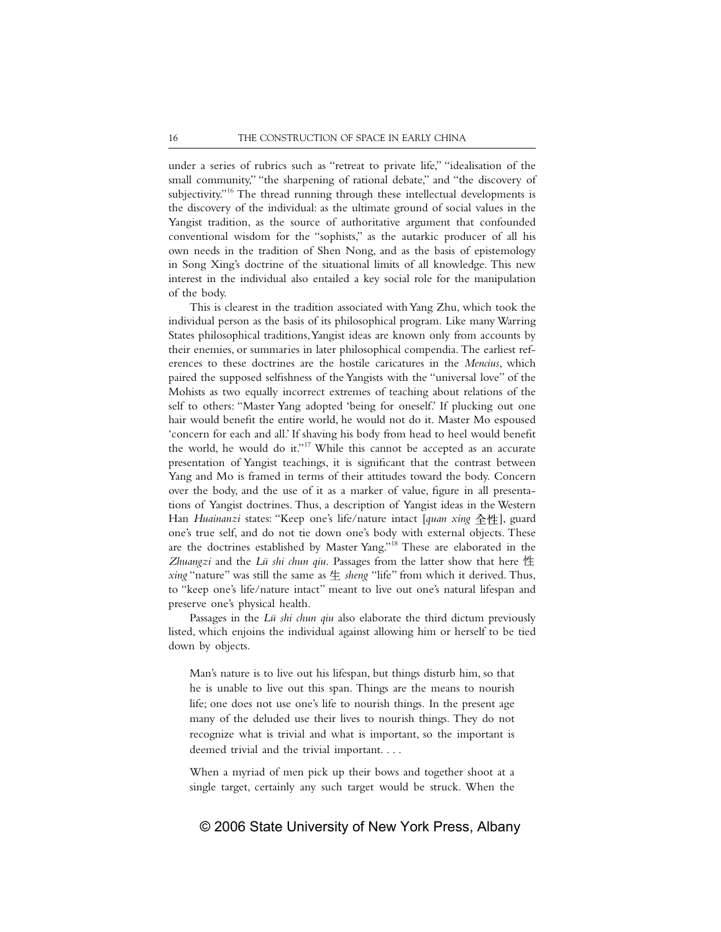under a series of rubrics such as "retreat to private life," "idealisation of the small community," "the sharpening of rational debate," and "the discovery of subjectivity."<sup>16</sup> The thread running through these intellectual developments is the discovery of the individual: as the ultimate ground of social values in the Yangist tradition, as the source of authoritative argument that confounded conventional wisdom for the "sophists," as the autarkic producer of all his own needs in the tradition of Shen Nong, and as the basis of epistemology in Song Xing's doctrine of the situational limits of all knowledge. This new interest in the individual also entailed a key social role for the manipulation of the body.

This is clearest in the tradition associated with Yang Zhu, which took the individual person as the basis of its philosophical program. Like many Warring States philosophical traditions,Yangist ideas are known only from accounts by their enemies, or summaries in later philosophical compendia. The earliest references to these doctrines are the hostile caricatures in the *Mencius*, which paired the supposed selfishness of the Yangists with the "universal love" of the Mohists as two equally incorrect extremes of teaching about relations of the self to others: "Master Yang adopted 'being for oneself.' If plucking out one hair would benefit the entire world, he would not do it. Master Mo espoused 'concern for each and all.' If shaving his body from head to heel would benefit the world, he would do it."17 While this cannot be accepted as an accurate presentation of Yangist teachings, it is significant that the contrast between Yang and Mo is framed in terms of their attitudes toward the body. Concern over the body, and the use of it as a marker of value, figure in all presentations of Yangist doctrines. Thus, a description of Yangist ideas in the Western Han *Huainanzi* states: "Keep one's life/nature intact [quan xing 全性], guard one's true self, and do not tie down one's body with external objects. These are the doctrines established by Master Yang."<sup>18</sup> These are elaborated in the *Zhuangzi* and the *Lü shi chun qiu*. Passages from the latter show that here *xing* "nature" was still the same as  $\pm$  *sheng* "life" from which it derived. Thus, to "keep one's life/nature intact" meant to live out one's natural lifespan and preserve one's physical health.

Passages in the *Lü shi chun qiu* also elaborate the third dictum previously listed, which enjoins the individual against allowing him or herself to be tied down by objects.

Man's nature is to live out his lifespan, but things disturb him, so that he is unable to live out this span. Things are the means to nourish life; one does not use one's life to nourish things. In the present age many of the deluded use their lives to nourish things. They do not recognize what is trivial and what is important, so the important is deemed trivial and the trivial important....

When a myriad of men pick up their bows and together shoot at a single target, certainly any such target would be struck. When the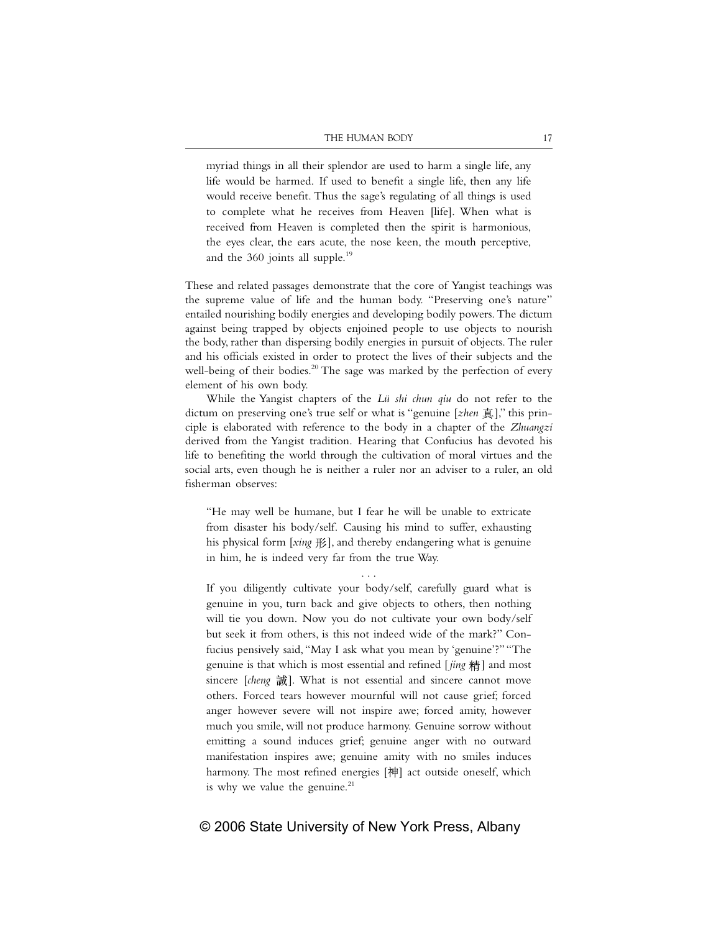myriad things in all their splendor are used to harm a single life, any life would be harmed. If used to benefit a single life, then any life would receive benefit. Thus the sage's regulating of all things is used to complete what he receives from Heaven [life]. When what is received from Heaven is completed then the spirit is harmonious, the eyes clear, the ears acute, the nose keen, the mouth perceptive, and the 360 joints all supple.<sup>19</sup>

These and related passages demonstrate that the core of Yangist teachings was the supreme value of life and the human body. "Preserving one's nature" entailed nourishing bodily energies and developing bodily powers. The dictum against being trapped by objects enjoined people to use objects to nourish the body, rather than dispersing bodily energies in pursuit of objects. The ruler and his officials existed in order to protect the lives of their subjects and the well-being of their bodies.<sup>20</sup> The sage was marked by the perfection of every element of his own body.

While the Yangist chapters of the *Lü shi chun qiu* do not refer to the dictum on preserving one's true self or what is "genuine [zhen 真]," this principle is elaborated with reference to the body in a chapter of the *Zhuangzi* derived from the Yangist tradition. Hearing that Confucius has devoted his life to benefiting the world through the cultivation of moral virtues and the social arts, even though he is neither a ruler nor an adviser to a ruler, an old fisherman observes:

"He may well be humane, but I fear he will be unable to extricate from disaster his body/self. Causing his mind to suffer, exhausting his physical form [xing 形], and thereby endangering what is genuine in him, he is indeed very far from the true Way.

...

If you diligently cultivate your body/self, carefully guard what is genuine in you, turn back and give objects to others, then nothing will tie you down. Now you do not cultivate your own body/self but seek it from others, is this not indeed wide of the mark?" Confucius pensively said,"May I ask what you mean by 'genuine'?""The genuine is that which is most essential and refined [*jing* 精] and most sincere [*cheng* 誠]. What is not essential and sincere cannot move others. Forced tears however mournful will not cause grief; forced anger however severe will not inspire awe; forced amity, however much you smile, will not produce harmony. Genuine sorrow without emitting a sound induces grief; genuine anger with no outward manifestation inspires awe; genuine amity with no smiles induces harmony. The most refined energies [神] act outside oneself, which is why we value the genuine. $^{21}$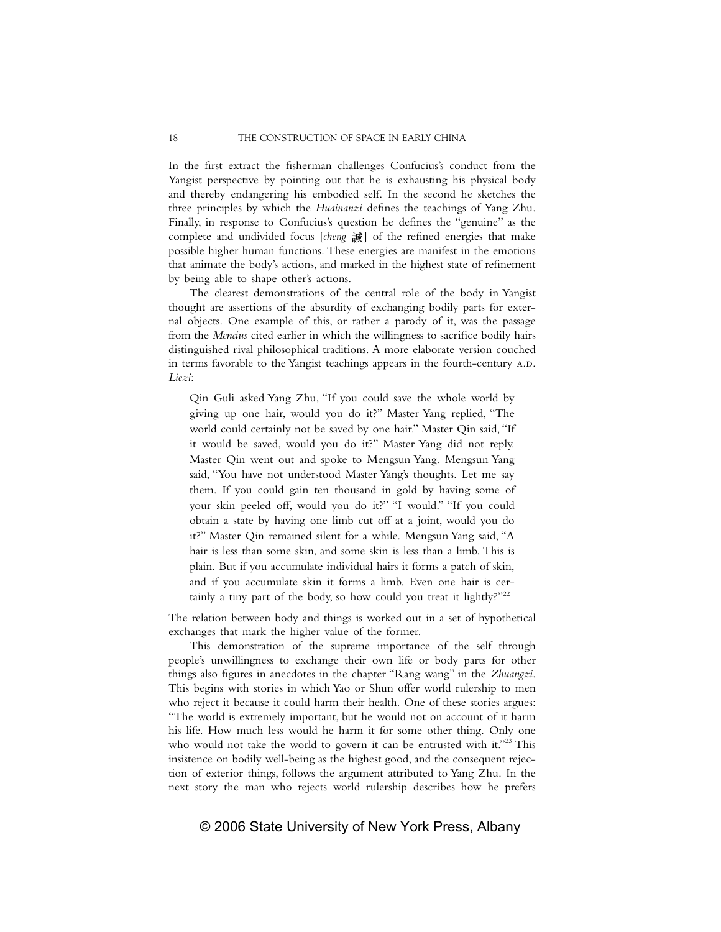In the first extract the fisherman challenges Confucius's conduct from the Yangist perspective by pointing out that he is exhausting his physical body and thereby endangering his embodied self. In the second he sketches the three principles by which the *Huainanzi* defines the teachings of Yang Zhu. Finally, in response to Confucius's question he defines the "genuine" as the complete and undivided focus [*cheng* 誠] of the refined energies that make possible higher human functions. These energies are manifest in the emotions that animate the body's actions, and marked in the highest state of refinement by being able to shape other's actions.

The clearest demonstrations of the central role of the body in Yangist thought are assertions of the absurdity of exchanging bodily parts for external objects. One example of this, or rather a parody of it, was the passage from the *Mencius* cited earlier in which the willingness to sacrifice bodily hairs distinguished rival philosophical traditions. A more elaborate version couched in terms favorable to the Yangist teachings appears in the fourth-century A.D. *Liezi*:

Qin Guli asked Yang Zhu, "If you could save the whole world by giving up one hair, would you do it?" Master Yang replied, "The world could certainly not be saved by one hair." Master Qin said, "If it would be saved, would you do it?" Master Yang did not reply. Master Qin went out and spoke to Mengsun Yang. Mengsun Yang said, "You have not understood Master Yang's thoughts. Let me say them. If you could gain ten thousand in gold by having some of your skin peeled off, would you do it?" "I would." "If you could obtain a state by having one limb cut off at a joint, would you do it?" Master Qin remained silent for a while. Mengsun Yang said, "A hair is less than some skin, and some skin is less than a limb. This is plain. But if you accumulate individual hairs it forms a patch of skin, and if you accumulate skin it forms a limb. Even one hair is certainly a tiny part of the body, so how could you treat it lightly?"<sup>22</sup>

The relation between body and things is worked out in a set of hypothetical exchanges that mark the higher value of the former.

This demonstration of the supreme importance of the self through people's unwillingness to exchange their own life or body parts for other things also figures in anecdotes in the chapter "Rang wang" in the *Zhuangzi*. This begins with stories in which Yao or Shun offer world rulership to men who reject it because it could harm their health. One of these stories argues: "The world is extremely important, but he would not on account of it harm his life. How much less would he harm it for some other thing. Only one who would not take the world to govern it can be entrusted with it."<sup>23</sup> This insistence on bodily well-being as the highest good, and the consequent rejection of exterior things, follows the argument attributed to Yang Zhu. In the next story the man who rejects world rulership describes how he prefers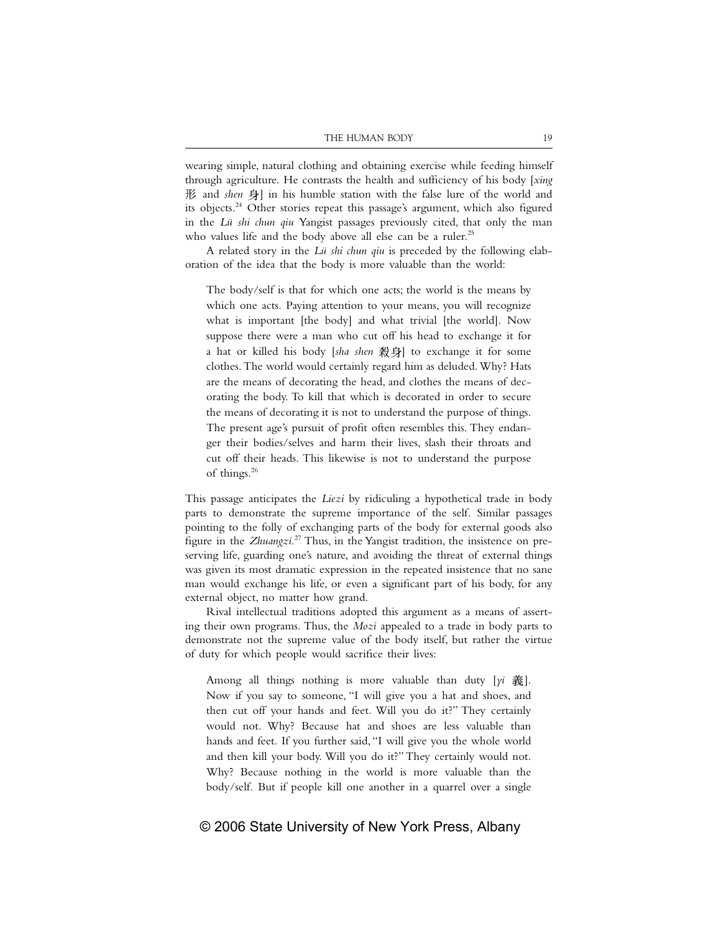wearing simple, natural clothing and obtaining exercise while feeding himself through agriculture. He contrasts the health and sufficiency of his body [*xing* 形 and *shen* 身] in his humble station with the false lure of the world and its objects.<sup>24</sup> Other stories repeat this passage's argument, which also figured in the *Lü shi chun qiu* Yangist passages previously cited, that only the man who values life and the body above all else can be a ruler.<sup>25</sup>

A related story in the *Lü shi chun qiu* is preceded by the following elaboration of the idea that the body is more valuable than the world:

The body/self is that for which one acts; the world is the means by which one acts. Paying attention to your means, you will recognize what is important [the body] and what trivial [the world]. Now suppose there were a man who cut off his head to exchange it for a hat or killed his body [*sha shen* 殺身] to exchange it for some clothes. The world would certainly regard him as deluded. Why? Hats are the means of decorating the head, and clothes the means of decorating the body. To kill that which is decorated in order to secure the means of decorating it is not to understand the purpose of things. The present age's pursuit of profit often resembles this. They endanger their bodies/selves and harm their lives, slash their throats and cut off their heads. This likewise is not to understand the purpose of things.26

This passage anticipates the *Liezi* by ridiculing a hypothetical trade in body parts to demonstrate the supreme importance of the self. Similar passages pointing to the folly of exchanging parts of the body for external goods also figure in the *Zhuangzi*. <sup>27</sup> Thus, in the Yangist tradition, the insistence on preserving life, guarding one's nature, and avoiding the threat of external things was given its most dramatic expression in the repeated insistence that no sane man would exchange his life, or even a significant part of his body, for any external object, no matter how grand.

Rival intellectual traditions adopted this argument as a means of asserting their own programs. Thus, the *Mozi* appealed to a trade in body parts to demonstrate not the supreme value of the body itself, but rather the virtue of duty for which people would sacrifice their lives:

Among all things nothing is more valuable than duty  $[yi \, \hat{\mathbb{R}}]$ . Now if you say to someone, "I will give you a hat and shoes, and then cut off your hands and feet. Will you do it?" They certainly would not. Why? Because hat and shoes are less valuable than hands and feet. If you further said, "I will give you the whole world and then kill your body. Will you do it?" They certainly would not. Why? Because nothing in the world is more valuable than the body/self. But if people kill one another in a quarrel over a single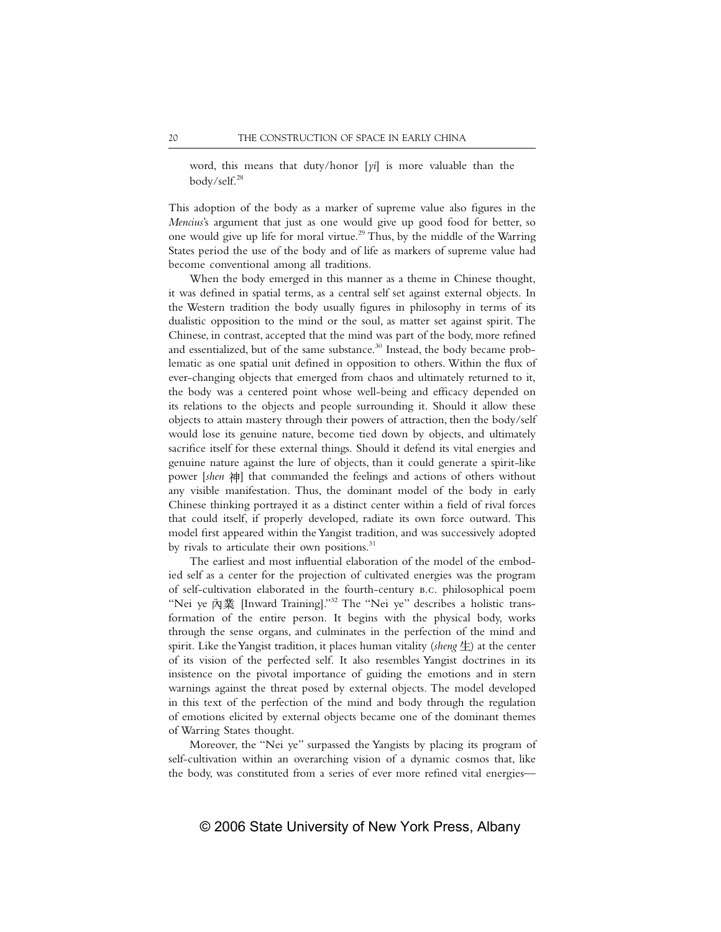word, this means that duty/honor [*yi*] is more valuable than the body/self.<sup>28</sup>

This adoption of the body as a marker of supreme value also figures in the *Mencius*'s argument that just as one would give up good food for better, so one would give up life for moral virtue.<sup>29</sup> Thus, by the middle of the Warring States period the use of the body and of life as markers of supreme value had become conventional among all traditions.

When the body emerged in this manner as a theme in Chinese thought, it was defined in spatial terms, as a central self set against external objects. In the Western tradition the body usually figures in philosophy in terms of its dualistic opposition to the mind or the soul, as matter set against spirit. The Chinese, in contrast, accepted that the mind was part of the body, more refined and essentialized, but of the same substance.<sup>30</sup> Instead, the body became problematic as one spatial unit defined in opposition to others. Within the flux of ever-changing objects that emerged from chaos and ultimately returned to it, the body was a centered point whose well-being and efficacy depended on its relations to the objects and people surrounding it. Should it allow these objects to attain mastery through their powers of attraction, then the body/self would lose its genuine nature, become tied down by objects, and ultimately sacrifice itself for these external things. Should it defend its vital energies and genuine nature against the lure of objects, than it could generate a spirit-like power [shen 神] that commanded the feelings and actions of others without any visible manifestation. Thus, the dominant model of the body in early Chinese thinking portrayed it as a distinct center within a field of rival forces that could itself, if properly developed, radiate its own force outward. This model first appeared within the Yangist tradition, and was successively adopted by rivals to articulate their own positions.<sup>31</sup>

The earliest and most influential elaboration of the model of the embodied self as a center for the projection of cultivated energies was the program of self-cultivation elaborated in the fourth-century b.c. philosophical poem "Nei ye  $\bar{\boxtimes}$   $\ddot{\boxtimes}$  [Inward Training]."<sup>32</sup> The "Nei ye" describes a holistic transformation of the entire person. It begins with the physical body, works through the sense organs, and culminates in the perfection of the mind and spirit. Like the Yangist tradition, it places human vitality (*sheng*  $\pm$ ) at the center of its vision of the perfected self. It also resembles Yangist doctrines in its insistence on the pivotal importance of guiding the emotions and in stern warnings against the threat posed by external objects. The model developed in this text of the perfection of the mind and body through the regulation of emotions elicited by external objects became one of the dominant themes of Warring States thought.

Moreover, the "Nei ye" surpassed the Yangists by placing its program of self-cultivation within an overarching vision of a dynamic cosmos that, like the body, was constituted from a series of ever more refined vital energies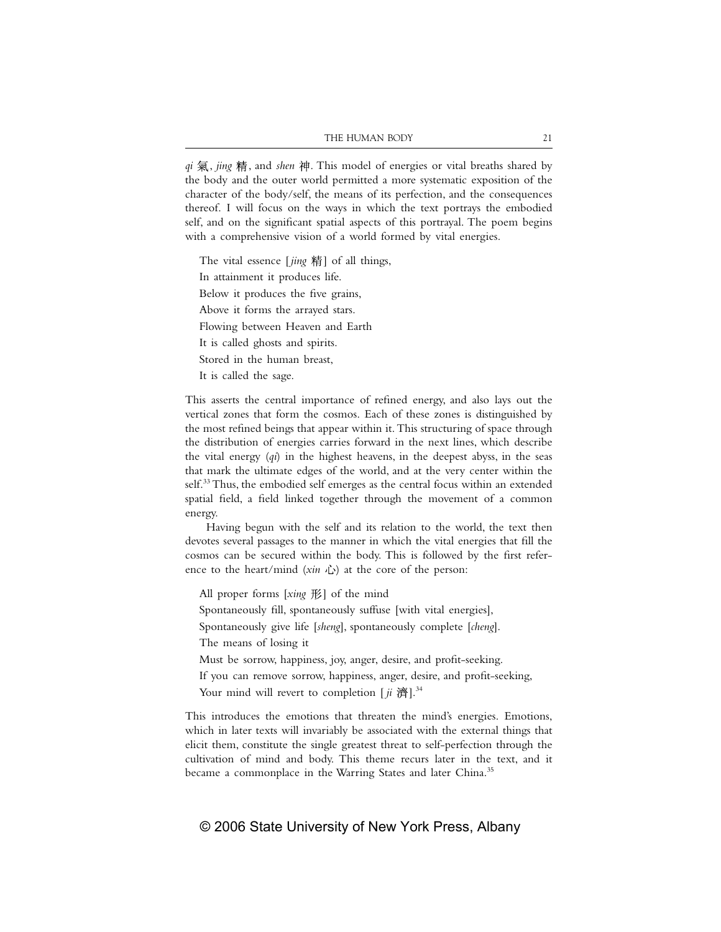*qi* 氣, *jing* 精, and *shen* 神. This model of energies or vital breaths shared by the body and the outer world permitted a more systematic exposition of the character of the body/self, the means of its perfection, and the consequences thereof. I will focus on the ways in which the text portrays the embodied self, and on the significant spatial aspects of this portrayal. The poem begins with a comprehensive vision of a world formed by vital energies.

The vital essence [*jing* 精] of all things, In attainment it produces life. Below it produces the five grains, Above it forms the arrayed stars. Flowing between Heaven and Earth It is called ghosts and spirits. Stored in the human breast, It is called the sage.

This asserts the central importance of refined energy, and also lays out the vertical zones that form the cosmos. Each of these zones is distinguished by the most refined beings that appear within it. This structuring of space through the distribution of energies carries forward in the next lines, which describe the vital energy (*qi*) in the highest heavens, in the deepest abyss, in the seas that mark the ultimate edges of the world, and at the very center within the self.<sup>33</sup> Thus, the embodied self emerges as the central focus within an extended spatial field, a field linked together through the movement of a common energy.

Having begun with the self and its relation to the world, the text then devotes several passages to the manner in which the vital energies that fill the cosmos can be secured within the body. This is followed by the first reference to the heart/mind  $(xin \L)$  at the core of the person:

All proper forms [xing 形] of the mind Spontaneously fill, spontaneously suffuse [with vital energies], Spontaneously give life [*sheng*], spontaneously complete [*cheng*]. The means of losing it Must be sorrow, happiness, joy, anger, desire, and profit-seeking. If you can remove sorrow, happiness, anger, desire, and profit-seeking, Your mind will revert to completion  $\int$  *ji*  $\tilde{\mathfrak{B}}$ <sup>34</sup>.

This introduces the emotions that threaten the mind's energies. Emotions, which in later texts will invariably be associated with the external things that elicit them, constitute the single greatest threat to self-perfection through the cultivation of mind and body. This theme recurs later in the text, and it became a commonplace in the Warring States and later China.<sup>35</sup>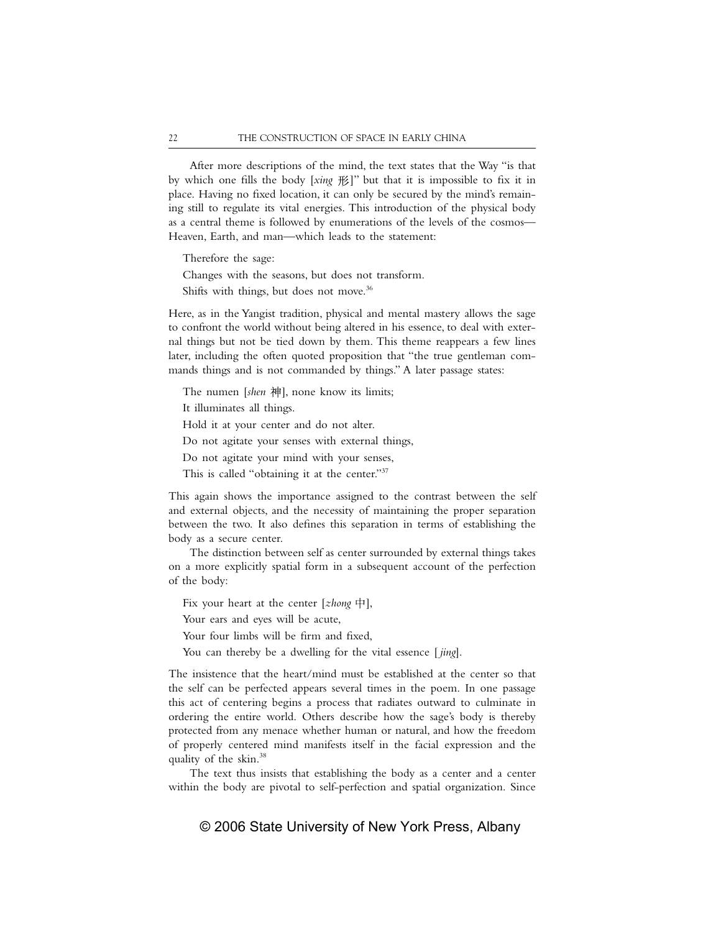After more descriptions of the mind, the text states that the Way "is that by which one fills the body  $[xing \#]$ " but that it is impossible to fix it in place. Having no fixed location, it can only be secured by the mind's remaining still to regulate its vital energies. This introduction of the physical body as a central theme is followed by enumerations of the levels of the cosmos— Heaven, Earth, and man—which leads to the statement:

Therefore the sage:

Changes with the seasons, but does not transform.

Shifts with things, but does not move.<sup>36</sup>

Here, as in the Yangist tradition, physical and mental mastery allows the sage to confront the world without being altered in his essence, to deal with external things but not be tied down by them. This theme reappears a few lines later, including the often quoted proposition that "the true gentleman commands things and is not commanded by things." A later passage states:

The numen [*shen* 神], none know its limits; It illuminates all things. Hold it at your center and do not alter. Do not agitate your senses with external things, Do not agitate your mind with your senses, This is called "obtaining it at the center."<sup>37</sup>

This again shows the importance assigned to the contrast between the self and external objects, and the necessity of maintaining the proper separation between the two. It also defines this separation in terms of establishing the body as a secure center.

The distinction between self as center surrounded by external things takes on a more explicitly spatial form in a subsequent account of the perfection of the body:

Fix your heart at the center  $[z \text{hom} g \; \text{H}],$ 

Your ears and eyes will be acute,

Your four limbs will be firm and fixed,

You can thereby be a dwelling for the vital essence [ *jing*].

The insistence that the heart/mind must be established at the center so that the self can be perfected appears several times in the poem. In one passage this act of centering begins a process that radiates outward to culminate in ordering the entire world. Others describe how the sage's body is thereby protected from any menace whether human or natural, and how the freedom of properly centered mind manifests itself in the facial expression and the quality of the skin.<sup>38</sup>

The text thus insists that establishing the body as a center and a center within the body are pivotal to self-perfection and spatial organization. Since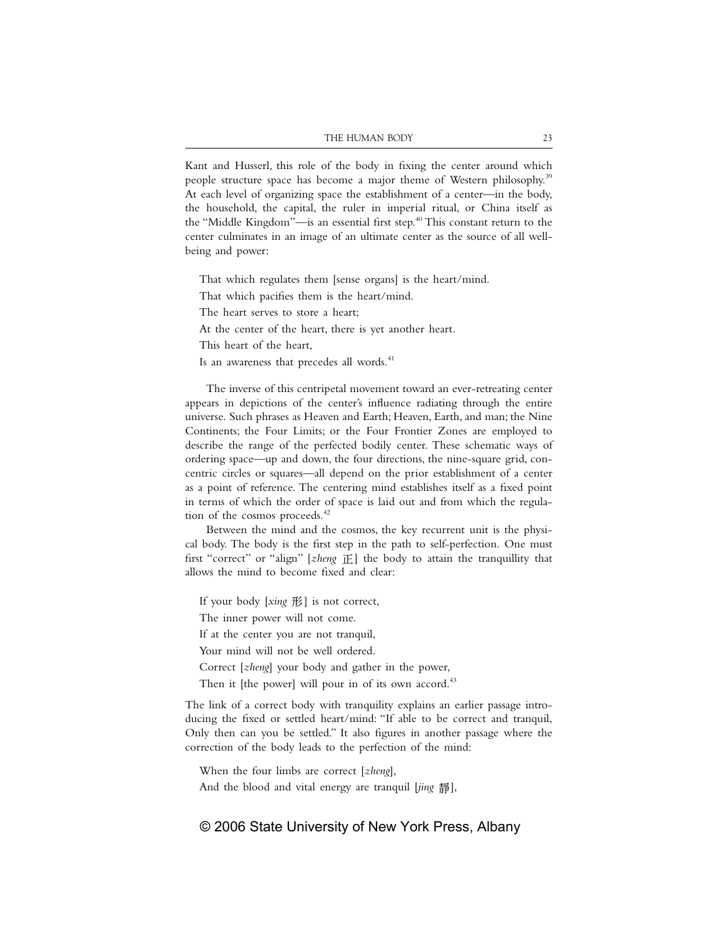Kant and Husserl, this role of the body in fixing the center around which people structure space has become a major theme of Western philosophy.<sup>39</sup> At each level of organizing space the establishment of a center—in the body, the household, the capital, the ruler in imperial ritual, or China itself as the "Middle Kingdom"—is an essential first step.<sup>40</sup> This constant return to the center culminates in an image of an ultimate center as the source of all wellbeing and power:

That which regulates them [sense organs] is the heart/mind. That which pacifies them is the heart/mind. The heart serves to store a heart; At the center of the heart, there is yet another heart. This heart of the heart, Is an awareness that precedes all words.<sup>41</sup>

The inverse of this centripetal movement toward an ever-retreating center appears in depictions of the center's influence radiating through the entire universe. Such phrases as Heaven and Earth; Heaven, Earth, and man; the Nine Continents; the Four Limits; or the Four Frontier Zones are employed to describe the range of the perfected bodily center. These schematic ways of ordering space—up and down, the four directions, the nine-square grid, concentric circles or squares—all depend on the prior establishment of a center as a point of reference. The centering mind establishes itself as a fixed point in terms of which the order of space is laid out and from which the regulation of the cosmos proceeds.<sup>42</sup>

Between the mind and the cosmos, the key recurrent unit is the physical body. The body is the first step in the path to self-perfection. One must first "correct" or "align" [ $zheng \nightharpoonup$ ] the body to attain the tranquillity that allows the mind to become fixed and clear:

If your body [*xing* 形] is not correct, The inner power will not come. If at the center you are not tranquil, Your mind will not be well ordered. Correct [*zheng*] your body and gather in the power, Then it [the power] will pour in of its own accord.<sup>43</sup>

The link of a correct body with tranquility explains an earlier passage introducing the fixed or settled heart/mind: "If able to be correct and tranquil, Only then can you be settled." It also figures in another passage where the correction of the body leads to the perfection of the mind:

When the four limbs are correct [*zheng*], And the blood and vital energy are tranquil [*jing* 靜],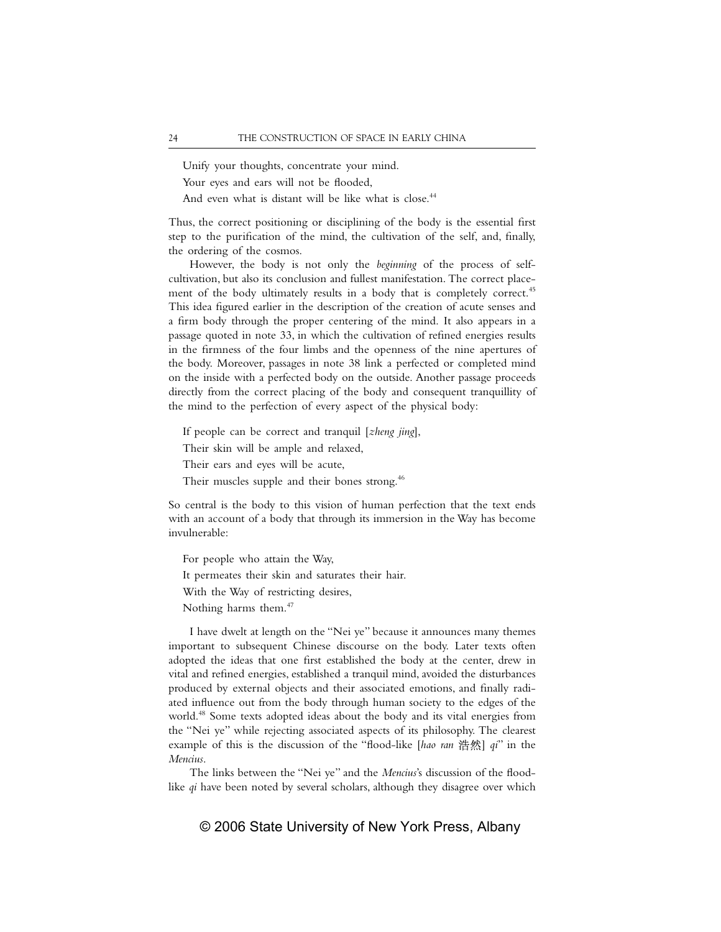Unify your thoughts, concentrate your mind. Your eyes and ears will not be flooded, And even what is distant will be like what is close.<sup>44</sup>

Thus, the correct positioning or disciplining of the body is the essential first step to the purification of the mind, the cultivation of the self, and, finally, the ordering of the cosmos.

However, the body is not only the *beginning* of the process of selfcultivation, but also its conclusion and fullest manifestation. The correct placement of the body ultimately results in a body that is completely correct.<sup>45</sup> This idea figured earlier in the description of the creation of acute senses and a firm body through the proper centering of the mind. It also appears in a passage quoted in note 33, in which the cultivation of refined energies results in the firmness of the four limbs and the openness of the nine apertures of the body. Moreover, passages in note 38 link a perfected or completed mind on the inside with a perfected body on the outside. Another passage proceeds directly from the correct placing of the body and consequent tranquillity of the mind to the perfection of every aspect of the physical body:

If people can be correct and tranquil [*zheng jing*], Their skin will be ample and relaxed, Their ears and eyes will be acute,

Their muscles supple and their bones strong.<sup>46</sup>

So central is the body to this vision of human perfection that the text ends with an account of a body that through its immersion in the Way has become invulnerable:

For people who attain the Way, It permeates their skin and saturates their hair. With the Way of restricting desires, Nothing harms them.<sup>47</sup>

I have dwelt at length on the "Nei ye" because it announces many themes important to subsequent Chinese discourse on the body. Later texts often adopted the ideas that one first established the body at the center, drew in vital and refined energies, established a tranquil mind, avoided the disturbances produced by external objects and their associated emotions, and finally radiated influence out from the body through human society to the edges of the world.<sup>48</sup> Some texts adopted ideas about the body and its vital energies from the "Nei ye" while rejecting associated aspects of its philosophy. The clearest example of this is the discussion of the "flood-like [*hao ran* 浩然] qi" in the *Mencius*.

The links between the "Nei ye" and the *Mencius*'s discussion of the floodlike *qi* have been noted by several scholars, although they disagree over which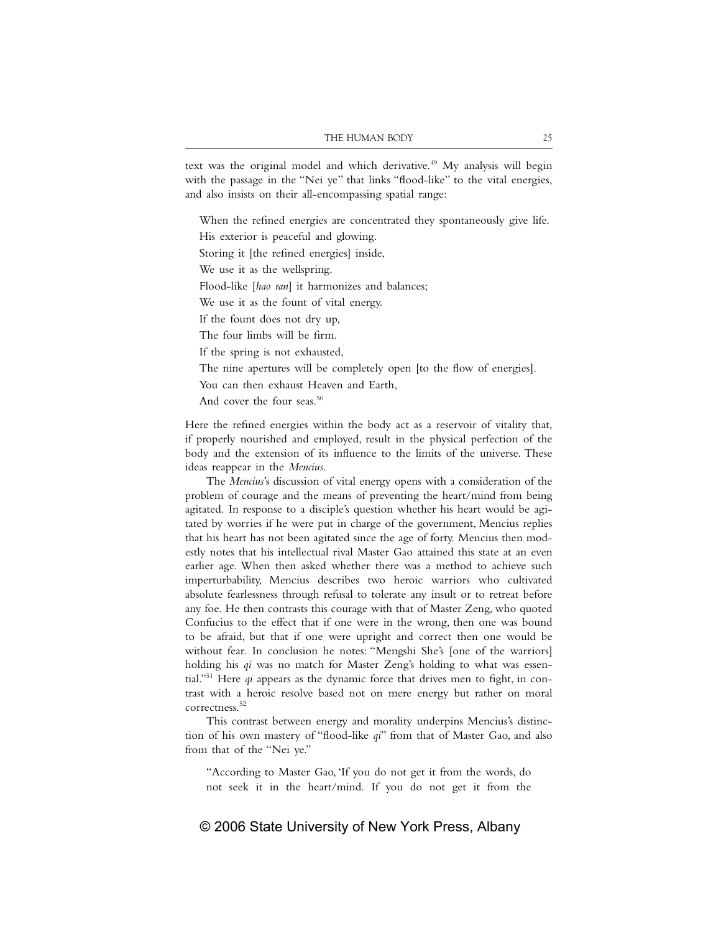text was the original model and which derivative.<sup>49</sup> My analysis will begin with the passage in the "Nei ye" that links "flood-like" to the vital energies, and also insists on their all-encompassing spatial range:

When the refined energies are concentrated they spontaneously give life. His exterior is peaceful and glowing. Storing it [the refined energies] inside, We use it as the wellspring. Flood-like [*hao ran*] it harmonizes and balances; We use it as the fount of vital energy. If the fount does not dry up, The four limbs will be firm. If the spring is not exhausted, The nine apertures will be completely open [to the flow of energies]. You can then exhaust Heaven and Earth, And cover the four seas.<sup>50</sup>

Here the refined energies within the body act as a reservoir of vitality that, if properly nourished and employed, result in the physical perfection of the body and the extension of its influence to the limits of the universe. These ideas reappear in the *Mencius*.

The *Mencius*'s discussion of vital energy opens with a consideration of the problem of courage and the means of preventing the heart/mind from being agitated. In response to a disciple's question whether his heart would be agitated by worries if he were put in charge of the government, Mencius replies that his heart has not been agitated since the age of forty. Mencius then modestly notes that his intellectual rival Master Gao attained this state at an even earlier age. When then asked whether there was a method to achieve such imperturbability, Mencius describes two heroic warriors who cultivated absolute fearlessness through refusal to tolerate any insult or to retreat before any foe. He then contrasts this courage with that of Master Zeng, who quoted Confucius to the effect that if one were in the wrong, then one was bound to be afraid, but that if one were upright and correct then one would be without fear. In conclusion he notes: "Mengshi She's [one of the warriors] holding his *qi* was no match for Master Zeng's holding to what was essential."<sup>51</sup> Here *qi* appears as the dynamic force that drives men to fight, in contrast with a heroic resolve based not on mere energy but rather on moral correctness.52

This contrast between energy and morality underpins Mencius's distinction of his own mastery of "flood-like *qi*" from that of Master Gao, and also from that of the "Nei ye."

"According to Master Gao, 'If you do not get it from the words, do not seek it in the heart/mind. If you do not get it from the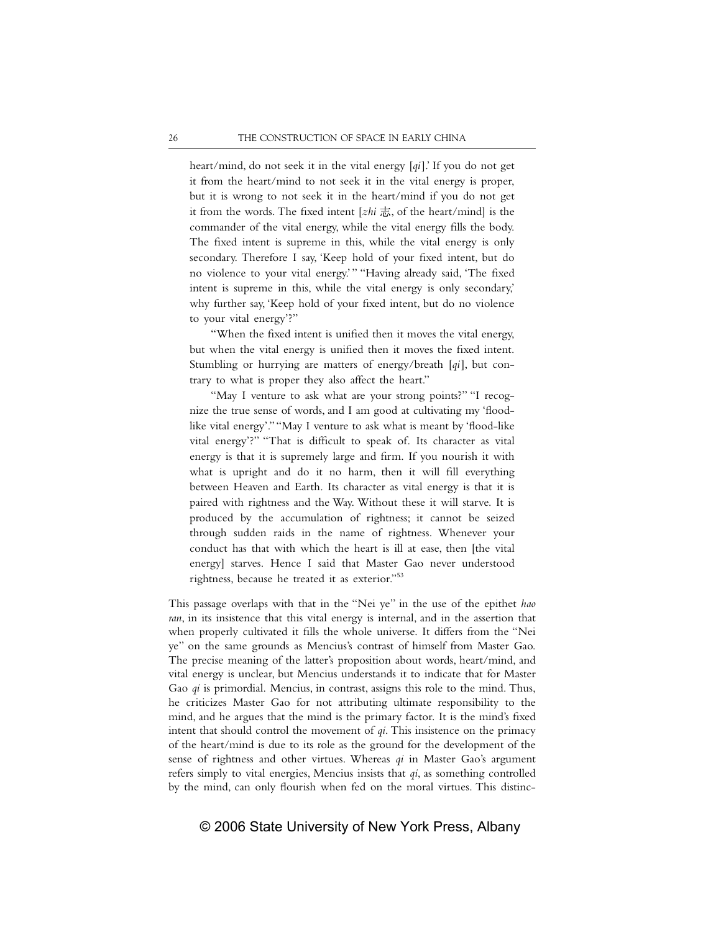heart/mind, do not seek it in the vital energy [*qi*].' If you do not get it from the heart/mind to not seek it in the vital energy is proper, but it is wrong to not seek it in the heart/mind if you do not get it from the words. The fixed intent  $[zhi \ddot{\pm}$ , of the heart/mind] is the commander of the vital energy, while the vital energy fills the body. The fixed intent is supreme in this, while the vital energy is only secondary. Therefore I say, 'Keep hold of your fixed intent, but do no violence to your vital energy.'" "Having already said, 'The fixed intent is supreme in this, while the vital energy is only secondary,' why further say, 'Keep hold of your fixed intent, but do no violence to your vital energy'?"

"When the fixed intent is unified then it moves the vital energy, but when the vital energy is unified then it moves the fixed intent. Stumbling or hurrying are matters of energy/breath [*qi*], but contrary to what is proper they also affect the heart."

"May I venture to ask what are your strong points?" "I recognize the true sense of words, and I am good at cultivating my 'floodlike vital energy'.""May I venture to ask what is meant by 'flood-like vital energy'?" "That is difficult to speak of. Its character as vital energy is that it is supremely large and firm. If you nourish it with what is upright and do it no harm, then it will fill everything between Heaven and Earth. Its character as vital energy is that it is paired with rightness and the Way. Without these it will starve. It is produced by the accumulation of rightness; it cannot be seized through sudden raids in the name of rightness. Whenever your conduct has that with which the heart is ill at ease, then [the vital energy] starves. Hence I said that Master Gao never understood rightness, because he treated it as exterior."<sup>53</sup>

This passage overlaps with that in the "Nei ye" in the use of the epithet *hao ran*, in its insistence that this vital energy is internal, and in the assertion that when properly cultivated it fills the whole universe. It differs from the "Nei ye" on the same grounds as Mencius's contrast of himself from Master Gao. The precise meaning of the latter's proposition about words, heart/mind, and vital energy is unclear, but Mencius understands it to indicate that for Master Gao *qi* is primordial. Mencius, in contrast, assigns this role to the mind. Thus, he criticizes Master Gao for not attributing ultimate responsibility to the mind, and he argues that the mind is the primary factor. It is the mind's fixed intent that should control the movement of *qi*. This insistence on the primacy of the heart/mind is due to its role as the ground for the development of the sense of rightness and other virtues. Whereas *qi* in Master Gao's argument refers simply to vital energies, Mencius insists that *qi*, as something controlled by the mind, can only flourish when fed on the moral virtues. This distinc-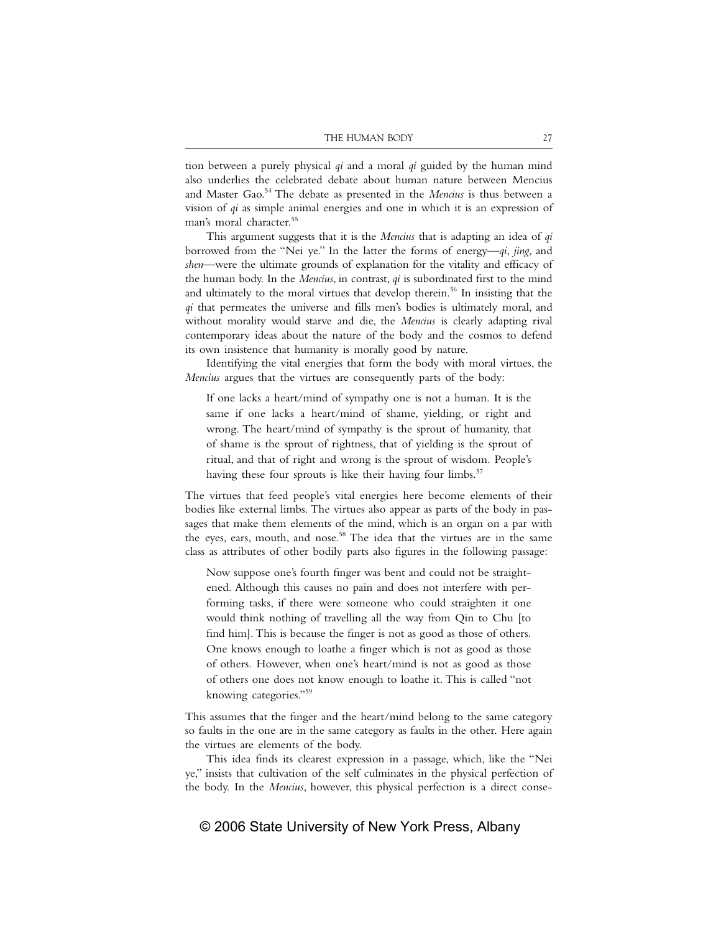tion between a purely physical *qi* and a moral *qi* guided by the human mind also underlies the celebrated debate about human nature between Mencius and Master Gao.54 The debate as presented in the *Mencius* is thus between a vision of *qi* as simple animal energies and one in which it is an expression of man's moral character.<sup>55</sup>

This argument suggests that it is the *Mencius* that is adapting an idea of *qi* borrowed from the "Nei ye." In the latter the forms of energy—*qi*, *jing*, and *shen*—were the ultimate grounds of explanation for the vitality and efficacy of the human body. In the *Mencius*, in contrast, *qi* is subordinated first to the mind and ultimately to the moral virtues that develop therein.<sup>56</sup> In insisting that the *qi* that permeates the universe and fills men's bodies is ultimately moral, and without morality would starve and die, the *Mencius* is clearly adapting rival contemporary ideas about the nature of the body and the cosmos to defend its own insistence that humanity is morally good by nature.

Identifying the vital energies that form the body with moral virtues, the *Mencius* argues that the virtues are consequently parts of the body:

If one lacks a heart/mind of sympathy one is not a human. It is the same if one lacks a heart/mind of shame, yielding, or right and wrong. The heart/mind of sympathy is the sprout of humanity, that of shame is the sprout of rightness, that of yielding is the sprout of ritual, and that of right and wrong is the sprout of wisdom. People's having these four sprouts is like their having four limbs.<sup>57</sup>

The virtues that feed people's vital energies here become elements of their bodies like external limbs. The virtues also appear as parts of the body in passages that make them elements of the mind, which is an organ on a par with the eyes, ears, mouth, and nose.<sup>58</sup> The idea that the virtues are in the same class as attributes of other bodily parts also figures in the following passage:

Now suppose one's fourth finger was bent and could not be straightened. Although this causes no pain and does not interfere with performing tasks, if there were someone who could straighten it one would think nothing of travelling all the way from Qin to Chu [to find him]. This is because the finger is not as good as those of others. One knows enough to loathe a finger which is not as good as those of others. However, when one's heart/mind is not as good as those of others one does not know enough to loathe it. This is called "not knowing categories."59

This assumes that the finger and the heart/mind belong to the same category so faults in the one are in the same category as faults in the other. Here again the virtues are elements of the body.

This idea finds its clearest expression in a passage, which, like the "Nei ye," insists that cultivation of the self culminates in the physical perfection of the body. In the *Mencius*, however, this physical perfection is a direct conse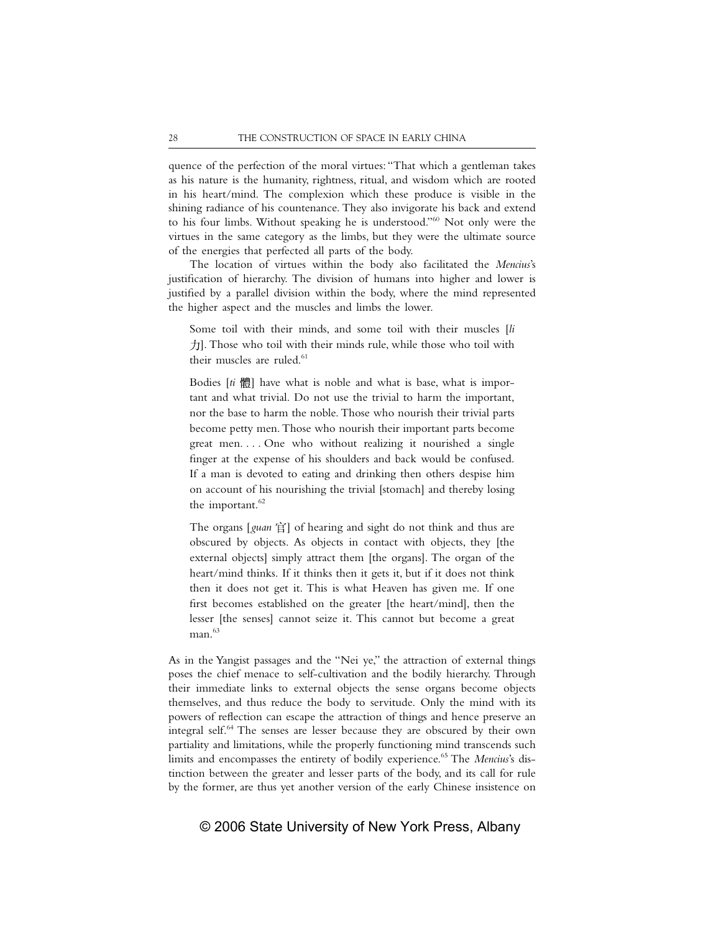quence of the perfection of the moral virtues: "That which a gentleman takes as his nature is the humanity, rightness, ritual, and wisdom which are rooted in his heart/mind. The complexion which these produce is visible in the shining radiance of his countenance. They also invigorate his back and extend to his four limbs. Without speaking he is understood."60 Not only were the virtues in the same category as the limbs, but they were the ultimate source of the energies that perfected all parts of the body.

The location of virtues within the body also facilitated the *Mencius*'s justification of hierarchy. The division of humans into higher and lower is justified by a parallel division within the body, where the mind represented the higher aspect and the muscles and limbs the lower.

Some toil with their minds, and some toil with their muscles [*li*  $\pm$ ]. Those who toil with their minds rule, while those who toil with their muscles are ruled.<sup>61</sup>

Bodies [ti 體] have what is noble and what is base, what is important and what trivial. Do not use the trivial to harm the important, nor the base to harm the noble. Those who nourish their trivial parts become petty men. Those who nourish their important parts become great men.... One who without realizing it nourished a single finger at the expense of his shoulders and back would be confused. If a man is devoted to eating and drinking then others despise him on account of his nourishing the trivial [stomach] and thereby losing the important. $62$ 

The organs [*guan* 官] of hearing and sight do not think and thus are obscured by objects. As objects in contact with objects, they [the external objects] simply attract them [the organs]. The organ of the heart/mind thinks. If it thinks then it gets it, but if it does not think then it does not get it. This is what Heaven has given me. If one first becomes established on the greater [the heart/mind], then the lesser [the senses] cannot seize it. This cannot but become a great  $man.<sup>63</sup>$ 

As in the Yangist passages and the "Nei ye," the attraction of external things poses the chief menace to self-cultivation and the bodily hierarchy. Through their immediate links to external objects the sense organs become objects themselves, and thus reduce the body to servitude. Only the mind with its powers of reflection can escape the attraction of things and hence preserve an integral self.<sup>64</sup> The senses are lesser because they are obscured by their own partiality and limitations, while the properly functioning mind transcends such limits and encompasses the entirety of bodily experience.<sup>65</sup> The *Mencius's* distinction between the greater and lesser parts of the body, and its call for rule by the former, are thus yet another version of the early Chinese insistence on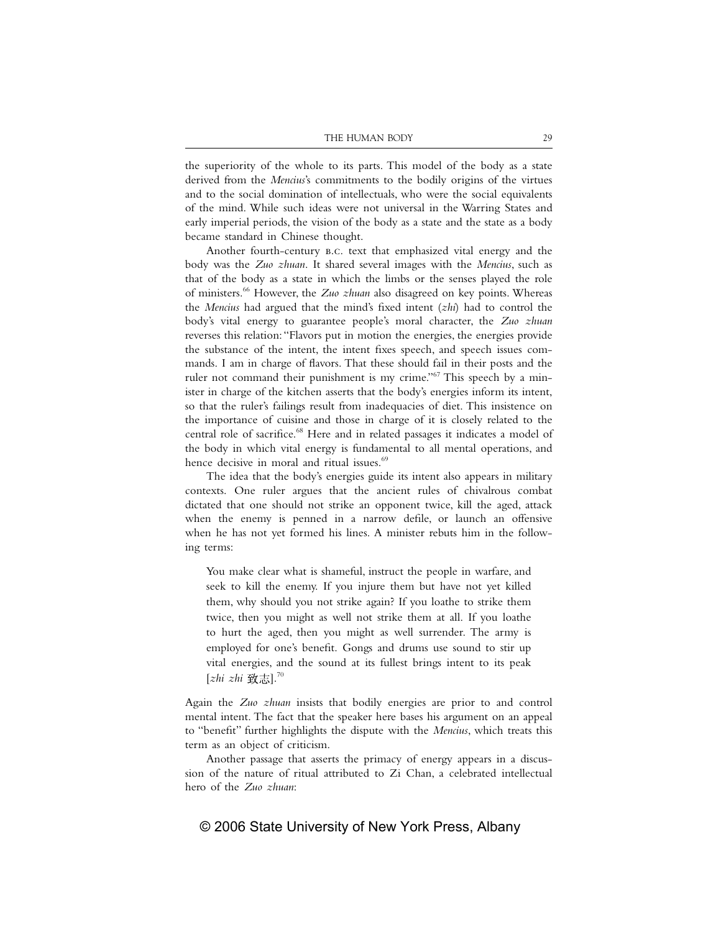the superiority of the whole to its parts. This model of the body as a state derived from the *Mencius*'s commitments to the bodily origins of the virtues and to the social domination of intellectuals, who were the social equivalents of the mind. While such ideas were not universal in the Warring States and early imperial periods, the vision of the body as a state and the state as a body became standard in Chinese thought.

Another fourth-century b.c. text that emphasized vital energy and the body was the *Zuo zhuan*. It shared several images with the *Mencius*, such as that of the body as a state in which the limbs or the senses played the role of ministers.66 However, the *Zuo zhuan* also disagreed on key points. Whereas the *Mencius* had argued that the mind's fixed intent (*zhi*) had to control the body's vital energy to guarantee people's moral character, the *Zuo zhuan* reverses this relation:"Flavors put in motion the energies, the energies provide the substance of the intent, the intent fixes speech, and speech issues commands. I am in charge of flavors. That these should fail in their posts and the ruler not command their punishment is my crime."<sup>67</sup> This speech by a minister in charge of the kitchen asserts that the body's energies inform its intent, so that the ruler's failings result from inadequacies of diet. This insistence on the importance of cuisine and those in charge of it is closely related to the central role of sacrifice.<sup>68</sup> Here and in related passages it indicates a model of the body in which vital energy is fundamental to all mental operations, and hence decisive in moral and ritual issues.<sup>69</sup>

The idea that the body's energies guide its intent also appears in military contexts. One ruler argues that the ancient rules of chivalrous combat dictated that one should not strike an opponent twice, kill the aged, attack when the enemy is penned in a narrow defile, or launch an offensive when he has not yet formed his lines. A minister rebuts him in the following terms:

You make clear what is shameful, instruct the people in warfare, and seek to kill the enemy. If you injure them but have not yet killed them, why should you not strike again? If you loathe to strike them twice, then you might as well not strike them at all. If you loathe to hurt the aged, then you might as well surrender. The army is employed for one's benefit. Gongs and drums use sound to stir up vital energies, and the sound at its fullest brings intent to its peak  $[zhi zhi$  致志].<sup>70</sup>

Again the *Zuo zhuan* insists that bodily energies are prior to and control mental intent. The fact that the speaker here bases his argument on an appeal to "benefit" further highlights the dispute with the *Mencius*, which treats this term as an object of criticism.

Another passage that asserts the primacy of energy appears in a discussion of the nature of ritual attributed to Zi Chan, a celebrated intellectual hero of the *Zuo zhuan*: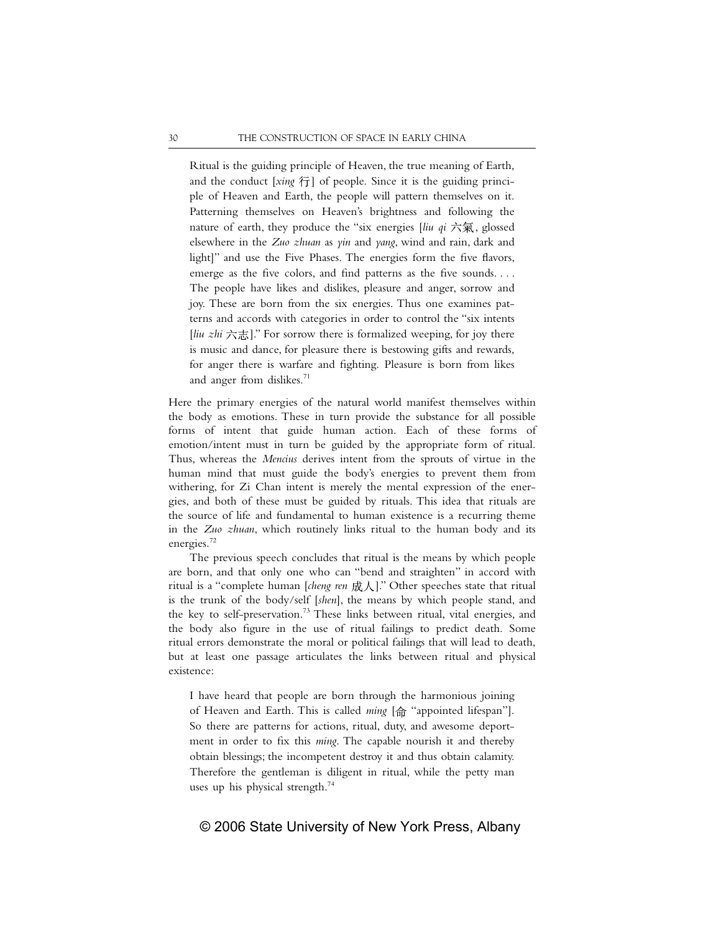Ritual is the guiding principle of Heaven, the true meaning of Earth, and the conduct  $\left[\sin \left( \frac{\pi}{2} \right) \right]$  of people. Since it is the guiding principle of Heaven and Earth, the people will pattern themselves on it. Patterning themselves on Heaven's brightness and following the nature of earth, they produce the "six energies [*liu qi* 六氣, glossed] elsewhere in the *Zuo zhuan* as *yin* and *yang*, wind and rain, dark and light]" and use the Five Phases. The energies form the five flavors, emerge as the five colors, and find patterns as the five sounds.... The people have likes and dislikes, pleasure and anger, sorrow and joy. These are born from the six energies. Thus one examines patterns and accords with categories in order to control the "six intents *[liu zhi*  $\overrightarrow{\pi}$ ]." For sorrow there is formalized weeping, for joy there is music and dance, for pleasure there is bestowing gifts and rewards, for anger there is warfare and fighting. Pleasure is born from likes and anger from dislikes.<sup>71</sup>

Here the primary energies of the natural world manifest themselves within the body as emotions. These in turn provide the substance for all possible forms of intent that guide human action. Each of these forms of emotion/intent must in turn be guided by the appropriate form of ritual. Thus, whereas the *Mencius* derives intent from the sprouts of virtue in the human mind that must guide the body's energies to prevent them from withering, for Zi Chan intent is merely the mental expression of the energies, and both of these must be guided by rituals. This idea that rituals are the source of life and fundamental to human existence is a recurring theme in the *Zuo zhuan*, which routinely links ritual to the human body and its energies.<sup>72</sup>

The previous speech concludes that ritual is the means by which people are born, and that only one who can "bend and straighten" in accord with ritual is a "complete human [*cheng ren* 成人]." Other speeches state that ritual is the trunk of the body/self [*shen*], the means by which people stand, and the key to self-preservation.<sup>73</sup> These links between ritual, vital energies, and the body also figure in the use of ritual failings to predict death. Some ritual errors demonstrate the moral or political failings that will lead to death, but at least one passage articulates the links between ritual and physical existence:

I have heard that people are born through the harmonious joining of Heaven and Earth. This is called *ming* [ $\hat{m}$  "appointed lifespan"]. So there are patterns for actions, ritual, duty, and awesome deportment in order to fix this *ming*. The capable nourish it and thereby obtain blessings; the incompetent destroy it and thus obtain calamity. Therefore the gentleman is diligent in ritual, while the petty man uses up his physical strength. $74$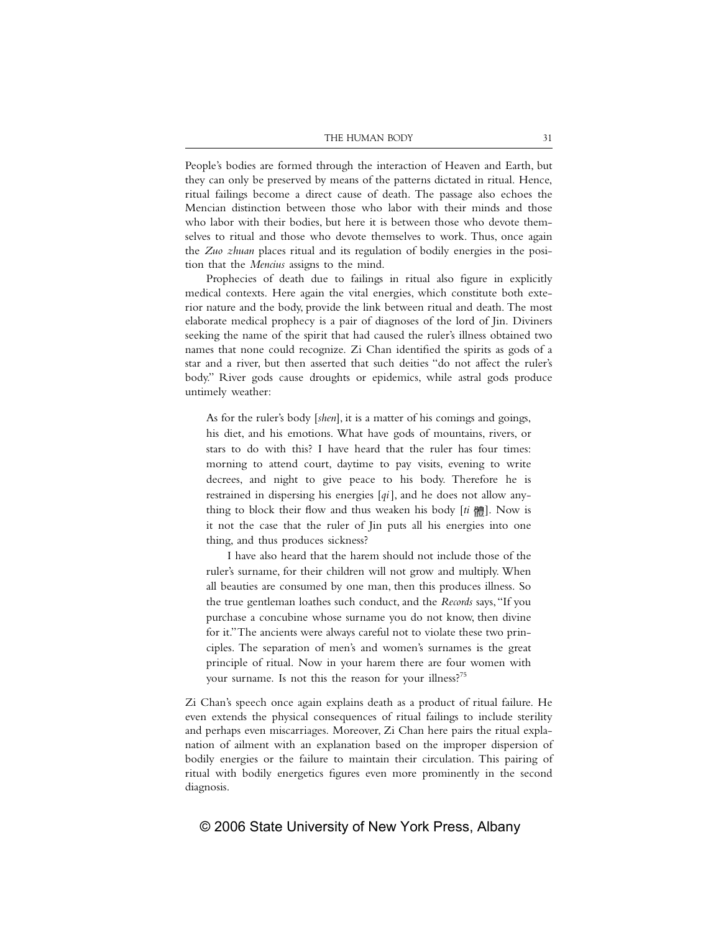People's bodies are formed through the interaction of Heaven and Earth, but they can only be preserved by means of the patterns dictated in ritual. Hence, ritual failings become a direct cause of death. The passage also echoes the Mencian distinction between those who labor with their minds and those who labor with their bodies, but here it is between those who devote themselves to ritual and those who devote themselves to work. Thus, once again the *Zuo zhuan* places ritual and its regulation of bodily energies in the position that the *Mencius* assigns to the mind.

Prophecies of death due to failings in ritual also figure in explicitly medical contexts. Here again the vital energies, which constitute both exterior nature and the body, provide the link between ritual and death. The most elaborate medical prophecy is a pair of diagnoses of the lord of Jin. Diviners seeking the name of the spirit that had caused the ruler's illness obtained two names that none could recognize. Zi Chan identified the spirits as gods of a star and a river, but then asserted that such deities "do not affect the ruler's body." River gods cause droughts or epidemics, while astral gods produce untimely weather:

As for the ruler's body [*shen*], it is a matter of his comings and goings, his diet, and his emotions. What have gods of mountains, rivers, or stars to do with this? I have heard that the ruler has four times: morning to attend court, daytime to pay visits, evening to write decrees, and night to give peace to his body. Therefore he is restrained in dispersing his energies [*qi*], and he does not allow anything to block their flow and thus weaken his body [*ti* ]. Now is it not the case that the ruler of Jin puts all his energies into one thing, and thus produces sickness?

I have also heard that the harem should not include those of the ruler's surname, for their children will not grow and multiply. When all beauties are consumed by one man, then this produces illness. So the true gentleman loathes such conduct, and the *Records* says,"If you purchase a concubine whose surname you do not know, then divine for it."The ancients were always careful not to violate these two principles. The separation of men's and women's surnames is the great principle of ritual. Now in your harem there are four women with your surname. Is not this the reason for your illness?<sup>75</sup>

Zi Chan's speech once again explains death as a product of ritual failure. He even extends the physical consequences of ritual failings to include sterility and perhaps even miscarriages. Moreover, Zi Chan here pairs the ritual explanation of ailment with an explanation based on the improper dispersion of bodily energies or the failure to maintain their circulation. This pairing of ritual with bodily energetics figures even more prominently in the second diagnosis.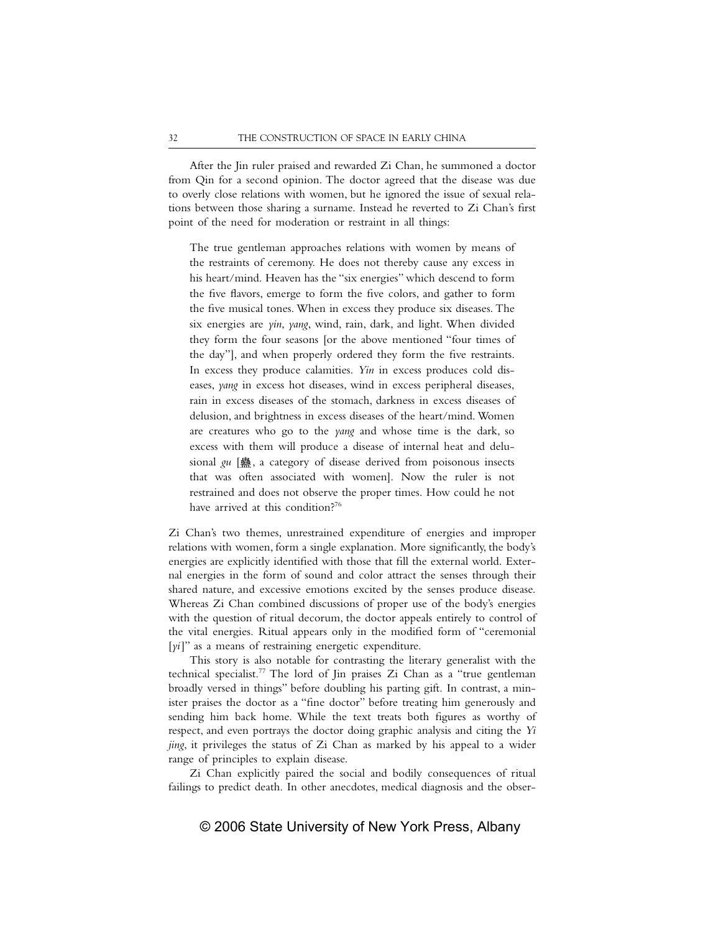After the Jin ruler praised and rewarded Zi Chan, he summoned a doctor from Qin for a second opinion. The doctor agreed that the disease was due to overly close relations with women, but he ignored the issue of sexual relations between those sharing a surname. Instead he reverted to Zi Chan's first point of the need for moderation or restraint in all things:

The true gentleman approaches relations with women by means of the restraints of ceremony. He does not thereby cause any excess in his heart/mind. Heaven has the "six energies" which descend to form the five flavors, emerge to form the five colors, and gather to form the five musical tones. When in excess they produce six diseases. The six energies are *yin*, *yang*, wind, rain, dark, and light. When divided they form the four seasons [or the above mentioned "four times of the day"], and when properly ordered they form the five restraints. In excess they produce calamities. *Yin* in excess produces cold diseases, *yang* in excess hot diseases, wind in excess peripheral diseases, rain in excess diseases of the stomach, darkness in excess diseases of delusion, and brightness in excess diseases of the heart/mind. Women are creatures who go to the *yang* and whose time is the dark, so excess with them will produce a disease of internal heat and delusional *gu* [蠱, a category of disease derived from poisonous insects that was often associated with women]. Now the ruler is not restrained and does not observe the proper times. How could he not have arrived at this condition?<sup>76</sup>

Zi Chan's two themes, unrestrained expenditure of energies and improper relations with women, form a single explanation. More significantly, the body's energies are explicitly identified with those that fill the external world. External energies in the form of sound and color attract the senses through their shared nature, and excessive emotions excited by the senses produce disease. Whereas Zi Chan combined discussions of proper use of the body's energies with the question of ritual decorum, the doctor appeals entirely to control of the vital energies. Ritual appears only in the modified form of "ceremonial [*yi*]" as a means of restraining energetic expenditure.

This story is also notable for contrasting the literary generalist with the technical specialist.<sup>77</sup> The lord of Jin praises Zi Chan as a "true gentleman broadly versed in things" before doubling his parting gift. In contrast, a minister praises the doctor as a "fine doctor" before treating him generously and sending him back home. While the text treats both figures as worthy of respect, and even portrays the doctor doing graphic analysis and citing the *Yi jing*, it privileges the status of Zi Chan as marked by his appeal to a wider range of principles to explain disease.

Zi Chan explicitly paired the social and bodily consequences of ritual failings to predict death. In other anecdotes, medical diagnosis and the obser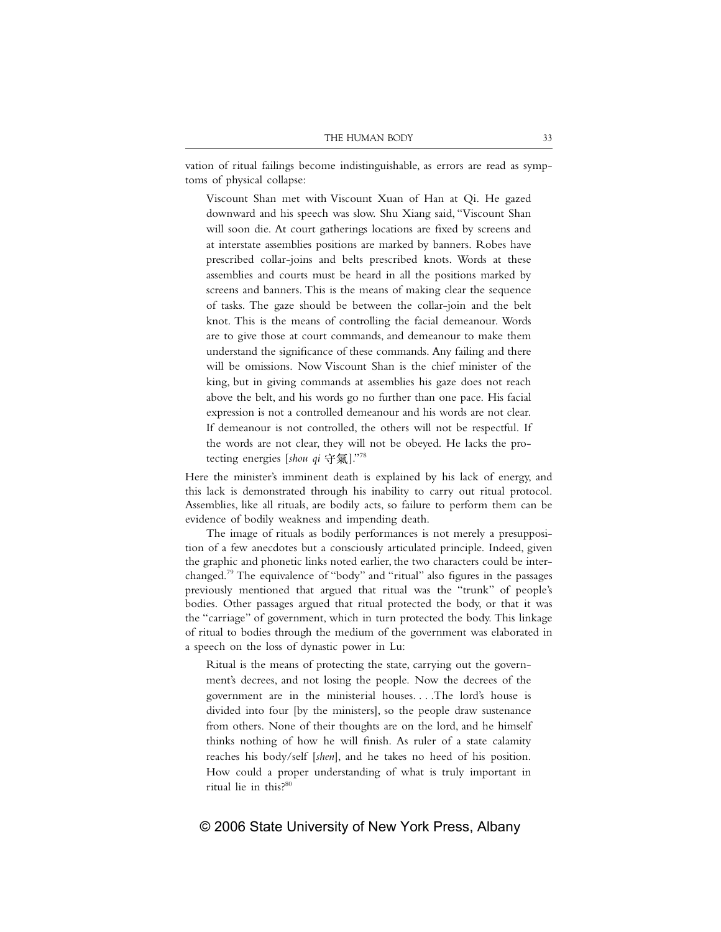vation of ritual failings become indistinguishable, as errors are read as symptoms of physical collapse:

Viscount Shan met with Viscount Xuan of Han at Qi. He gazed downward and his speech was slow. Shu Xiang said, "Viscount Shan will soon die. At court gatherings locations are fixed by screens and at interstate assemblies positions are marked by banners. Robes have prescribed collar-joins and belts prescribed knots. Words at these assemblies and courts must be heard in all the positions marked by screens and banners. This is the means of making clear the sequence of tasks. The gaze should be between the collar-join and the belt knot. This is the means of controlling the facial demeanour. Words are to give those at court commands, and demeanour to make them understand the significance of these commands. Any failing and there will be omissions. Now Viscount Shan is the chief minister of the king, but in giving commands at assemblies his gaze does not reach above the belt, and his words go no further than one pace. His facial expression is not a controlled demeanour and his words are not clear. If demeanour is not controlled, the others will not be respectful. If the words are not clear, they will not be obeyed. He lacks the protecting energies [shou qi 守氣]."<sup>78</sup>

Here the minister's imminent death is explained by his lack of energy, and this lack is demonstrated through his inability to carry out ritual protocol. Assemblies, like all rituals, are bodily acts, so failure to perform them can be evidence of bodily weakness and impending death.

The image of rituals as bodily performances is not merely a presupposition of a few anecdotes but a consciously articulated principle. Indeed, given the graphic and phonetic links noted earlier, the two characters could be interchanged.<sup>79</sup> The equivalence of "body" and "ritual" also figures in the passages previously mentioned that argued that ritual was the "trunk" of people's bodies. Other passages argued that ritual protected the body, or that it was the "carriage" of government, which in turn protected the body. This linkage of ritual to bodies through the medium of the government was elaborated in a speech on the loss of dynastic power in Lu:

Ritual is the means of protecting the state, carrying out the government's decrees, and not losing the people. Now the decrees of the government are in the ministerial houses. . . .The lord's house is divided into four [by the ministers], so the people draw sustenance from others. None of their thoughts are on the lord, and he himself thinks nothing of how he will finish. As ruler of a state calamity reaches his body/self [*shen*], and he takes no heed of his position. How could a proper understanding of what is truly important in ritual lie in this?<sup>80</sup>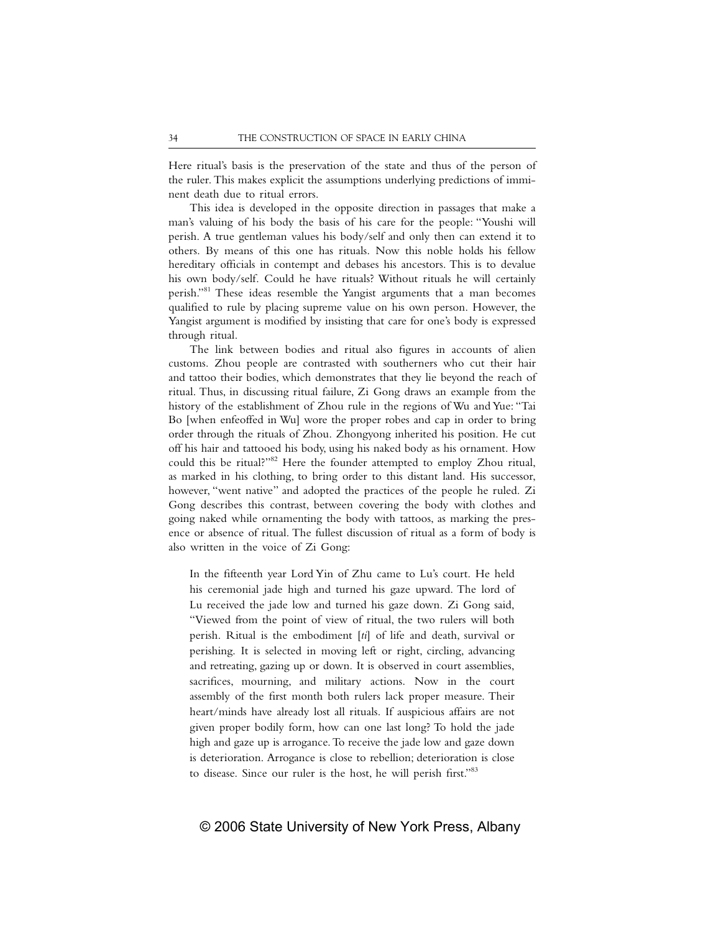Here ritual's basis is the preservation of the state and thus of the person of the ruler. This makes explicit the assumptions underlying predictions of imminent death due to ritual errors.

This idea is developed in the opposite direction in passages that make a man's valuing of his body the basis of his care for the people: "Youshi will perish. A true gentleman values his body/self and only then can extend it to others. By means of this one has rituals. Now this noble holds his fellow hereditary officials in contempt and debases his ancestors. This is to devalue his own body/self. Could he have rituals? Without rituals he will certainly perish."81 These ideas resemble the Yangist arguments that a man becomes qualified to rule by placing supreme value on his own person. However, the Yangist argument is modified by insisting that care for one's body is expressed through ritual.

The link between bodies and ritual also figures in accounts of alien customs. Zhou people are contrasted with southerners who cut their hair and tattoo their bodies, which demonstrates that they lie beyond the reach of ritual. Thus, in discussing ritual failure, Zi Gong draws an example from the history of the establishment of Zhou rule in the regions of Wu and Yue: "Tai Bo [when enfeoffed in Wu] wore the proper robes and cap in order to bring order through the rituals of Zhou. Zhongyong inherited his position. He cut off his hair and tattooed his body, using his naked body as his ornament. How could this be ritual?"82 Here the founder attempted to employ Zhou ritual, as marked in his clothing, to bring order to this distant land. His successor, however, "went native" and adopted the practices of the people he ruled. Zi Gong describes this contrast, between covering the body with clothes and going naked while ornamenting the body with tattoos, as marking the presence or absence of ritual. The fullest discussion of ritual as a form of body is also written in the voice of Zi Gong:

In the fifteenth year Lord Yin of Zhu came to Lu's court. He held his ceremonial jade high and turned his gaze upward. The lord of Lu received the jade low and turned his gaze down. Zi Gong said, "Viewed from the point of view of ritual, the two rulers will both perish. Ritual is the embodiment [*ti*] of life and death, survival or perishing. It is selected in moving left or right, circling, advancing and retreating, gazing up or down. It is observed in court assemblies, sacrifices, mourning, and military actions. Now in the court assembly of the first month both rulers lack proper measure. Their heart/minds have already lost all rituals. If auspicious affairs are not given proper bodily form, how can one last long? To hold the jade high and gaze up is arrogance. To receive the jade low and gaze down is deterioration. Arrogance is close to rebellion; deterioration is close to disease. Since our ruler is the host, he will perish first."83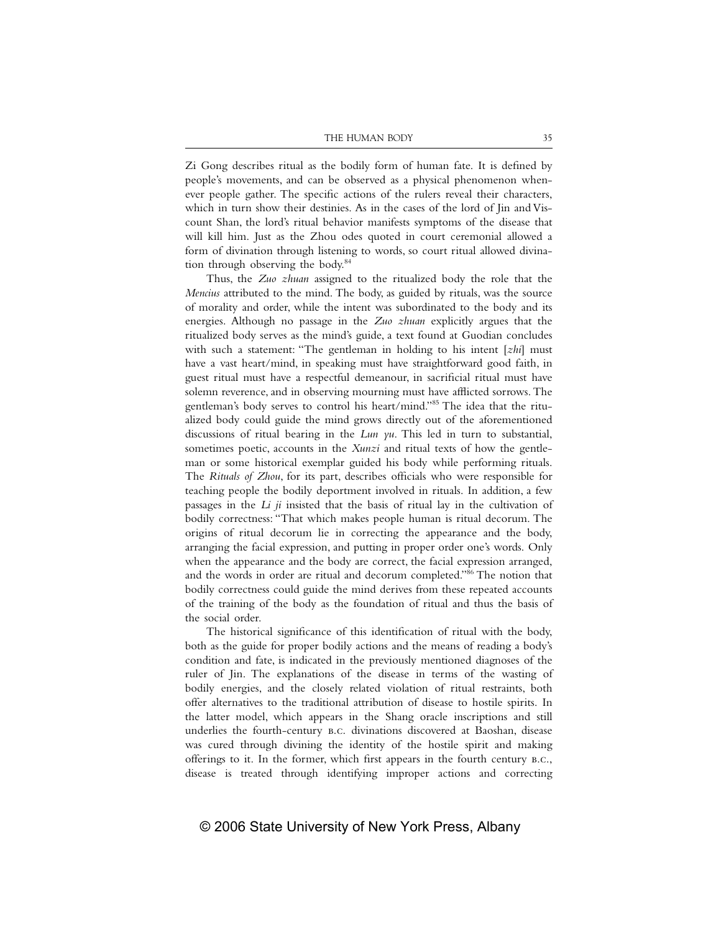Zi Gong describes ritual as the bodily form of human fate. It is defined by people's movements, and can be observed as a physical phenomenon whenever people gather. The specific actions of the rulers reveal their characters, which in turn show their destinies. As in the cases of the lord of Jin and Viscount Shan, the lord's ritual behavior manifests symptoms of the disease that will kill him. Just as the Zhou odes quoted in court ceremonial allowed a form of divination through listening to words, so court ritual allowed divination through observing the body.<sup>84</sup>

Thus, the *Zuo zhuan* assigned to the ritualized body the role that the *Mencius* attributed to the mind. The body, as guided by rituals, was the source of morality and order, while the intent was subordinated to the body and its energies. Although no passage in the *Zuo zhuan* explicitly argues that the ritualized body serves as the mind's guide, a text found at Guodian concludes with such a statement: "The gentleman in holding to his intent [*zhi*] must have a vast heart/mind, in speaking must have straightforward good faith, in guest ritual must have a respectful demeanour, in sacrificial ritual must have solemn reverence, and in observing mourning must have afflicted sorrows. The gentleman's body serves to control his heart/mind."<sup>85</sup> The idea that the ritualized body could guide the mind grows directly out of the aforementioned discussions of ritual bearing in the *Lun yu*. This led in turn to substantial, sometimes poetic, accounts in the *Xunzi* and ritual texts of how the gentleman or some historical exemplar guided his body while performing rituals. The *Rituals of Zhou*, for its part, describes officials who were responsible for teaching people the bodily deportment involved in rituals. In addition, a few passages in the *Li ji* insisted that the basis of ritual lay in the cultivation of bodily correctness: "That which makes people human is ritual decorum. The origins of ritual decorum lie in correcting the appearance and the body, arranging the facial expression, and putting in proper order one's words. Only when the appearance and the body are correct, the facial expression arranged, and the words in order are ritual and decorum completed."<sup>86</sup> The notion that bodily correctness could guide the mind derives from these repeated accounts of the training of the body as the foundation of ritual and thus the basis of the social order.

The historical significance of this identification of ritual with the body, both as the guide for proper bodily actions and the means of reading a body's condition and fate, is indicated in the previously mentioned diagnoses of the ruler of Jin. The explanations of the disease in terms of the wasting of bodily energies, and the closely related violation of ritual restraints, both offer alternatives to the traditional attribution of disease to hostile spirits. In the latter model, which appears in the Shang oracle inscriptions and still underlies the fourth-century b.c. divinations discovered at Baoshan, disease was cured through divining the identity of the hostile spirit and making offerings to it. In the former, which first appears in the fourth century b.c., disease is treated through identifying improper actions and correcting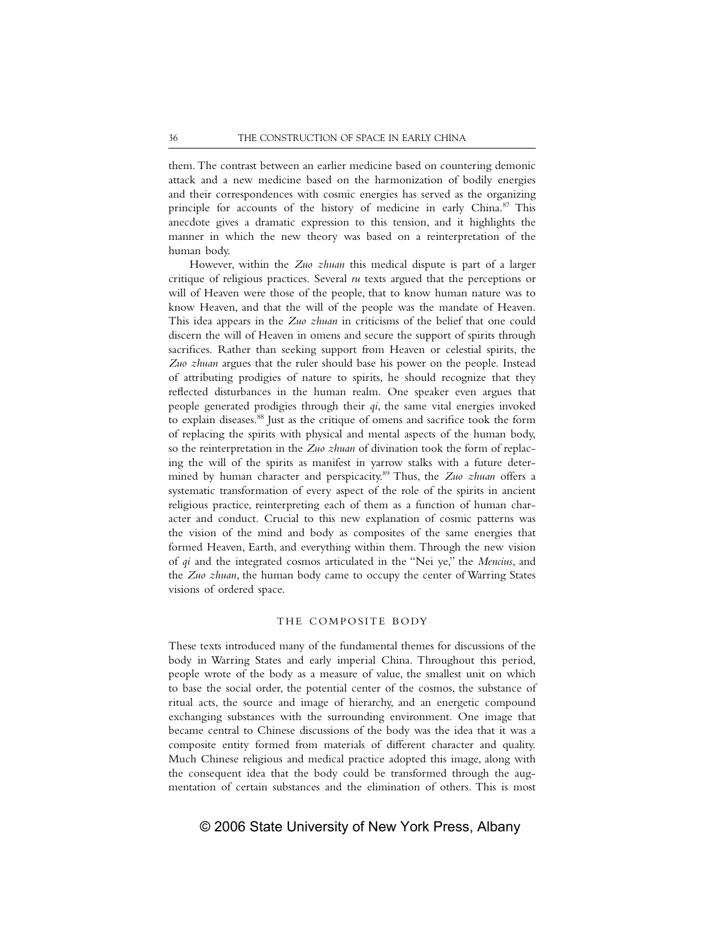them. The contrast between an earlier medicine based on countering demonic attack and a new medicine based on the harmonization of bodily energies and their correspondences with cosmic energies has served as the organizing principle for accounts of the history of medicine in early China.<sup>87</sup> This anecdote gives a dramatic expression to this tension, and it highlights the manner in which the new theory was based on a reinterpretation of the human body.

However, within the *Zuo zhuan* this medical dispute is part of a larger critique of religious practices. Several *ru* texts argued that the perceptions or will of Heaven were those of the people, that to know human nature was to know Heaven, and that the will of the people was the mandate of Heaven. This idea appears in the *Zuo zhuan* in criticisms of the belief that one could discern the will of Heaven in omens and secure the support of spirits through sacrifices. Rather than seeking support from Heaven or celestial spirits, the *Zuo zhuan* argues that the ruler should base his power on the people. Instead of attributing prodigies of nature to spirits, he should recognize that they reflected disturbances in the human realm. One speaker even argues that people generated prodigies through their *qi*, the same vital energies invoked to explain diseases.88 Just as the critique of omens and sacrifice took the form of replacing the spirits with physical and mental aspects of the human body, so the reinterpretation in the *Zuo zhuan* of divination took the form of replacing the will of the spirits as manifest in yarrow stalks with a future determined by human character and perspicacity.<sup>89</sup> Thus, the *Zuo zhuan* offers a systematic transformation of every aspect of the role of the spirits in ancient religious practice, reinterpreting each of them as a function of human character and conduct. Crucial to this new explanation of cosmic patterns was the vision of the mind and body as composites of the same energies that formed Heaven, Earth, and everything within them. Through the new vision of *qi* and the integrated cosmos articulated in the "Nei ye," the *Mencius*, and the *Zuo zhuan*, the human body came to occupy the center of Warring States visions of ordered space.

#### THE COMPOSITE BODY

These texts introduced many of the fundamental themes for discussions of the body in Warring States and early imperial China. Throughout this period, people wrote of the body as a measure of value, the smallest unit on which to base the social order, the potential center of the cosmos, the substance of ritual acts, the source and image of hierarchy, and an energetic compound exchanging substances with the surrounding environment. One image that became central to Chinese discussions of the body was the idea that it was a composite entity formed from materials of different character and quality. Much Chinese religious and medical practice adopted this image, along with the consequent idea that the body could be transformed through the augmentation of certain substances and the elimination of others. This is most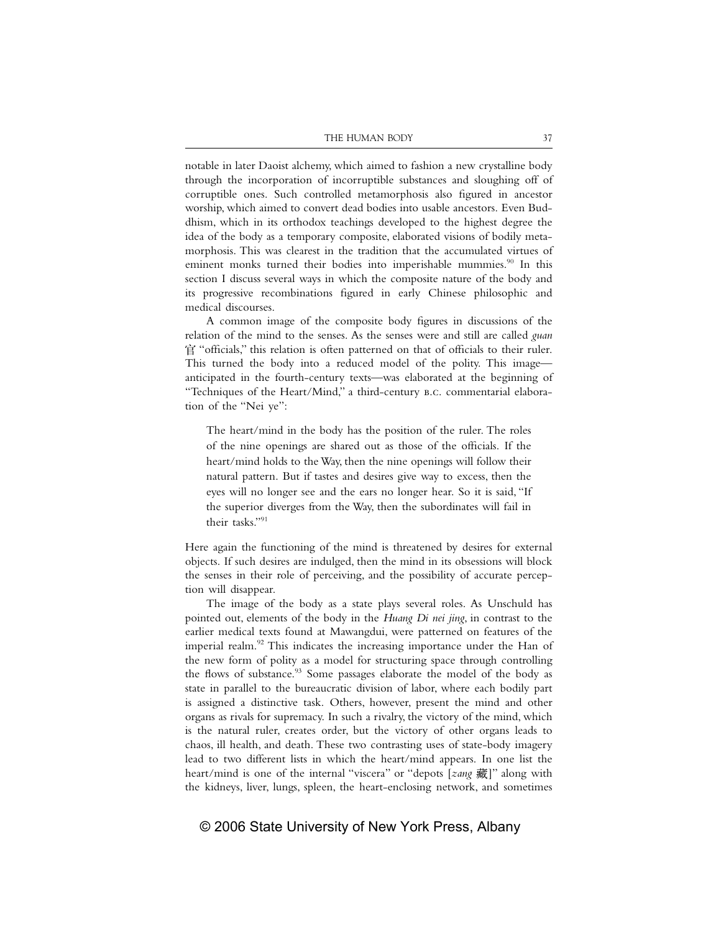notable in later Daoist alchemy, which aimed to fashion a new crystalline body through the incorporation of incorruptible substances and sloughing off of corruptible ones. Such controlled metamorphosis also figured in ancestor worship, which aimed to convert dead bodies into usable ancestors. Even Buddhism, which in its orthodox teachings developed to the highest degree the idea of the body as a temporary composite, elaborated visions of bodily metamorphosis. This was clearest in the tradition that the accumulated virtues of eminent monks turned their bodies into imperishable mummies.<sup>90</sup> In this section I discuss several ways in which the composite nature of the body and its progressive recombinations figured in early Chinese philosophic and medical discourses.

A common image of the composite body figures in discussions of the relation of the mind to the senses. As the senses were and still are called *guan* 官 "officials," this relation is often patterned on that of officials to their ruler. This turned the body into a reduced model of the polity. This image anticipated in the fourth-century texts—was elaborated at the beginning of "Techniques of the Heart/Mind," a third-century b.c. commentarial elaboration of the "Nei ye":

The heart/mind in the body has the position of the ruler. The roles of the nine openings are shared out as those of the officials. If the heart/mind holds to the Way, then the nine openings will follow their natural pattern. But if tastes and desires give way to excess, then the eyes will no longer see and the ears no longer hear. So it is said, "If the superior diverges from the Way, then the subordinates will fail in their tasks<sup>"91</sup>

Here again the functioning of the mind is threatened by desires for external objects. If such desires are indulged, then the mind in its obsessions will block the senses in their role of perceiving, and the possibility of accurate perception will disappear.

The image of the body as a state plays several roles. As Unschuld has pointed out, elements of the body in the *Huang Di nei jing*, in contrast to the earlier medical texts found at Mawangdui, were patterned on features of the imperial realm. $92$  This indicates the increasing importance under the Han of the new form of polity as a model for structuring space through controlling the flows of substance.<sup>93</sup> Some passages elaborate the model of the body as state in parallel to the bureaucratic division of labor, where each bodily part is assigned a distinctive task. Others, however, present the mind and other organs as rivals for supremacy. In such a rivalry, the victory of the mind, which is the natural ruler, creates order, but the victory of other organs leads to chaos, ill health, and death. These two contrasting uses of state-body imagery lead to two different lists in which the heart/mind appears. In one list the heart/mind is one of the internal "viscera" or "depots [*zang* 藏]" along with the kidneys, liver, lungs, spleen, the heart-enclosing network, and sometimes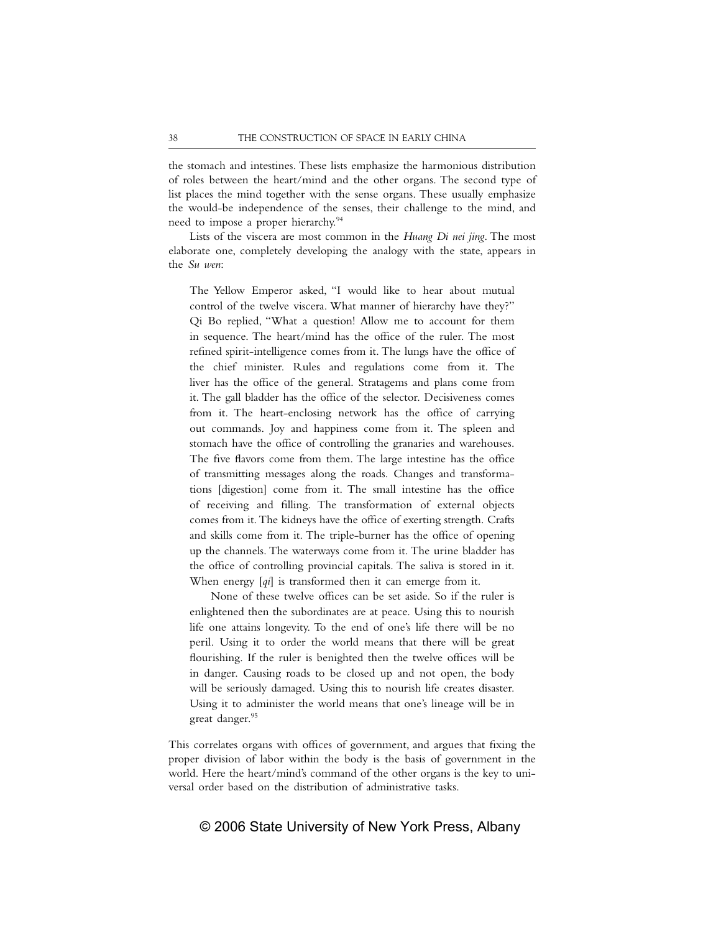the stomach and intestines. These lists emphasize the harmonious distribution of roles between the heart/mind and the other organs. The second type of list places the mind together with the sense organs. These usually emphasize the would-be independence of the senses, their challenge to the mind, and need to impose a proper hierarchy.<sup>94</sup>

Lists of the viscera are most common in the *Huang Di nei jing*. The most elaborate one, completely developing the analogy with the state, appears in the *Su wen*:

The Yellow Emperor asked, "I would like to hear about mutual control of the twelve viscera. What manner of hierarchy have they?" Qi Bo replied, "What a question! Allow me to account for them in sequence. The heart/mind has the office of the ruler. The most refined spirit-intelligence comes from it. The lungs have the office of the chief minister. Rules and regulations come from it. The liver has the office of the general. Stratagems and plans come from it. The gall bladder has the office of the selector. Decisiveness comes from it. The heart-enclosing network has the office of carrying out commands. Joy and happiness come from it. The spleen and stomach have the office of controlling the granaries and warehouses. The five flavors come from them. The large intestine has the office of transmitting messages along the roads. Changes and transformations [digestion] come from it. The small intestine has the office of receiving and filling. The transformation of external objects comes from it. The kidneys have the office of exerting strength. Crafts and skills come from it. The triple-burner has the office of opening up the channels. The waterways come from it. The urine bladder has the office of controlling provincial capitals. The saliva is stored in it. When energy [*qi*] is transformed then it can emerge from it.

None of these twelve offices can be set aside. So if the ruler is enlightened then the subordinates are at peace. Using this to nourish life one attains longevity. To the end of one's life there will be no peril. Using it to order the world means that there will be great flourishing. If the ruler is benighted then the twelve offices will be in danger. Causing roads to be closed up and not open, the body will be seriously damaged. Using this to nourish life creates disaster. Using it to administer the world means that one's lineage will be in great danger.<sup>95</sup>

This correlates organs with offices of government, and argues that fixing the proper division of labor within the body is the basis of government in the world. Here the heart/mind's command of the other organs is the key to universal order based on the distribution of administrative tasks.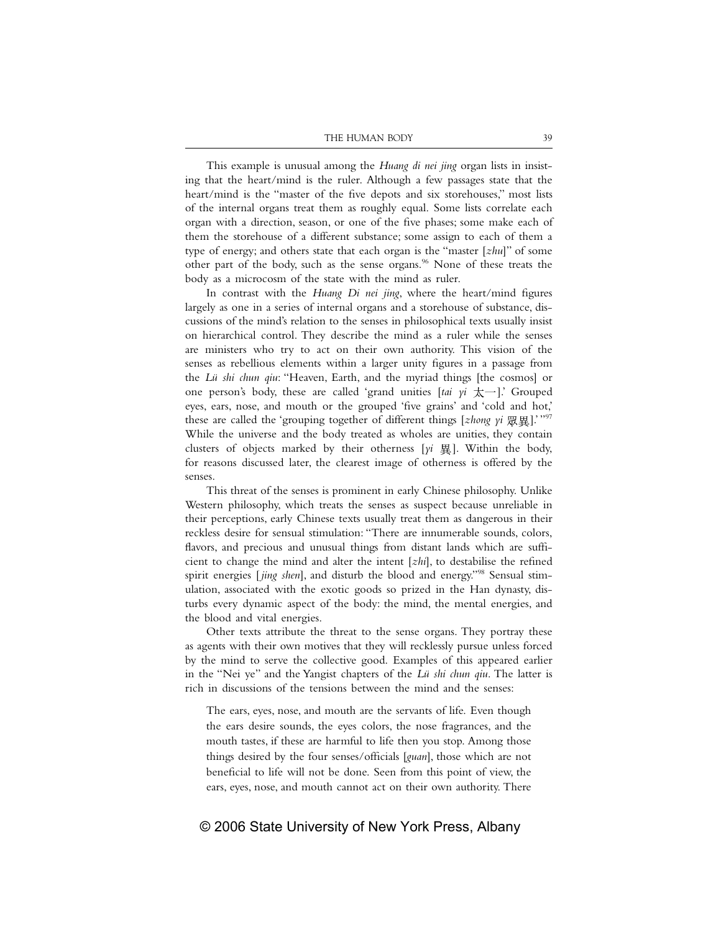This example is unusual among the *Huang di nei jing* organ lists in insisting that the heart/mind is the ruler. Although a few passages state that the heart/mind is the "master of the five depots and six storehouses," most lists of the internal organs treat them as roughly equal. Some lists correlate each organ with a direction, season, or one of the five phases; some make each of them the storehouse of a different substance; some assign to each of them a type of energy; and others state that each organ is the "master [*zhu*]" of some other part of the body, such as the sense organs.<sup>96</sup> None of these treats the body as a microcosm of the state with the mind as ruler.

In contrast with the *Huang Di nei jing*, where the heart/mind figures largely as one in a series of internal organs and a storehouse of substance, discussions of the mind's relation to the senses in philosophical texts usually insist on hierarchical control. They describe the mind as a ruler while the senses are ministers who try to act on their own authority. This vision of the senses as rebellious elements within a larger unity figures in a passage from the *Lü shi chun qiu*: "Heaven, Earth, and the myriad things [the cosmos] or one person's body, these are called 'grand unities  $[tai \, yi \, \pm]$ .' Grouped eyes, ears, nose, and mouth or the grouped 'five grains' and 'cold and hot,' these are called the 'grouping together of different things  $[z \text{hom } y_i \boxtimes \underline{\mathbb{H}}]$ .''<sup>97</sup> While the universe and the body treated as wholes are unities, they contain clusters of objects marked by their otherness  $[y_i \mathbf{H}]$ . Within the body, for reasons discussed later, the clearest image of otherness is offered by the senses.

This threat of the senses is prominent in early Chinese philosophy. Unlike Western philosophy, which treats the senses as suspect because unreliable in their perceptions, early Chinese texts usually treat them as dangerous in their reckless desire for sensual stimulation: "There are innumerable sounds, colors, flavors, and precious and unusual things from distant lands which are sufficient to change the mind and alter the intent [*zhi*], to destabilise the refined spirit energies [ *jing shen*], and disturb the blood and energy."<sup>98</sup> Sensual stimulation, associated with the exotic goods so prized in the Han dynasty, disturbs every dynamic aspect of the body: the mind, the mental energies, and the blood and vital energies.

Other texts attribute the threat to the sense organs. They portray these as agents with their own motives that they will recklessly pursue unless forced by the mind to serve the collective good. Examples of this appeared earlier in the "Nei ye" and the Yangist chapters of the *Lü shi chun qiu*. The latter is rich in discussions of the tensions between the mind and the senses:

The ears, eyes, nose, and mouth are the servants of life. Even though the ears desire sounds, the eyes colors, the nose fragrances, and the mouth tastes, if these are harmful to life then you stop. Among those things desired by the four senses/officials [*guan*], those which are not beneficial to life will not be done. Seen from this point of view, the ears, eyes, nose, and mouth cannot act on their own authority. There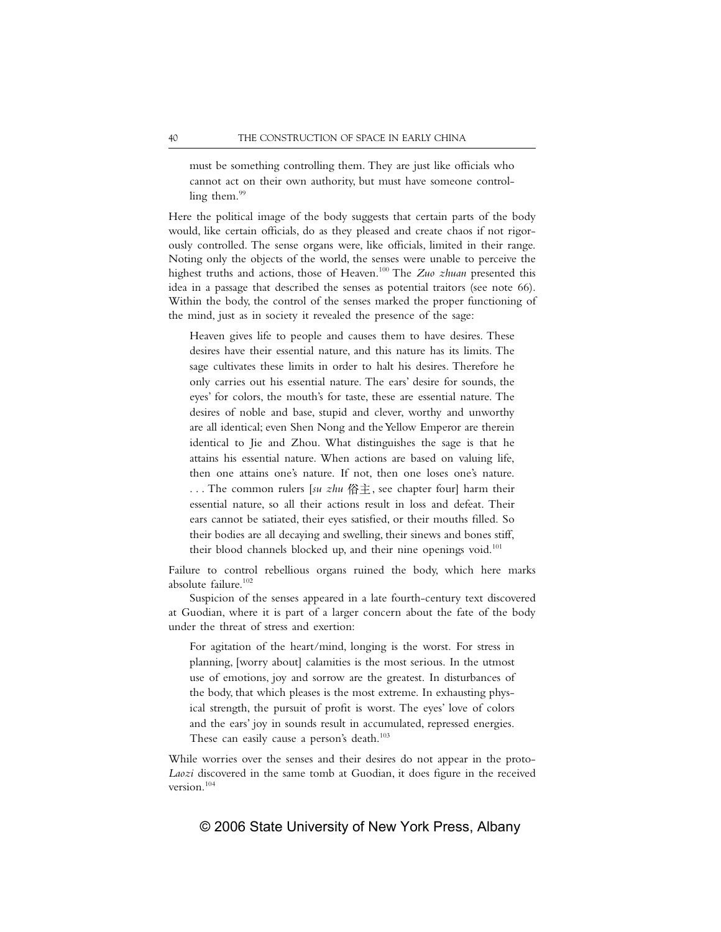must be something controlling them. They are just like officials who cannot act on their own authority, but must have someone controlling them. $99$ 

Here the political image of the body suggests that certain parts of the body would, like certain officials, do as they pleased and create chaos if not rigorously controlled. The sense organs were, like officials, limited in their range. Noting only the objects of the world, the senses were unable to perceive the highest truths and actions, those of Heaven.<sup>100</sup> The *Zuo zhuan* presented this idea in a passage that described the senses as potential traitors (see note 66). Within the body, the control of the senses marked the proper functioning of the mind, just as in society it revealed the presence of the sage:

Heaven gives life to people and causes them to have desires. These desires have their essential nature, and this nature has its limits. The sage cultivates these limits in order to halt his desires. Therefore he only carries out his essential nature. The ears' desire for sounds, the eyes' for colors, the mouth's for taste, these are essential nature. The desires of noble and base, stupid and clever, worthy and unworthy are all identical; even Shen Nong and the Yellow Emperor are therein identical to Jie and Zhou. What distinguishes the sage is that he attains his essential nature. When actions are based on valuing life, then one attains one's nature. If not, then one loses one's nature. ... The common rulers [su zhu 俗主, see chapter four] harm their essential nature, so all their actions result in loss and defeat. Their ears cannot be satiated, their eyes satisfied, or their mouths filled. So their bodies are all decaying and swelling, their sinews and bones stiff, their blood channels blocked up, and their nine openings void.<sup>101</sup>

Failure to control rebellious organs ruined the body, which here marks absolute failure.<sup>102</sup>

Suspicion of the senses appeared in a late fourth-century text discovered at Guodian, where it is part of a larger concern about the fate of the body under the threat of stress and exertion:

For agitation of the heart/mind, longing is the worst. For stress in planning, [worry about] calamities is the most serious. In the utmost use of emotions, joy and sorrow are the greatest. In disturbances of the body, that which pleases is the most extreme. In exhausting physical strength, the pursuit of profit is worst. The eyes' love of colors and the ears' joy in sounds result in accumulated, repressed energies. These can easily cause a person's death.<sup>103</sup>

While worries over the senses and their desires do not appear in the proto-*Laozi* discovered in the same tomb at Guodian, it does figure in the received version.104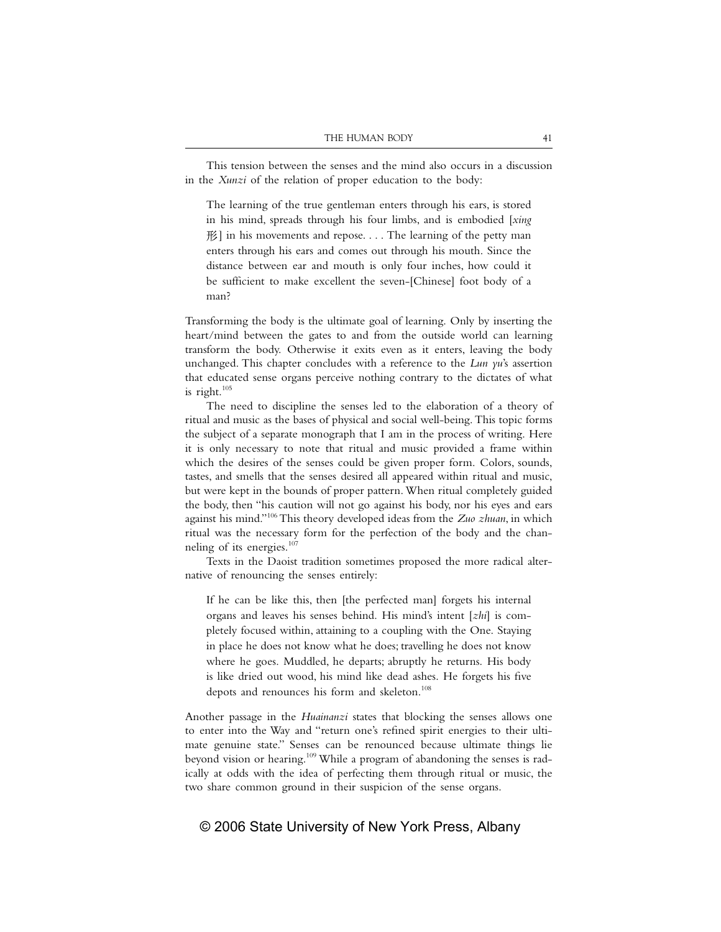This tension between the senses and the mind also occurs in a discussion in the *Xunzi* of the relation of proper education to the body:

The learning of the true gentleman enters through his ears, is stored in his mind, spreads through his four limbs, and is embodied [*xing*  $E$ ] in his movements and repose.... The learning of the petty man enters through his ears and comes out through his mouth. Since the distance between ear and mouth is only four inches, how could it be sufficient to make excellent the seven-[Chinese] foot body of a man?

Transforming the body is the ultimate goal of learning. Only by inserting the heart/mind between the gates to and from the outside world can learning transform the body. Otherwise it exits even as it enters, leaving the body unchanged. This chapter concludes with a reference to the *Lun yu*'s assertion that educated sense organs perceive nothing contrary to the dictates of what is right. $105$ 

The need to discipline the senses led to the elaboration of a theory of ritual and music as the bases of physical and social well-being. This topic forms the subject of a separate monograph that I am in the process of writing. Here it is only necessary to note that ritual and music provided a frame within which the desires of the senses could be given proper form. Colors, sounds, tastes, and smells that the senses desired all appeared within ritual and music, but were kept in the bounds of proper pattern. When ritual completely guided the body, then "his caution will not go against his body, nor his eyes and ears against his mind."<sup>106</sup> This theory developed ideas from the *Zuo zhuan*, in which ritual was the necessary form for the perfection of the body and the channeling of its energies.<sup>107</sup>

Texts in the Daoist tradition sometimes proposed the more radical alternative of renouncing the senses entirely:

If he can be like this, then [the perfected man] forgets his internal organs and leaves his senses behind. His mind's intent [*zhi*] is completely focused within, attaining to a coupling with the One. Staying in place he does not know what he does; travelling he does not know where he goes. Muddled, he departs; abruptly he returns. His body is like dried out wood, his mind like dead ashes. He forgets his five depots and renounces his form and skeleton.<sup>108</sup>

Another passage in the *Huainanzi* states that blocking the senses allows one to enter into the Way and "return one's refined spirit energies to their ultimate genuine state." Senses can be renounced because ultimate things lie beyond vision or hearing.<sup>109</sup> While a program of abandoning the senses is radically at odds with the idea of perfecting them through ritual or music, the two share common ground in their suspicion of the sense organs.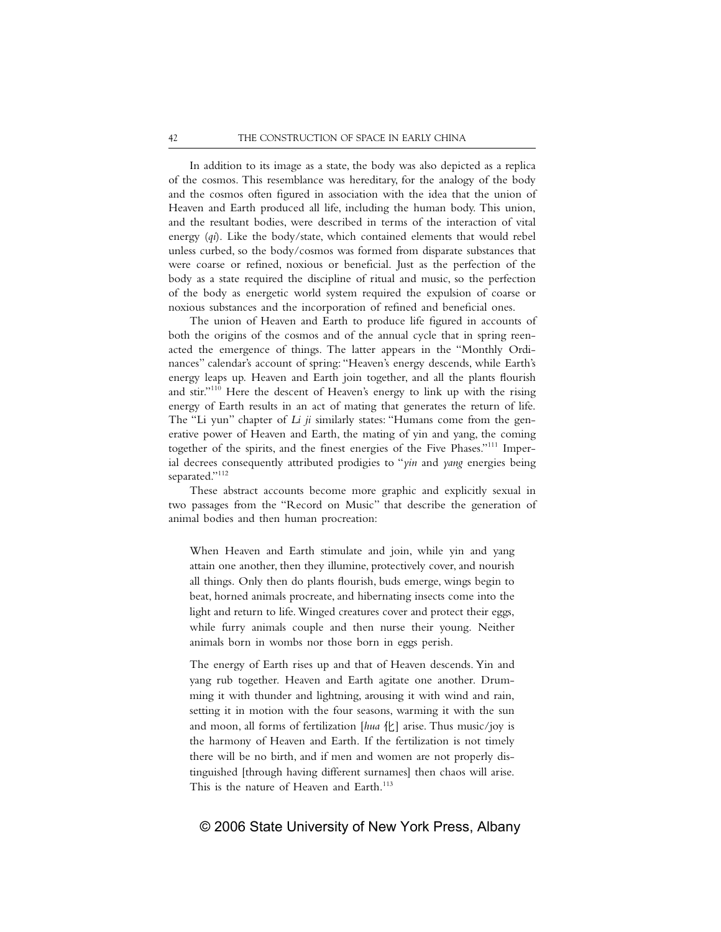In addition to its image as a state, the body was also depicted as a replica of the cosmos. This resemblance was hereditary, for the analogy of the body and the cosmos often figured in association with the idea that the union of Heaven and Earth produced all life, including the human body. This union, and the resultant bodies, were described in terms of the interaction of vital energy (*qi*). Like the body/state, which contained elements that would rebel unless curbed, so the body/cosmos was formed from disparate substances that were coarse or refined, noxious or beneficial. Just as the perfection of the body as a state required the discipline of ritual and music, so the perfection of the body as energetic world system required the expulsion of coarse or noxious substances and the incorporation of refined and beneficial ones.

The union of Heaven and Earth to produce life figured in accounts of both the origins of the cosmos and of the annual cycle that in spring reenacted the emergence of things. The latter appears in the "Monthly Ordinances" calendar's account of spring: "Heaven's energy descends, while Earth's energy leaps up. Heaven and Earth join together, and all the plants flourish and stir."110 Here the descent of Heaven's energy to link up with the rising energy of Earth results in an act of mating that generates the return of life. The "Li yun" chapter of *Li ji* similarly states: "Humans come from the generative power of Heaven and Earth, the mating of yin and yang, the coming together of the spirits, and the finest energies of the Five Phases."<sup>111</sup> Imperial decrees consequently attributed prodigies to "*yin* and *yang* energies being separated."112

These abstract accounts become more graphic and explicitly sexual in two passages from the "Record on Music" that describe the generation of animal bodies and then human procreation:

When Heaven and Earth stimulate and join, while yin and yang attain one another, then they illumine, protectively cover, and nourish all things. Only then do plants flourish, buds emerge, wings begin to beat, horned animals procreate, and hibernating insects come into the light and return to life. Winged creatures cover and protect their eggs, while furry animals couple and then nurse their young. Neither animals born in wombs nor those born in eggs perish.

The energy of Earth rises up and that of Heaven descends. Yin and yang rub together. Heaven and Earth agitate one another. Drumming it with thunder and lightning, arousing it with wind and rain, setting it in motion with the four seasons, warming it with the sun and moon, all forms of fertilization  $[hua \nvert \xi]$  arise. Thus music/joy is the harmony of Heaven and Earth. If the fertilization is not timely there will be no birth, and if men and women are not properly distinguished [through having different surnames] then chaos will arise. This is the nature of Heaven and Earth.<sup>113</sup>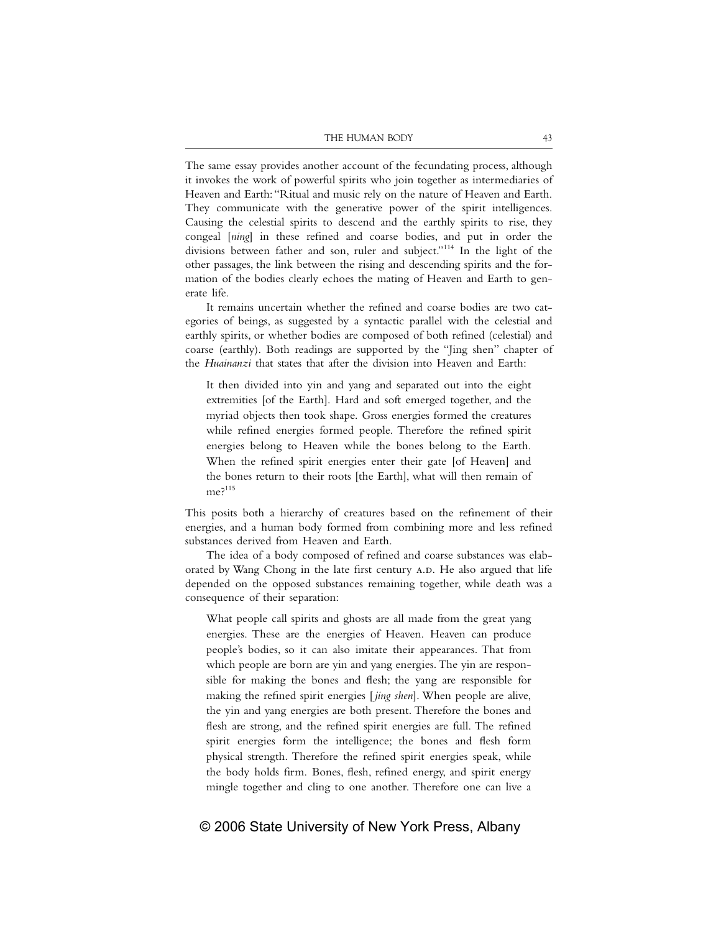The same essay provides another account of the fecundating process, although it invokes the work of powerful spirits who join together as intermediaries of Heaven and Earth:"Ritual and music rely on the nature of Heaven and Earth. They communicate with the generative power of the spirit intelligences. Causing the celestial spirits to descend and the earthly spirits to rise, they congeal [*ning*] in these refined and coarse bodies, and put in order the divisions between father and son, ruler and subject."<sup>114</sup> In the light of the other passages, the link between the rising and descending spirits and the formation of the bodies clearly echoes the mating of Heaven and Earth to generate life.

It remains uncertain whether the refined and coarse bodies are two categories of beings, as suggested by a syntactic parallel with the celestial and earthly spirits, or whether bodies are composed of both refined (celestial) and coarse (earthly). Both readings are supported by the "Jing shen" chapter of the *Huainanzi* that states that after the division into Heaven and Earth:

It then divided into yin and yang and separated out into the eight extremities [of the Earth]. Hard and soft emerged together, and the myriad objects then took shape. Gross energies formed the creatures while refined energies formed people. Therefore the refined spirit energies belong to Heaven while the bones belong to the Earth. When the refined spirit energies enter their gate [of Heaven] and the bones return to their roots [the Earth], what will then remain of me?<sup>115</sup>

This posits both a hierarchy of creatures based on the refinement of their energies, and a human body formed from combining more and less refined substances derived from Heaven and Earth.

The idea of a body composed of refined and coarse substances was elaborated by Wang Chong in the late first century A.D. He also argued that life depended on the opposed substances remaining together, while death was a consequence of their separation:

What people call spirits and ghosts are all made from the great yang energies. These are the energies of Heaven. Heaven can produce people's bodies, so it can also imitate their appearances. That from which people are born are yin and yang energies. The yin are responsible for making the bones and flesh; the yang are responsible for making the refined spirit energies [*jing shen*]. When people are alive, the yin and yang energies are both present. Therefore the bones and flesh are strong, and the refined spirit energies are full. The refined spirit energies form the intelligence; the bones and flesh form physical strength. Therefore the refined spirit energies speak, while the body holds firm. Bones, flesh, refined energy, and spirit energy mingle together and cling to one another. Therefore one can live a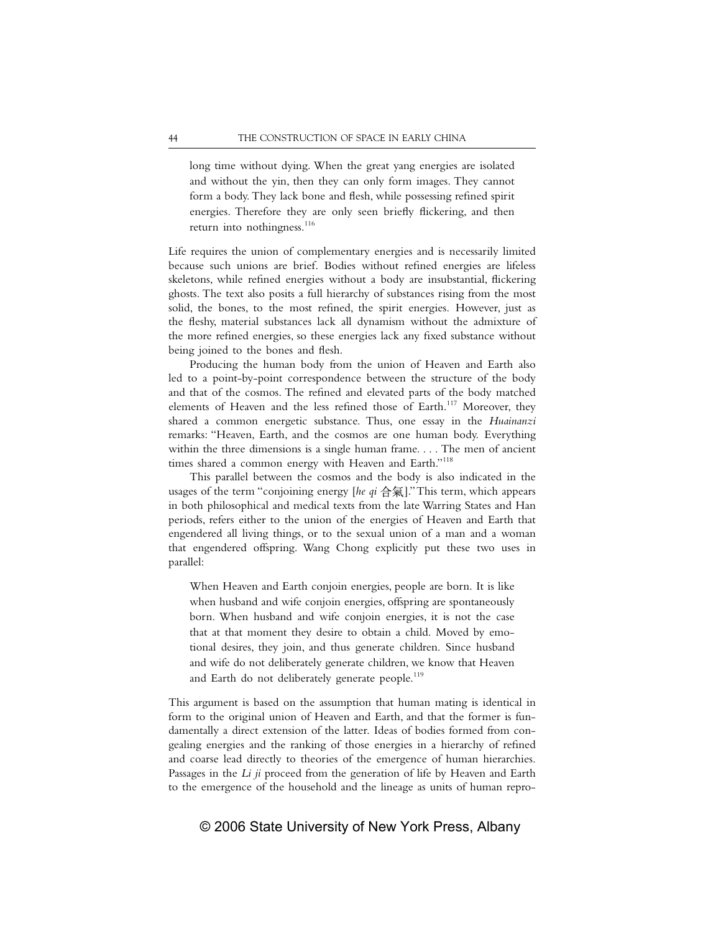long time without dying. When the great yang energies are isolated and without the yin, then they can only form images. They cannot form a body. They lack bone and flesh, while possessing refined spirit energies. Therefore they are only seen briefly flickering, and then return into nothingness.<sup>116</sup>

Life requires the union of complementary energies and is necessarily limited because such unions are brief. Bodies without refined energies are lifeless skeletons, while refined energies without a body are insubstantial, flickering ghosts. The text also posits a full hierarchy of substances rising from the most solid, the bones, to the most refined, the spirit energies. However, just as the fleshy, material substances lack all dynamism without the admixture of the more refined energies, so these energies lack any fixed substance without being joined to the bones and flesh.

Producing the human body from the union of Heaven and Earth also led to a point-by-point correspondence between the structure of the body and that of the cosmos. The refined and elevated parts of the body matched elements of Heaven and the less refined those of Earth.<sup>117</sup> Moreover, they shared a common energetic substance. Thus, one essay in the *Huainanzi* remarks: "Heaven, Earth, and the cosmos are one human body. Everything within the three dimensions is a single human frame.... The men of ancient times shared a common energy with Heaven and Earth."<sup>118</sup>

This parallel between the cosmos and the body is also indicated in the usages of the term "conjoining energy [he qi 合氣]."This term, which appears in both philosophical and medical texts from the late Warring States and Han periods, refers either to the union of the energies of Heaven and Earth that engendered all living things, or to the sexual union of a man and a woman that engendered offspring. Wang Chong explicitly put these two uses in parallel:

When Heaven and Earth conjoin energies, people are born. It is like when husband and wife conjoin energies, offspring are spontaneously born. When husband and wife conjoin energies, it is not the case that at that moment they desire to obtain a child. Moved by emotional desires, they join, and thus generate children. Since husband and wife do not deliberately generate children, we know that Heaven and Earth do not deliberately generate people.<sup>119</sup>

This argument is based on the assumption that human mating is identical in form to the original union of Heaven and Earth, and that the former is fundamentally a direct extension of the latter. Ideas of bodies formed from congealing energies and the ranking of those energies in a hierarchy of refined and coarse lead directly to theories of the emergence of human hierarchies. Passages in the *Li ji* proceed from the generation of life by Heaven and Earth to the emergence of the household and the lineage as units of human repro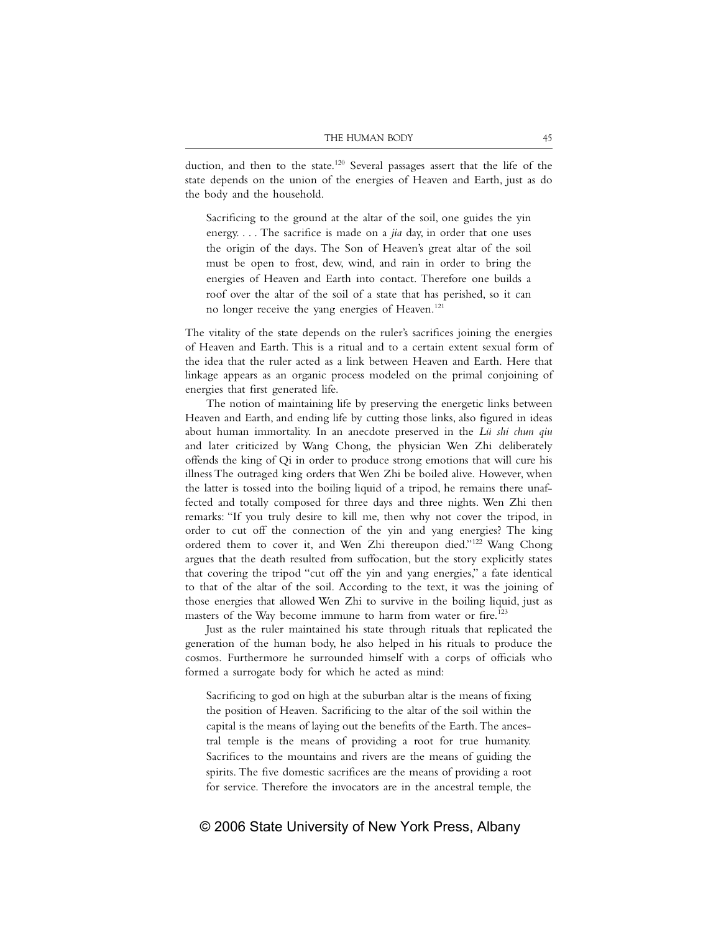duction, and then to the state.<sup>120</sup> Several passages assert that the life of the state depends on the union of the energies of Heaven and Earth, just as do the body and the household.

Sacrificing to the ground at the altar of the soil, one guides the yin energy.... The sacrifice is made on a *jia* day, in order that one uses the origin of the days. The Son of Heaven's great altar of the soil must be open to frost, dew, wind, and rain in order to bring the energies of Heaven and Earth into contact. Therefore one builds a roof over the altar of the soil of a state that has perished, so it can no longer receive the yang energies of Heaven.<sup>121</sup>

The vitality of the state depends on the ruler's sacrifices joining the energies of Heaven and Earth. This is a ritual and to a certain extent sexual form of the idea that the ruler acted as a link between Heaven and Earth. Here that linkage appears as an organic process modeled on the primal conjoining of energies that first generated life.

The notion of maintaining life by preserving the energetic links between Heaven and Earth, and ending life by cutting those links, also figured in ideas about human immortality. In an anecdote preserved in the *Lü shi chun qiu* and later criticized by Wang Chong, the physician Wen Zhi deliberately offends the king of Qi in order to produce strong emotions that will cure his illness The outraged king orders that Wen Zhi be boiled alive. However, when the latter is tossed into the boiling liquid of a tripod, he remains there unaffected and totally composed for three days and three nights. Wen Zhi then remarks: "If you truly desire to kill me, then why not cover the tripod, in order to cut off the connection of the yin and yang energies? The king ordered them to cover it, and Wen Zhi thereupon died."122 Wang Chong argues that the death resulted from suffocation, but the story explicitly states that covering the tripod "cut off the yin and yang energies," a fate identical to that of the altar of the soil. According to the text, it was the joining of those energies that allowed Wen Zhi to survive in the boiling liquid, just as masters of the Way become immune to harm from water or fire.<sup>123</sup>

Just as the ruler maintained his state through rituals that replicated the generation of the human body, he also helped in his rituals to produce the cosmos. Furthermore he surrounded himself with a corps of officials who formed a surrogate body for which he acted as mind:

Sacrificing to god on high at the suburban altar is the means of fixing the position of Heaven. Sacrificing to the altar of the soil within the capital is the means of laying out the benefits of the Earth. The ancestral temple is the means of providing a root for true humanity. Sacrifices to the mountains and rivers are the means of guiding the spirits. The five domestic sacrifices are the means of providing a root for service. Therefore the invocators are in the ancestral temple, the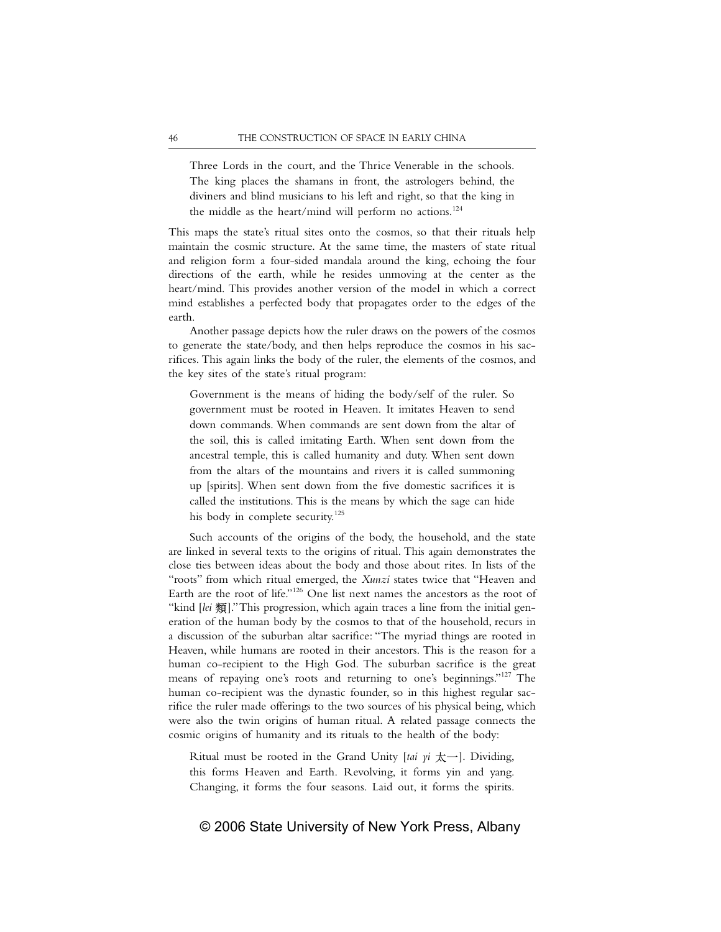Three Lords in the court, and the Thrice Venerable in the schools. The king places the shamans in front, the astrologers behind, the diviners and blind musicians to his left and right, so that the king in the middle as the heart/mind will perform no actions.<sup>124</sup>

This maps the state's ritual sites onto the cosmos, so that their rituals help maintain the cosmic structure. At the same time, the masters of state ritual and religion form a four-sided mandala around the king, echoing the four directions of the earth, while he resides unmoving at the center as the heart/mind. This provides another version of the model in which a correct mind establishes a perfected body that propagates order to the edges of the earth.

Another passage depicts how the ruler draws on the powers of the cosmos to generate the state/body, and then helps reproduce the cosmos in his sacrifices. This again links the body of the ruler, the elements of the cosmos, and the key sites of the state's ritual program:

Government is the means of hiding the body/self of the ruler. So government must be rooted in Heaven. It imitates Heaven to send down commands. When commands are sent down from the altar of the soil, this is called imitating Earth. When sent down from the ancestral temple, this is called humanity and duty. When sent down from the altars of the mountains and rivers it is called summoning up [spirits]. When sent down from the five domestic sacrifices it is called the institutions. This is the means by which the sage can hide his body in complete security.<sup>125</sup>

Such accounts of the origins of the body, the household, and the state are linked in several texts to the origins of ritual. This again demonstrates the close ties between ideas about the body and those about rites. In lists of the "roots" from which ritual emerged, the *Xunzi* states twice that "Heaven and Earth are the root of life."<sup>126</sup> One list next names the ancestors as the root of "kind [lei 類]."This progression, which again traces a line from the initial generation of the human body by the cosmos to that of the household, recurs in a discussion of the suburban altar sacrifice: "The myriad things are rooted in Heaven, while humans are rooted in their ancestors. This is the reason for a human co-recipient to the High God. The suburban sacrifice is the great means of repaying one's roots and returning to one's beginnings."<sup>127</sup> The human co-recipient was the dynastic founder, so in this highest regular sacrifice the ruler made offerings to the two sources of his physical being, which were also the twin origins of human ritual. A related passage connects the cosmic origins of humanity and its rituals to the health of the body:

Ritual must be rooted in the Grand Unity [tai  $yi \nightharpoondown x$ ]. Dividing, this forms Heaven and Earth. Revolving, it forms yin and yang. Changing, it forms the four seasons. Laid out, it forms the spirits.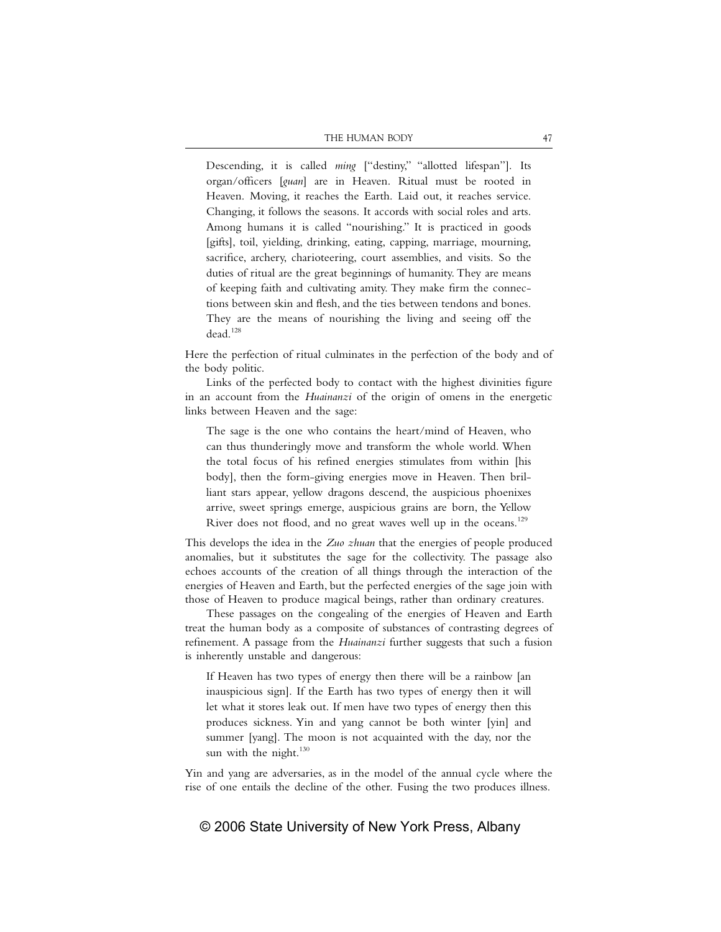Descending, it is called *ming* ["destiny," "allotted lifespan"]. Its organ/officers [*guan*] are in Heaven. Ritual must be rooted in Heaven. Moving, it reaches the Earth. Laid out, it reaches service. Changing, it follows the seasons. It accords with social roles and arts. Among humans it is called "nourishing." It is practiced in goods [gifts], toil, yielding, drinking, eating, capping, marriage, mourning, sacrifice, archery, charioteering, court assemblies, and visits. So the duties of ritual are the great beginnings of humanity. They are means of keeping faith and cultivating amity. They make firm the connections between skin and flesh, and the ties between tendons and bones. They are the means of nourishing the living and seeing off the dead.<sup>128</sup>

Here the perfection of ritual culminates in the perfection of the body and of the body politic.

Links of the perfected body to contact with the highest divinities figure in an account from the *Huainanzi* of the origin of omens in the energetic links between Heaven and the sage:

The sage is the one who contains the heart/mind of Heaven, who can thus thunderingly move and transform the whole world. When the total focus of his refined energies stimulates from within [his body], then the form-giving energies move in Heaven. Then brilliant stars appear, yellow dragons descend, the auspicious phoenixes arrive, sweet springs emerge, auspicious grains are born, the Yellow River does not flood, and no great waves well up in the oceans.<sup>129</sup>

This develops the idea in the *Zuo zhuan* that the energies of people produced anomalies, but it substitutes the sage for the collectivity. The passage also echoes accounts of the creation of all things through the interaction of the energies of Heaven and Earth, but the perfected energies of the sage join with those of Heaven to produce magical beings, rather than ordinary creatures.

These passages on the congealing of the energies of Heaven and Earth treat the human body as a composite of substances of contrasting degrees of refinement. A passage from the *Huainanzi* further suggests that such a fusion is inherently unstable and dangerous:

If Heaven has two types of energy then there will be a rainbow [an inauspicious sign]. If the Earth has two types of energy then it will let what it stores leak out. If men have two types of energy then this produces sickness. Yin and yang cannot be both winter [yin] and summer [yang]. The moon is not acquainted with the day, nor the sun with the night.<sup>130</sup>

Yin and yang are adversaries, as in the model of the annual cycle where the rise of one entails the decline of the other. Fusing the two produces illness.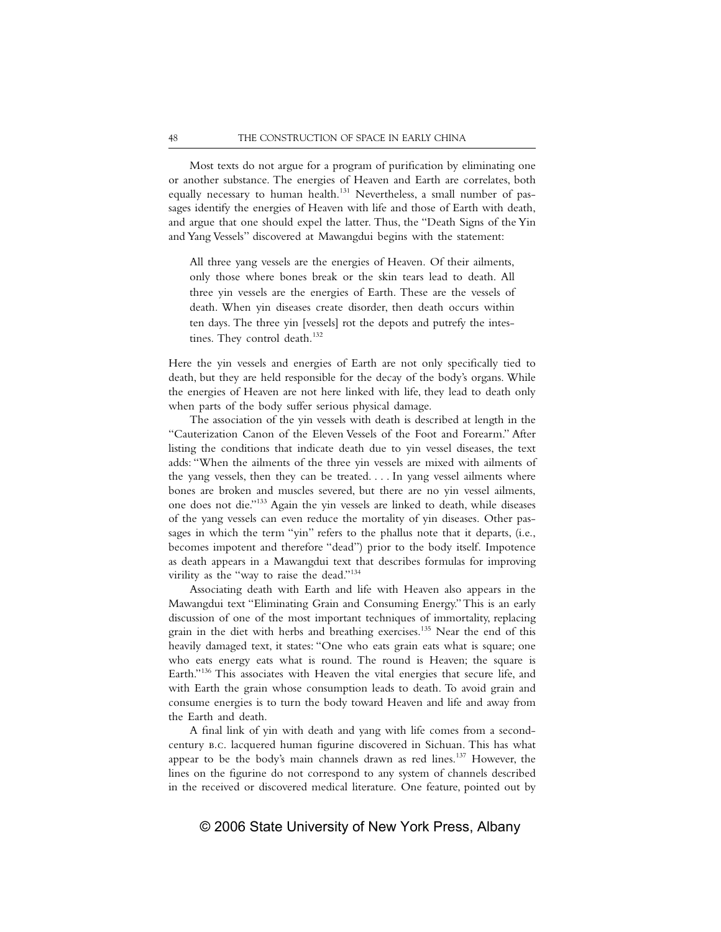Most texts do not argue for a program of purification by eliminating one or another substance. The energies of Heaven and Earth are correlates, both equally necessary to human health.<sup>131</sup> Nevertheless, a small number of passages identify the energies of Heaven with life and those of Earth with death, and argue that one should expel the latter. Thus, the "Death Signs of the Yin and Yang Vessels" discovered at Mawangdui begins with the statement:

All three yang vessels are the energies of Heaven. Of their ailments, only those where bones break or the skin tears lead to death. All three yin vessels are the energies of Earth. These are the vessels of death. When yin diseases create disorder, then death occurs within ten days. The three yin [vessels] rot the depots and putrefy the intestines. They control death.<sup>132</sup>

Here the yin vessels and energies of Earth are not only specifically tied to death, but they are held responsible for the decay of the body's organs. While the energies of Heaven are not here linked with life, they lead to death only when parts of the body suffer serious physical damage.

The association of the yin vessels with death is described at length in the "Cauterization Canon of the Eleven Vessels of the Foot and Forearm." After listing the conditions that indicate death due to yin vessel diseases, the text adds: "When the ailments of the three yin vessels are mixed with ailments of the yang vessels, then they can be treated. . . . In yang vessel ailments where bones are broken and muscles severed, but there are no yin vessel ailments, one does not die."<sup>133</sup> Again the yin vessels are linked to death, while diseases of the yang vessels can even reduce the mortality of yin diseases. Other passages in which the term "yin" refers to the phallus note that it departs, (i.e., becomes impotent and therefore "dead") prior to the body itself. Impotence as death appears in a Mawangdui text that describes formulas for improving virility as the "way to raise the dead."<sup>134</sup>

Associating death with Earth and life with Heaven also appears in the Mawangdui text "Eliminating Grain and Consuming Energy."This is an early discussion of one of the most important techniques of immortality, replacing grain in the diet with herbs and breathing exercises.<sup>135</sup> Near the end of this heavily damaged text, it states: "One who eats grain eats what is square; one who eats energy eats what is round. The round is Heaven; the square is Earth."<sup>136</sup> This associates with Heaven the vital energies that secure life, and with Earth the grain whose consumption leads to death. To avoid grain and consume energies is to turn the body toward Heaven and life and away from the Earth and death.

A final link of yin with death and yang with life comes from a secondcentury b.c. lacquered human figurine discovered in Sichuan. This has what appear to be the body's main channels drawn as red lines.<sup>137</sup> However, the lines on the figurine do not correspond to any system of channels described in the received or discovered medical literature. One feature, pointed out by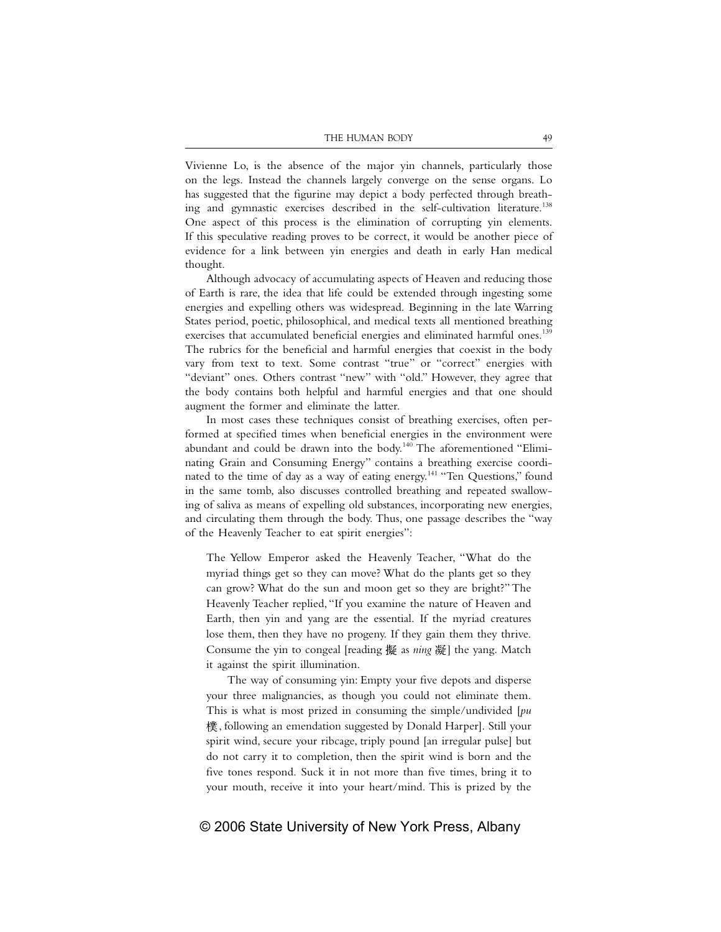Vivienne Lo, is the absence of the major yin channels, particularly those on the legs. Instead the channels largely converge on the sense organs. Lo has suggested that the figurine may depict a body perfected through breathing and gymnastic exercises described in the self-cultivation literature.<sup>138</sup> One aspect of this process is the elimination of corrupting yin elements. If this speculative reading proves to be correct, it would be another piece of evidence for a link between yin energies and death in early Han medical thought.

Although advocacy of accumulating aspects of Heaven and reducing those of Earth is rare, the idea that life could be extended through ingesting some energies and expelling others was widespread. Beginning in the late Warring States period, poetic, philosophical, and medical texts all mentioned breathing exercises that accumulated beneficial energies and eliminated harmful ones.<sup>139</sup> The rubrics for the beneficial and harmful energies that coexist in the body vary from text to text. Some contrast "true" or "correct" energies with "deviant" ones. Others contrast "new" with "old." However, they agree that the body contains both helpful and harmful energies and that one should augment the former and eliminate the latter.

In most cases these techniques consist of breathing exercises, often performed at specified times when beneficial energies in the environment were abundant and could be drawn into the body.<sup>140</sup> The aforementioned "Eliminating Grain and Consuming Energy" contains a breathing exercise coordinated to the time of day as a way of eating energy.<sup>141</sup> "Ten Questions," found in the same tomb, also discusses controlled breathing and repeated swallowing of saliva as means of expelling old substances, incorporating new energies, and circulating them through the body. Thus, one passage describes the "way of the Heavenly Teacher to eat spirit energies":

The Yellow Emperor asked the Heavenly Teacher, "What do the myriad things get so they can move? What do the plants get so they can grow? What do the sun and moon get so they are bright?" The Heavenly Teacher replied, "If you examine the nature of Heaven and Earth, then yin and yang are the essential. If the myriad creatures lose them, then they have no progeny. If they gain them they thrive. Consume the yin to congeal [reading 擬 as *ning* 凝] the yang. Match it against the spirit illumination.

The way of consuming yin: Empty your five depots and disperse your three malignancies, as though you could not eliminate them. This is what is most prized in consuming the simple/undivided [*pu* , following an emendation suggested by Donald Harper]. Still your spirit wind, secure your ribcage, triply pound [an irregular pulse] but do not carry it to completion, then the spirit wind is born and the five tones respond. Suck it in not more than five times, bring it to your mouth, receive it into your heart/mind. This is prized by the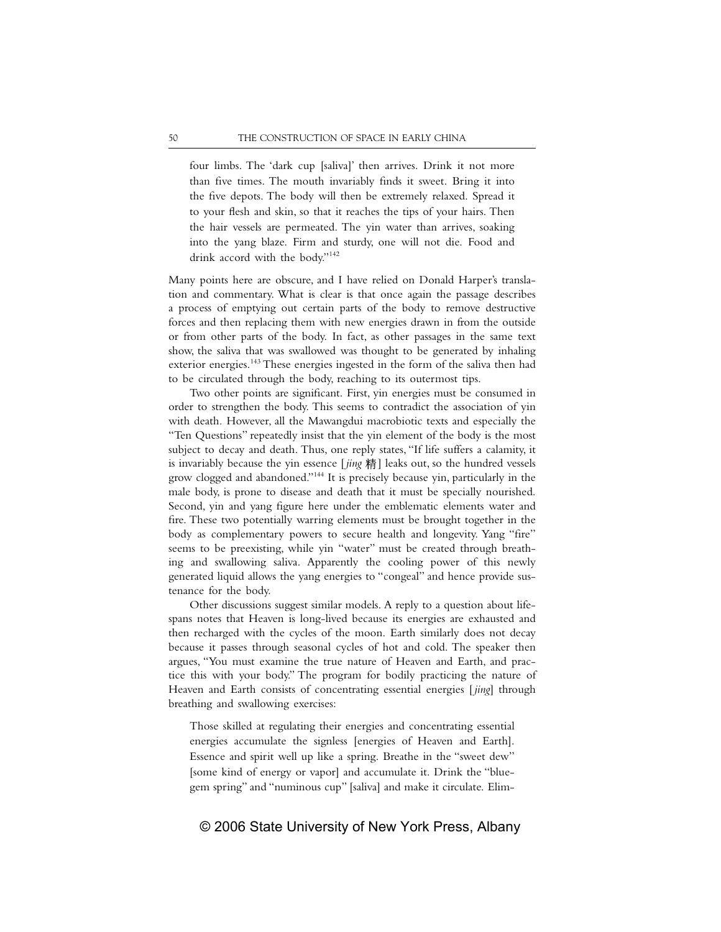four limbs. The 'dark cup [saliva]' then arrives. Drink it not more than five times. The mouth invariably finds it sweet. Bring it into the five depots. The body will then be extremely relaxed. Spread it to your flesh and skin, so that it reaches the tips of your hairs. Then the hair vessels are permeated. The yin water than arrives, soaking into the yang blaze. Firm and sturdy, one will not die. Food and drink accord with the body."<sup>142</sup>

Many points here are obscure, and I have relied on Donald Harper's translation and commentary. What is clear is that once again the passage describes a process of emptying out certain parts of the body to remove destructive forces and then replacing them with new energies drawn in from the outside or from other parts of the body. In fact, as other passages in the same text show, the saliva that was swallowed was thought to be generated by inhaling exterior energies.<sup>143</sup> These energies ingested in the form of the saliva then had to be circulated through the body, reaching to its outermost tips.

Two other points are significant. First, yin energies must be consumed in order to strengthen the body. This seems to contradict the association of yin with death. However, all the Mawangdui macrobiotic texts and especially the "Ten Questions" repeatedly insist that the yin element of the body is the most subject to decay and death. Thus, one reply states, "If life suffers a calamity, it is invariably because the yin essence [jing 精] leaks out, so the hundred vessels grow clogged and abandoned."144 It is precisely because yin, particularly in the male body, is prone to disease and death that it must be specially nourished. Second, yin and yang figure here under the emblematic elements water and fire. These two potentially warring elements must be brought together in the body as complementary powers to secure health and longevity. Yang "fire" seems to be preexisting, while yin "water" must be created through breathing and swallowing saliva. Apparently the cooling power of this newly generated liquid allows the yang energies to "congeal" and hence provide sustenance for the body.

Other discussions suggest similar models. A reply to a question about lifespans notes that Heaven is long-lived because its energies are exhausted and then recharged with the cycles of the moon. Earth similarly does not decay because it passes through seasonal cycles of hot and cold. The speaker then argues, "You must examine the true nature of Heaven and Earth, and practice this with your body." The program for bodily practicing the nature of Heaven and Earth consists of concentrating essential energies [ *jing*] through breathing and swallowing exercises:

Those skilled at regulating their energies and concentrating essential energies accumulate the signless [energies of Heaven and Earth]. Essence and spirit well up like a spring. Breathe in the "sweet dew" [some kind of energy or vapor] and accumulate it. Drink the "bluegem spring" and "numinous cup" [saliva] and make it circulate. Elim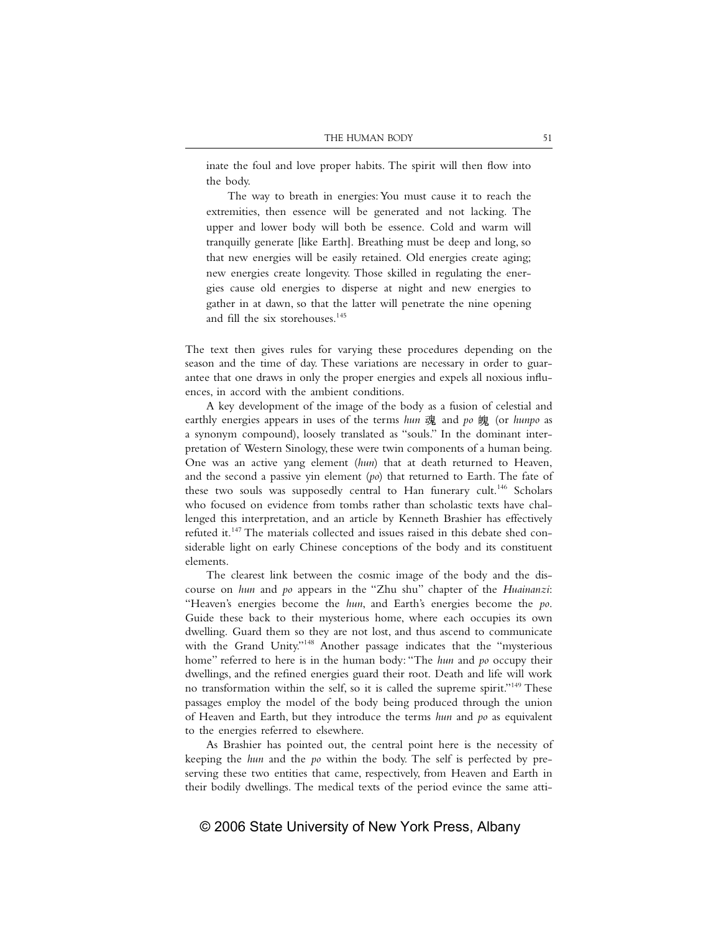inate the foul and love proper habits. The spirit will then flow into the body.

The way to breath in energies: You must cause it to reach the extremities, then essence will be generated and not lacking. The upper and lower body will both be essence. Cold and warm will tranquilly generate [like Earth]. Breathing must be deep and long, so that new energies will be easily retained. Old energies create aging; new energies create longevity. Those skilled in regulating the energies cause old energies to disperse at night and new energies to gather in at dawn, so that the latter will penetrate the nine opening and fill the six storehouses.<sup>145</sup>

The text then gives rules for varying these procedures depending on the season and the time of day. These variations are necessary in order to guarantee that one draws in only the proper energies and expels all noxious influences, in accord with the ambient conditions.

A key development of the image of the body as a fusion of celestial and earthly energies appears in uses of the terms *hun* 魂 and *po* 魄 (or *hunpo* as a synonym compound), loosely translated as "souls." In the dominant interpretation of Western Sinology, these were twin components of a human being. One was an active yang element (*hun*) that at death returned to Heaven, and the second a passive yin element (*po*) that returned to Earth. The fate of these two souls was supposedly central to Han funerary cult.<sup>146</sup> Scholars who focused on evidence from tombs rather than scholastic texts have challenged this interpretation, and an article by Kenneth Brashier has effectively refuted it.<sup>147</sup> The materials collected and issues raised in this debate shed considerable light on early Chinese conceptions of the body and its constituent elements.

The clearest link between the cosmic image of the body and the discourse on *hun* and *po* appears in the "Zhu shu" chapter of the *Huainanzi*: "Heaven's energies become the *hun*, and Earth's energies become the *po*. Guide these back to their mysterious home, where each occupies its own dwelling. Guard them so they are not lost, and thus ascend to communicate with the Grand Unity."<sup>148</sup> Another passage indicates that the "mysterious home" referred to here is in the human body: "The *hun* and *po* occupy their dwellings, and the refined energies guard their root. Death and life will work no transformation within the self, so it is called the supreme spirit."149 These passages employ the model of the body being produced through the union of Heaven and Earth, but they introduce the terms *hun* and *po* as equivalent to the energies referred to elsewhere.

As Brashier has pointed out, the central point here is the necessity of keeping the *hun* and the *po* within the body. The self is perfected by preserving these two entities that came, respectively, from Heaven and Earth in their bodily dwellings. The medical texts of the period evince the same atti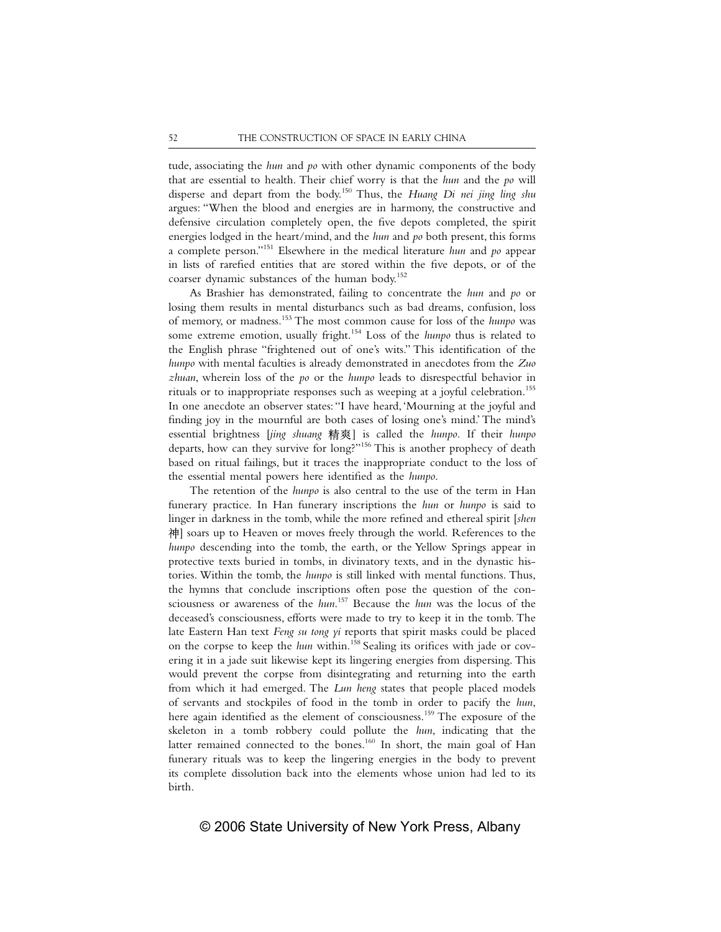tude, associating the *hun* and *po* with other dynamic components of the body that are essential to health. Their chief worry is that the *hun* and the *po* will disperse and depart from the body.<sup>150</sup> Thus, the *Huang Di nei jing ling shu* argues: "When the blood and energies are in harmony, the constructive and defensive circulation completely open, the five depots completed, the spirit energies lodged in the heart/mind, and the *hun* and *po* both present, this forms a complete person."<sup>151</sup> Elsewhere in the medical literature *hun* and *po* appear in lists of rarefied entities that are stored within the five depots, or of the coarser dynamic substances of the human body.<sup>152</sup>

As Brashier has demonstrated, failing to concentrate the *hun* and *po* or losing them results in mental disturbancs such as bad dreams, confusion, loss of memory, or madness.<sup>153</sup> The most common cause for loss of the *hunpo* was some extreme emotion, usually fright.<sup>154</sup> Loss of the *hunpo* thus is related to the English phrase "frightened out of one's wits." This identification of the *hunpo* with mental faculties is already demonstrated in anecdotes from the *Zuo zhuan*, wherein loss of the *po* or the *hunpo* leads to disrespectful behavior in rituals or to inappropriate responses such as weeping at a joyful celebration.155 In one anecdote an observer states:"I have heard,'Mourning at the joyful and finding joy in the mournful are both cases of losing one's mind.' The mind's essential brightness [jing shuang 精爽] is called the *hunpo*. If their *hunpo* departs, how can they survive for long?"156 This is another prophecy of death based on ritual failings, but it traces the inappropriate conduct to the loss of the essential mental powers here identified as the *hunpo*.

The retention of the *hunpo* is also central to the use of the term in Han funerary practice. In Han funerary inscriptions the *hun* or *hunpo* is said to linger in darkness in the tomb, while the more refined and ethereal spirit [*shen* 神] soars up to Heaven or moves freely through the world. References to the *hunpo* descending into the tomb, the earth, or the Yellow Springs appear in protective texts buried in tombs, in divinatory texts, and in the dynastic histories. Within the tomb, the *hunpo* is still linked with mental functions. Thus, the hymns that conclude inscriptions often pose the question of the consciousness or awareness of the *hun*. <sup>157</sup> Because the *hun* was the locus of the deceased's consciousness, efforts were made to try to keep it in the tomb. The late Eastern Han text *Feng su tong yi* reports that spirit masks could be placed on the corpse to keep the *hun* within.<sup>158</sup> Sealing its orifices with jade or covering it in a jade suit likewise kept its lingering energies from dispersing. This would prevent the corpse from disintegrating and returning into the earth from which it had emerged. The *Lun heng* states that people placed models of servants and stockpiles of food in the tomb in order to pacify the *hun*, here again identified as the element of consciousness.<sup>159</sup> The exposure of the skeleton in a tomb robbery could pollute the *hun*, indicating that the latter remained connected to the bones.<sup>160</sup> In short, the main goal of Han funerary rituals was to keep the lingering energies in the body to prevent its complete dissolution back into the elements whose union had led to its birth.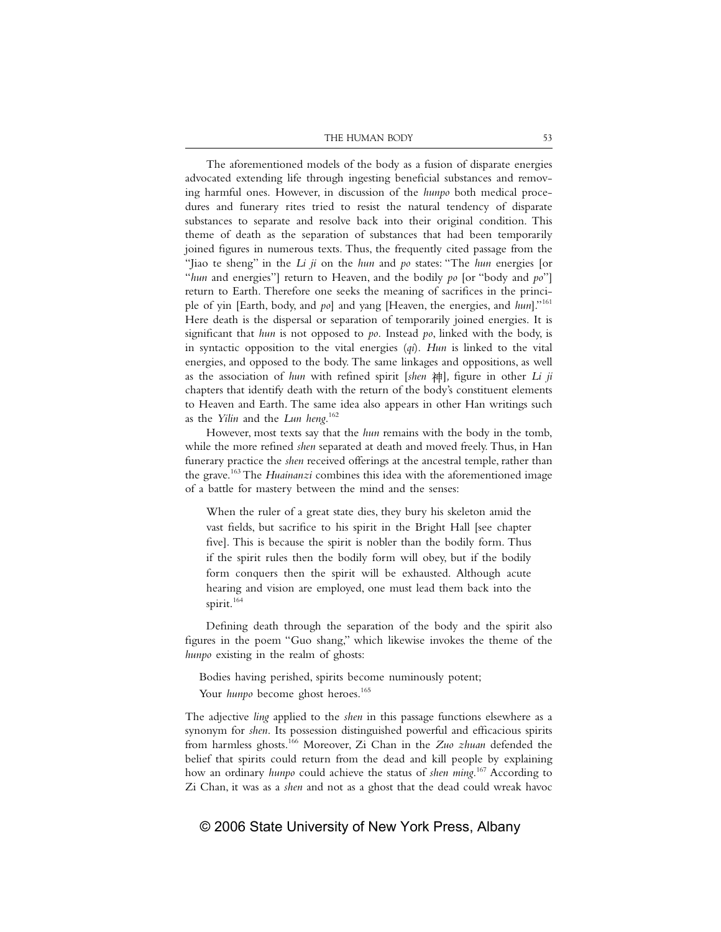The aforementioned models of the body as a fusion of disparate energies advocated extending life through ingesting beneficial substances and removing harmful ones. However, in discussion of the *hunpo* both medical procedures and funerary rites tried to resist the natural tendency of disparate substances to separate and resolve back into their original condition. This theme of death as the separation of substances that had been temporarily joined figures in numerous texts. Thus, the frequently cited passage from the "Jiao te sheng" in the *Li ji* on the *hun* and *po* states: "The *hun* energies [or "*hun* and energies"] return to Heaven, and the bodily *po* [or "body and *po*"] return to Earth. Therefore one seeks the meaning of sacrifices in the principle of yin [Earth, body, and *po*] and yang [Heaven, the energies, and *hun*]."161 Here death is the dispersal or separation of temporarily joined energies. It is significant that *hun* is not opposed to *po*. Instead *po*, linked with the body, is in syntactic opposition to the vital energies (*qi*). *Hun* is linked to the vital energies, and opposed to the body. The same linkages and oppositions, as well as the association of *hun* with refined spirit [shen 神], figure in other *Li ji* chapters that identify death with the return of the body's constituent elements to Heaven and Earth. The same idea also appears in other Han writings such as the *Yilin* and the *Lun heng*. 162

However, most texts say that the *hun* remains with the body in the tomb, while the more refined *shen* separated at death and moved freely. Thus, in Han funerary practice the *shen* received offerings at the ancestral temple, rather than the grave.163The *Huainanzi* combines this idea with the aforementioned image of a battle for mastery between the mind and the senses:

When the ruler of a great state dies, they bury his skeleton amid the vast fields, but sacrifice to his spirit in the Bright Hall [see chapter five]. This is because the spirit is nobler than the bodily form. Thus if the spirit rules then the bodily form will obey, but if the bodily form conquers then the spirit will be exhausted. Although acute hearing and vision are employed, one must lead them back into the spirit.<sup>164</sup>

Defining death through the separation of the body and the spirit also figures in the poem "Guo shang," which likewise invokes the theme of the *hunpo* existing in the realm of ghosts:

Bodies having perished, spirits become numinously potent; Your *hunpo* become ghost heroes.<sup>165</sup>

The adjective *ling* applied to the *shen* in this passage functions elsewhere as a synonym for *shen*. Its possession distinguished powerful and efficacious spirits from harmless ghosts.<sup>166</sup> Moreover, Zi Chan in the *Zuo zhuan* defended the belief that spirits could return from the dead and kill people by explaining how an ordinary *hunpo* could achieve the status of *shen ming*. <sup>167</sup> According to Zi Chan, it was as a *shen* and not as a ghost that the dead could wreak havoc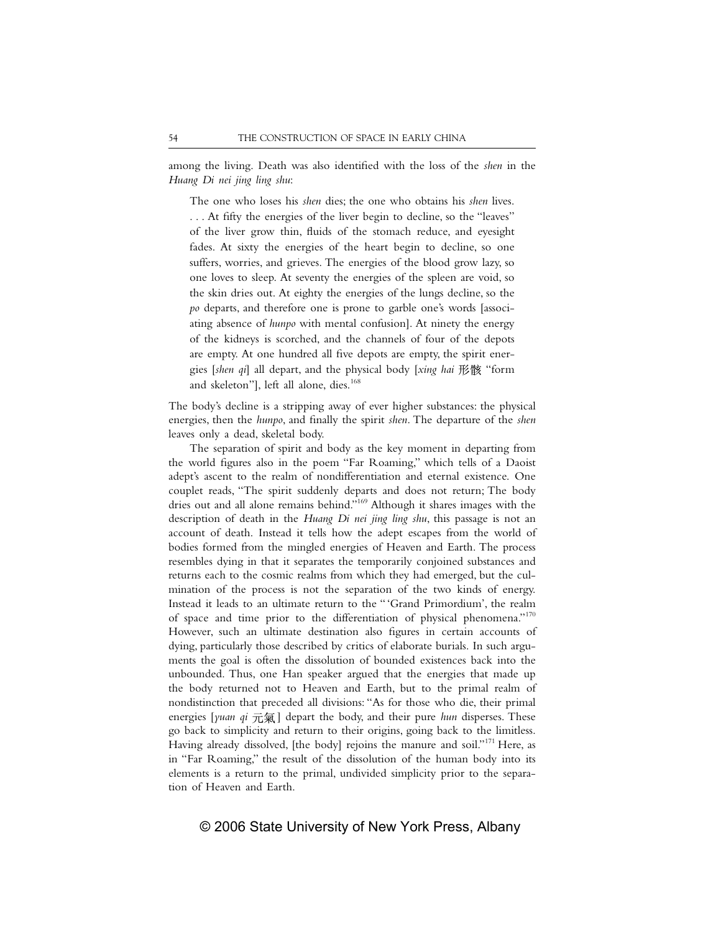among the living. Death was also identified with the loss of the *shen* in the *Huang Di nei jing ling shu*:

The one who loses his *shen* dies; the one who obtains his *shen* lives. . . . At fifty the energies of the liver begin to decline, so the "leaves" of the liver grow thin, fluids of the stomach reduce, and eyesight fades. At sixty the energies of the heart begin to decline, so one suffers, worries, and grieves. The energies of the blood grow lazy, so one loves to sleep. At seventy the energies of the spleen are void, so the skin dries out. At eighty the energies of the lungs decline, so the *po* departs, and therefore one is prone to garble one's words [associating absence of *hunpo* with mental confusion]. At ninety the energy of the kidneys is scorched, and the channels of four of the depots are empty. At one hundred all five depots are empty, the spirit energies [*shen qi*] all depart, and the physical body [*xing hai* "form and skeleton"], left all alone, dies.<sup>168</sup>

The body's decline is a stripping away of ever higher substances: the physical energies, then the *hunpo*, and finally the spirit *shen*. The departure of the *shen* leaves only a dead, skeletal body.

The separation of spirit and body as the key moment in departing from the world figures also in the poem "Far Roaming," which tells of a Daoist adept's ascent to the realm of nondifferentiation and eternal existence. One couplet reads, "The spirit suddenly departs and does not return; The body dries out and all alone remains behind."169 Although it shares images with the description of death in the *Huang Di nei jing ling shu*, this passage is not an account of death. Instead it tells how the adept escapes from the world of bodies formed from the mingled energies of Heaven and Earth. The process resembles dying in that it separates the temporarily conjoined substances and returns each to the cosmic realms from which they had emerged, but the culmination of the process is not the separation of the two kinds of energy. Instead it leads to an ultimate return to the "'Grand Primordium', the realm of space and time prior to the differentiation of physical phenomena."<sup>170</sup> However, such an ultimate destination also figures in certain accounts of dying, particularly those described by critics of elaborate burials. In such arguments the goal is often the dissolution of bounded existences back into the unbounded. Thus, one Han speaker argued that the energies that made up the body returned not to Heaven and Earth, but to the primal realm of nondistinction that preceded all divisions: "As for those who die, their primal energies [yuan qi 元氣] depart the body, and their pure *hun* disperses. These go back to simplicity and return to their origins, going back to the limitless. Having already dissolved, [the body] rejoins the manure and soil."<sup>171</sup> Here, as in "Far Roaming," the result of the dissolution of the human body into its elements is a return to the primal, undivided simplicity prior to the separation of Heaven and Earth.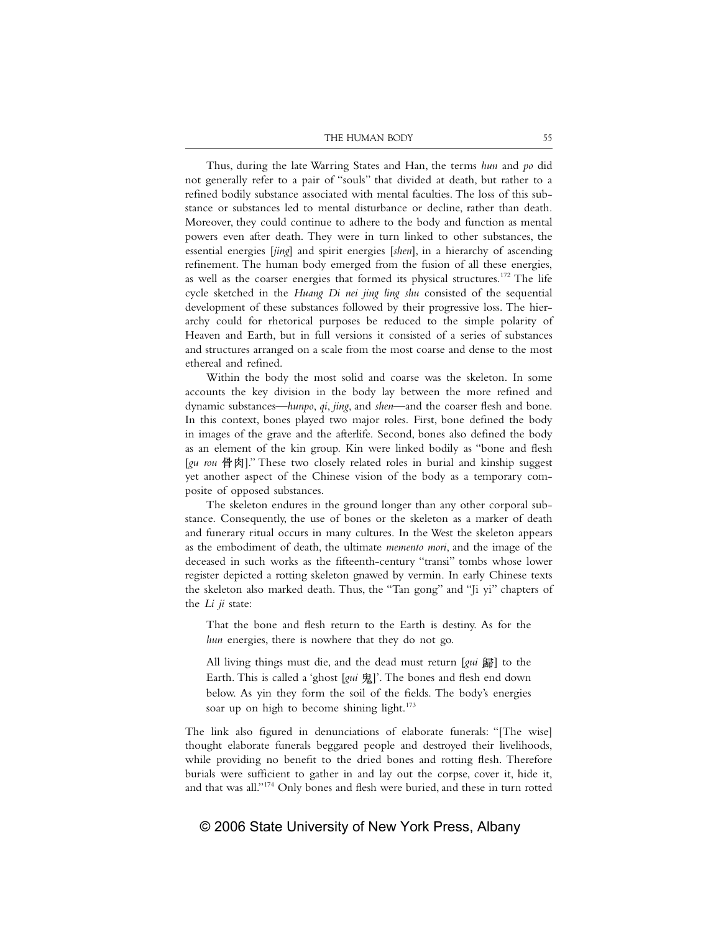Thus, during the late Warring States and Han, the terms *hun* and *po* did not generally refer to a pair of "souls" that divided at death, but rather to a refined bodily substance associated with mental faculties. The loss of this substance or substances led to mental disturbance or decline, rather than death. Moreover, they could continue to adhere to the body and function as mental powers even after death. They were in turn linked to other substances, the essential energies [*jing*] and spirit energies [*shen*], in a hierarchy of ascending refinement. The human body emerged from the fusion of all these energies, as well as the coarser energies that formed its physical structures.<sup>172</sup> The life cycle sketched in the *Huang Di nei jing ling shu* consisted of the sequential development of these substances followed by their progressive loss. The hierarchy could for rhetorical purposes be reduced to the simple polarity of Heaven and Earth, but in full versions it consisted of a series of substances and structures arranged on a scale from the most coarse and dense to the most ethereal and refined.

Within the body the most solid and coarse was the skeleton. In some accounts the key division in the body lay between the more refined and dynamic substances—*hunpo*, *qi*, *jing*, and *shen*—and the coarser flesh and bone. In this context, bones played two major roles. First, bone defined the body in images of the grave and the afterlife. Second, bones also defined the body as an element of the kin group. Kin were linked bodily as "bone and flesh [gu rou 骨肉]." These two closely related roles in burial and kinship suggest yet another aspect of the Chinese vision of the body as a temporary composite of opposed substances.

The skeleton endures in the ground longer than any other corporal substance. Consequently, the use of bones or the skeleton as a marker of death and funerary ritual occurs in many cultures. In the West the skeleton appears as the embodiment of death, the ultimate *memento mori*, and the image of the deceased in such works as the fifteenth-century "transi" tombs whose lower register depicted a rotting skeleton gnawed by vermin. In early Chinese texts the skeleton also marked death. Thus, the "Tan gong" and "Ji yi" chapters of the *Li ji* state:

That the bone and flesh return to the Earth is destiny. As for the *hun* energies, there is nowhere that they do not go.

All living things must die, and the dead must return [*gui* 歸] to the Earth. This is called a 'ghost [*gui* 鬼]'. The bones and flesh end down below. As yin they form the soil of the fields. The body's energies soar up on high to become shining light. $173$ 

The link also figured in denunciations of elaborate funerals: "[The wise] thought elaborate funerals beggared people and destroyed their livelihoods, while providing no benefit to the dried bones and rotting flesh. Therefore burials were sufficient to gather in and lay out the corpse, cover it, hide it, and that was all."174 Only bones and flesh were buried, and these in turn rotted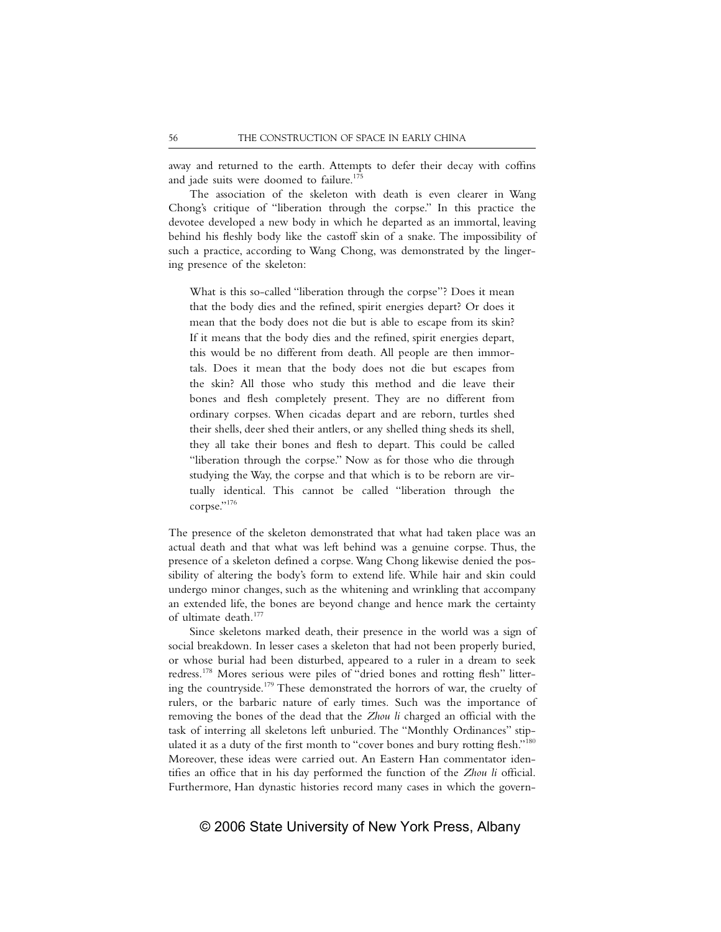away and returned to the earth. Attempts to defer their decay with coffins and jade suits were doomed to failure.<sup>175</sup>

The association of the skeleton with death is even clearer in Wang Chong's critique of "liberation through the corpse." In this practice the devotee developed a new body in which he departed as an immortal, leaving behind his fleshly body like the castoff skin of a snake. The impossibility of such a practice, according to Wang Chong, was demonstrated by the lingering presence of the skeleton:

What is this so-called "liberation through the corpse"? Does it mean that the body dies and the refined, spirit energies depart? Or does it mean that the body does not die but is able to escape from its skin? If it means that the body dies and the refined, spirit energies depart, this would be no different from death. All people are then immortals. Does it mean that the body does not die but escapes from the skin? All those who study this method and die leave their bones and flesh completely present. They are no different from ordinary corpses. When cicadas depart and are reborn, turtles shed their shells, deer shed their antlers, or any shelled thing sheds its shell, they all take their bones and flesh to depart. This could be called "liberation through the corpse." Now as for those who die through studying the Way, the corpse and that which is to be reborn are virtually identical. This cannot be called "liberation through the corpse."176

The presence of the skeleton demonstrated that what had taken place was an actual death and that what was left behind was a genuine corpse. Thus, the presence of a skeleton defined a corpse. Wang Chong likewise denied the possibility of altering the body's form to extend life. While hair and skin could undergo minor changes, such as the whitening and wrinkling that accompany an extended life, the bones are beyond change and hence mark the certainty of ultimate death.<sup>177</sup>

Since skeletons marked death, their presence in the world was a sign of social breakdown. In lesser cases a skeleton that had not been properly buried, or whose burial had been disturbed, appeared to a ruler in a dream to seek redress.<sup>178</sup> Mores serious were piles of "dried bones and rotting flesh" littering the countryside.<sup>179</sup> These demonstrated the horrors of war, the cruelty of rulers, or the barbaric nature of early times. Such was the importance of removing the bones of the dead that the *Zhou li* charged an official with the task of interring all skeletons left unburied. The "Monthly Ordinances" stipulated it as a duty of the first month to "cover bones and bury rotting flesh."<sup>180</sup> Moreover, these ideas were carried out. An Eastern Han commentator identifies an office that in his day performed the function of the *Zhou li* official. Furthermore, Han dynastic histories record many cases in which the govern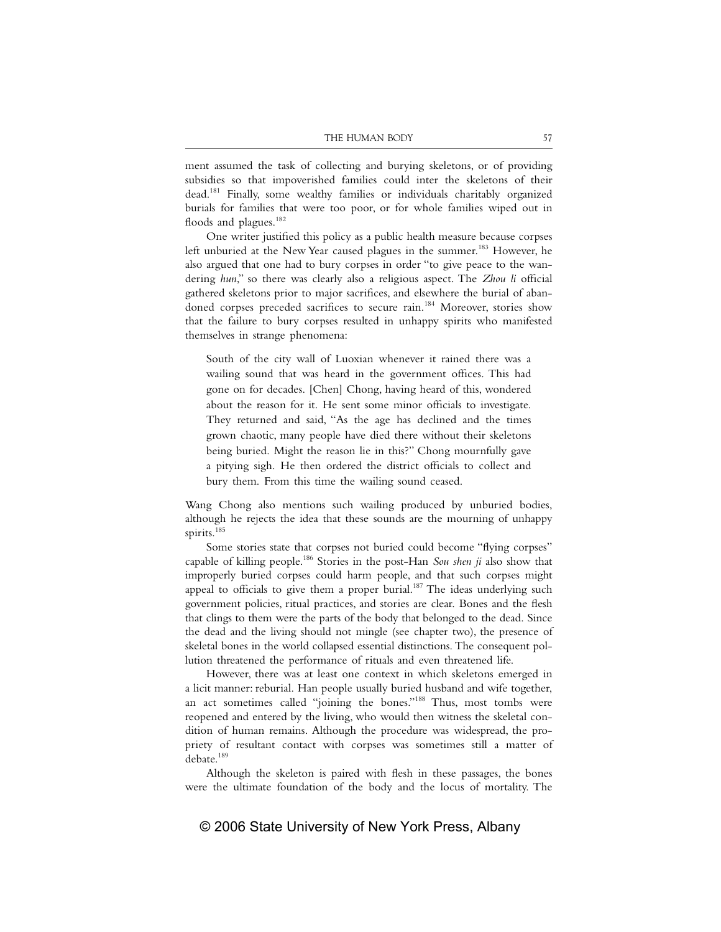ment assumed the task of collecting and burying skeletons, or of providing subsidies so that impoverished families could inter the skeletons of their dead.<sup>181</sup> Finally, some wealthy families or individuals charitably organized burials for families that were too poor, or for whole families wiped out in floods and plagues.<sup>182</sup>

One writer justified this policy as a public health measure because corpses left unburied at the New Year caused plagues in the summer.<sup>183</sup> However, he also argued that one had to bury corpses in order "to give peace to the wandering *hun*," so there was clearly also a religious aspect. The *Zhou li* official gathered skeletons prior to major sacrifices, and elsewhere the burial of abandoned corpses preceded sacrifices to secure rain.<sup>184</sup> Moreover, stories show that the failure to bury corpses resulted in unhappy spirits who manifested themselves in strange phenomena:

South of the city wall of Luoxian whenever it rained there was a wailing sound that was heard in the government offices. This had gone on for decades. [Chen] Chong, having heard of this, wondered about the reason for it. He sent some minor officials to investigate. They returned and said, "As the age has declined and the times grown chaotic, many people have died there without their skeletons being buried. Might the reason lie in this?" Chong mournfully gave a pitying sigh. He then ordered the district officials to collect and bury them. From this time the wailing sound ceased.

Wang Chong also mentions such wailing produced by unburied bodies, although he rejects the idea that these sounds are the mourning of unhappy spirits.<sup>185</sup>

Some stories state that corpses not buried could become "flying corpses" capable of killing people.186 Stories in the post-Han *Sou shen ji* also show that improperly buried corpses could harm people, and that such corpses might appeal to officials to give them a proper burial.<sup>187</sup> The ideas underlying such government policies, ritual practices, and stories are clear. Bones and the flesh that clings to them were the parts of the body that belonged to the dead. Since the dead and the living should not mingle (see chapter two), the presence of skeletal bones in the world collapsed essential distinctions. The consequent pollution threatened the performance of rituals and even threatened life.

However, there was at least one context in which skeletons emerged in a licit manner: reburial. Han people usually buried husband and wife together, an act sometimes called "joining the bones."188 Thus, most tombs were reopened and entered by the living, who would then witness the skeletal condition of human remains. Although the procedure was widespread, the propriety of resultant contact with corpses was sometimes still a matter of debate.<sup>189</sup>

Although the skeleton is paired with flesh in these passages, the bones were the ultimate foundation of the body and the locus of mortality. The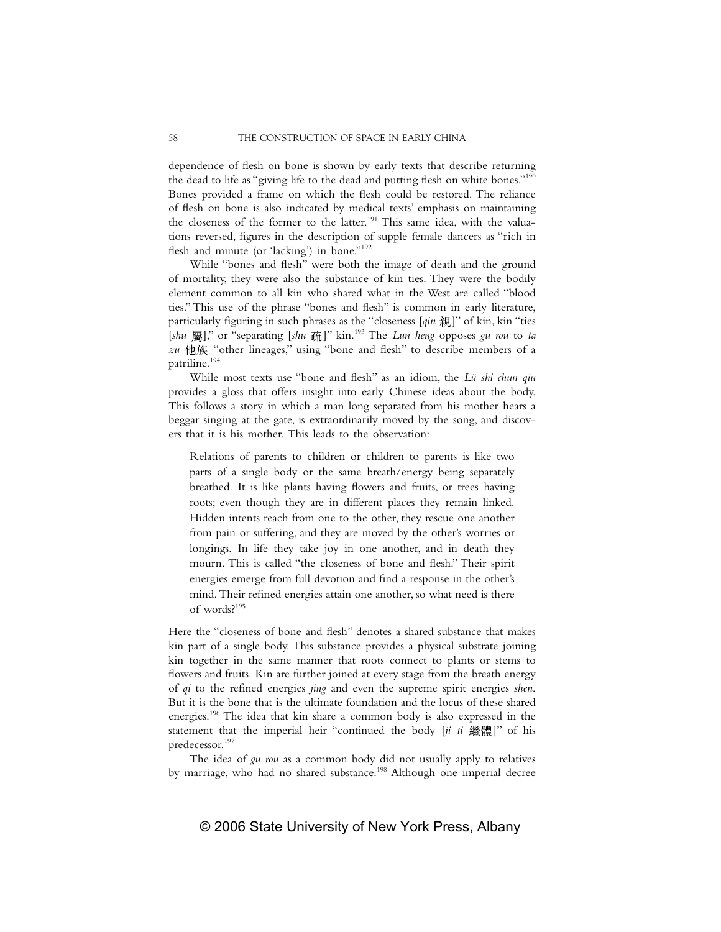dependence of flesh on bone is shown by early texts that describe returning the dead to life as "giving life to the dead and putting flesh on white bones."<sup>190</sup> Bones provided a frame on which the flesh could be restored. The reliance of flesh on bone is also indicated by medical texts' emphasis on maintaining the closeness of the former to the latter.<sup>191</sup> This same idea, with the valuations reversed, figures in the description of supple female dancers as "rich in flesh and minute (or 'lacking') in bone."<sup>192</sup>

While "bones and flesh" were both the image of death and the ground of mortality, they were also the substance of kin ties. They were the bodily element common to all kin who shared what in the West are called "blood ties." This use of the phrase "bones and flesh" is common in early literature, particularly figuring in such phrases as the "closeness [qin 親]" of kin, kin "ties [*shu* 屬]," or "separating [*shu* 疏]" kin.<sup>193</sup> The *Lun heng* opposes *gu rou* to ta zu 他族 "other lineages," using "bone and flesh" to describe members of a patriline.<sup>194</sup>

While most texts use "bone and flesh" as an idiom, the *Lü shi chun qiu* provides a gloss that offers insight into early Chinese ideas about the body. This follows a story in which a man long separated from his mother hears a beggar singing at the gate, is extraordinarily moved by the song, and discovers that it is his mother. This leads to the observation:

Relations of parents to children or children to parents is like two parts of a single body or the same breath/energy being separately breathed. It is like plants having flowers and fruits, or trees having roots; even though they are in different places they remain linked. Hidden intents reach from one to the other, they rescue one another from pain or suffering, and they are moved by the other's worries or longings. In life they take joy in one another, and in death they mourn. This is called "the closeness of bone and flesh." Their spirit energies emerge from full devotion and find a response in the other's mind. Their refined energies attain one another, so what need is there of words?195

Here the "closeness of bone and flesh" denotes a shared substance that makes kin part of a single body. This substance provides a physical substrate joining kin together in the same manner that roots connect to plants or stems to flowers and fruits. Kin are further joined at every stage from the breath energy of *qi* to the refined energies *jing* and even the supreme spirit energies *shen*. But it is the bone that is the ultimate foundation and the locus of these shared energies.<sup>196</sup> The idea that kin share a common body is also expressed in the statement that the imperial heir "continued the body [*ji ti* 繼體]" of his predecessor.197

The idea of *gu rou* as a common body did not usually apply to relatives by marriage, who had no shared substance.<sup>198</sup> Although one imperial decree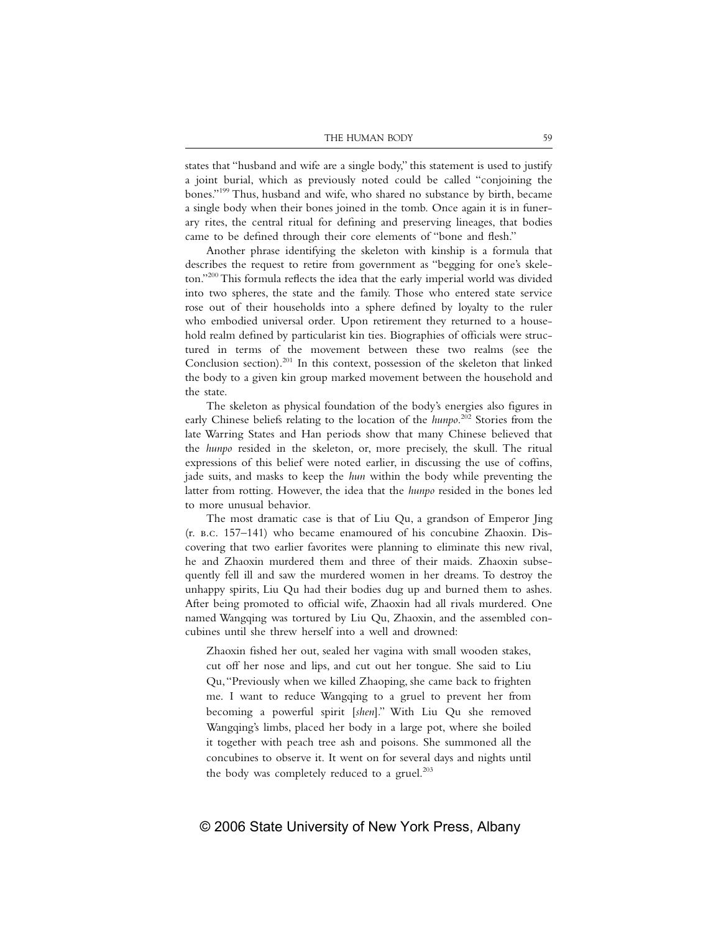states that "husband and wife are a single body," this statement is used to justify a joint burial, which as previously noted could be called "conjoining the bones."199 Thus, husband and wife, who shared no substance by birth, became a single body when their bones joined in the tomb. Once again it is in funerary rites, the central ritual for defining and preserving lineages, that bodies came to be defined through their core elements of "bone and flesh."

Another phrase identifying the skeleton with kinship is a formula that describes the request to retire from government as "begging for one's skeleton."<sup>200</sup>This formula reflects the idea that the early imperial world was divided into two spheres, the state and the family. Those who entered state service rose out of their households into a sphere defined by loyalty to the ruler who embodied universal order. Upon retirement they returned to a household realm defined by particularist kin ties. Biographies of officials were structured in terms of the movement between these two realms (see the Conclusion section). $201$  In this context, possession of the skeleton that linked the body to a given kin group marked movement between the household and the state.

The skeleton as physical foundation of the body's energies also figures in early Chinese beliefs relating to the location of the *hunpo*. <sup>202</sup> Stories from the late Warring States and Han periods show that many Chinese believed that the *hunpo* resided in the skeleton, or, more precisely, the skull. The ritual expressions of this belief were noted earlier, in discussing the use of coffins, jade suits, and masks to keep the *hun* within the body while preventing the latter from rotting. However, the idea that the *hunpo* resided in the bones led to more unusual behavior.

The most dramatic case is that of Liu Qu, a grandson of Emperor Jing (r. b.c. 157–141) who became enamoured of his concubine Zhaoxin. Discovering that two earlier favorites were planning to eliminate this new rival, he and Zhaoxin murdered them and three of their maids. Zhaoxin subsequently fell ill and saw the murdered women in her dreams. To destroy the unhappy spirits, Liu Qu had their bodies dug up and burned them to ashes. After being promoted to official wife, Zhaoxin had all rivals murdered. One named Wangqing was tortured by Liu Qu, Zhaoxin, and the assembled concubines until she threw herself into a well and drowned:

Zhaoxin fished her out, sealed her vagina with small wooden stakes, cut off her nose and lips, and cut out her tongue. She said to Liu Qu,"Previously when we killed Zhaoping, she came back to frighten me. I want to reduce Wangqing to a gruel to prevent her from becoming a powerful spirit [*shen*]." With Liu Qu she removed Wangqing's limbs, placed her body in a large pot, where she boiled it together with peach tree ash and poisons. She summoned all the concubines to observe it. It went on for several days and nights until the body was completely reduced to a gruel.<sup>203</sup>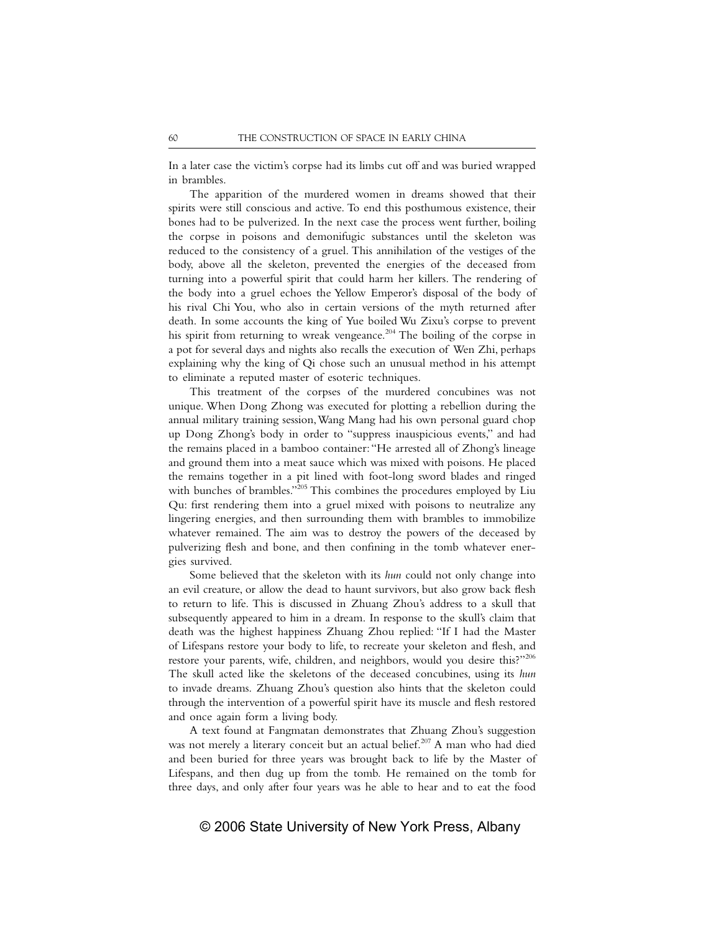In a later case the victim's corpse had its limbs cut off and was buried wrapped in brambles.

The apparition of the murdered women in dreams showed that their spirits were still conscious and active. To end this posthumous existence, their bones had to be pulverized. In the next case the process went further, boiling the corpse in poisons and demonifugic substances until the skeleton was reduced to the consistency of a gruel. This annihilation of the vestiges of the body, above all the skeleton, prevented the energies of the deceased from turning into a powerful spirit that could harm her killers. The rendering of the body into a gruel echoes the Yellow Emperor's disposal of the body of his rival Chi You, who also in certain versions of the myth returned after death. In some accounts the king of Yue boiled Wu Zixu's corpse to prevent his spirit from returning to wreak vengeance.<sup>204</sup> The boiling of the corpse in a pot for several days and nights also recalls the execution of Wen Zhi, perhaps explaining why the king of Qi chose such an unusual method in his attempt to eliminate a reputed master of esoteric techniques.

This treatment of the corpses of the murdered concubines was not unique. When Dong Zhong was executed for plotting a rebellion during the annual military training session,Wang Mang had his own personal guard chop up Dong Zhong's body in order to "suppress inauspicious events," and had the remains placed in a bamboo container:"He arrested all of Zhong's lineage and ground them into a meat sauce which was mixed with poisons. He placed the remains together in a pit lined with foot-long sword blades and ringed with bunches of brambles."<sup>205</sup> This combines the procedures employed by Liu Qu: first rendering them into a gruel mixed with poisons to neutralize any lingering energies, and then surrounding them with brambles to immobilize whatever remained. The aim was to destroy the powers of the deceased by pulverizing flesh and bone, and then confining in the tomb whatever energies survived.

Some believed that the skeleton with its *hun* could not only change into an evil creature, or allow the dead to haunt survivors, but also grow back flesh to return to life. This is discussed in Zhuang Zhou's address to a skull that subsequently appeared to him in a dream. In response to the skull's claim that death was the highest happiness Zhuang Zhou replied: "If I had the Master of Lifespans restore your body to life, to recreate your skeleton and flesh, and restore your parents, wife, children, and neighbors, would you desire this?"<sup>206</sup> The skull acted like the skeletons of the deceased concubines, using its *hun* to invade dreams. Zhuang Zhou's question also hints that the skeleton could through the intervention of a powerful spirit have its muscle and flesh restored and once again form a living body.

A text found at Fangmatan demonstrates that Zhuang Zhou's suggestion was not merely a literary conceit but an actual belief.<sup>207</sup> A man who had died and been buried for three years was brought back to life by the Master of Lifespans, and then dug up from the tomb. He remained on the tomb for three days, and only after four years was he able to hear and to eat the food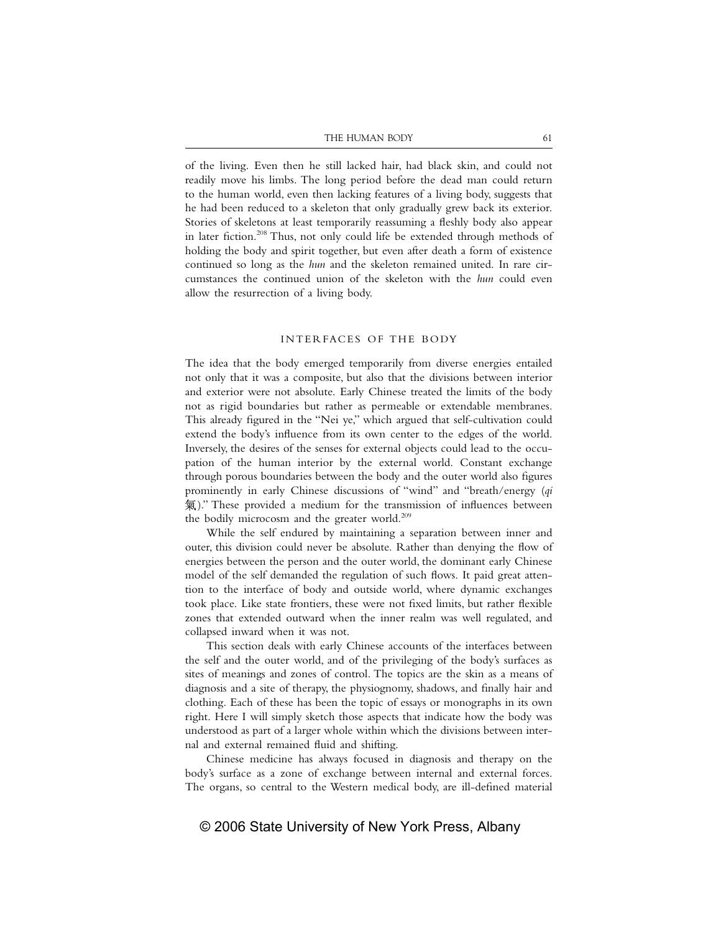of the living. Even then he still lacked hair, had black skin, and could not readily move his limbs. The long period before the dead man could return to the human world, even then lacking features of a living body, suggests that he had been reduced to a skeleton that only gradually grew back its exterior. Stories of skeletons at least temporarily reassuming a fleshly body also appear in later fiction.208 Thus, not only could life be extended through methods of holding the body and spirit together, but even after death a form of existence continued so long as the *hun* and the skeleton remained united. In rare circumstances the continued union of the skeleton with the *hun* could even allow the resurrection of a living body.

#### INTERFACES OF THE BODY

The idea that the body emerged temporarily from diverse energies entailed not only that it was a composite, but also that the divisions between interior and exterior were not absolute. Early Chinese treated the limits of the body not as rigid boundaries but rather as permeable or extendable membranes. This already figured in the "Nei ye," which argued that self-cultivation could extend the body's influence from its own center to the edges of the world. Inversely, the desires of the senses for external objects could lead to the occupation of the human interior by the external world. Constant exchange through porous boundaries between the body and the outer world also figures prominently in early Chinese discussions of "wind" and "breath/energy (*qi* )." These provided a medium for the transmission of influences between the bodily microcosm and the greater world.<sup>209</sup>

While the self endured by maintaining a separation between inner and outer, this division could never be absolute. Rather than denying the flow of energies between the person and the outer world, the dominant early Chinese model of the self demanded the regulation of such flows. It paid great attention to the interface of body and outside world, where dynamic exchanges took place. Like state frontiers, these were not fixed limits, but rather flexible zones that extended outward when the inner realm was well regulated, and collapsed inward when it was not.

This section deals with early Chinese accounts of the interfaces between the self and the outer world, and of the privileging of the body's surfaces as sites of meanings and zones of control. The topics are the skin as a means of diagnosis and a site of therapy, the physiognomy, shadows, and finally hair and clothing. Each of these has been the topic of essays or monographs in its own right. Here I will simply sketch those aspects that indicate how the body was understood as part of a larger whole within which the divisions between internal and external remained fluid and shifting.

Chinese medicine has always focused in diagnosis and therapy on the body's surface as a zone of exchange between internal and external forces. The organs, so central to the Western medical body, are ill-defined material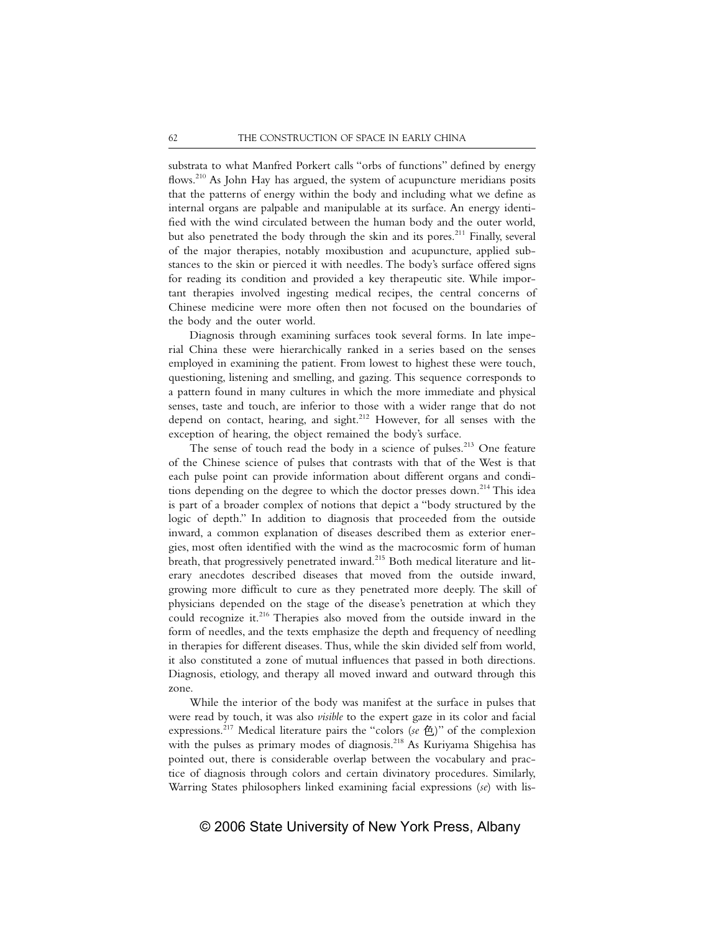substrata to what Manfred Porkert calls "orbs of functions" defined by energy flows.<sup>210</sup> As John Hay has argued, the system of acupuncture meridians posits that the patterns of energy within the body and including what we define as internal organs are palpable and manipulable at its surface. An energy identified with the wind circulated between the human body and the outer world, but also penetrated the body through the skin and its pores.<sup>211</sup> Finally, several of the major therapies, notably moxibustion and acupuncture, applied substances to the skin or pierced it with needles. The body's surface offered signs for reading its condition and provided a key therapeutic site. While important therapies involved ingesting medical recipes, the central concerns of Chinese medicine were more often then not focused on the boundaries of the body and the outer world.

Diagnosis through examining surfaces took several forms. In late imperial China these were hierarchically ranked in a series based on the senses employed in examining the patient. From lowest to highest these were touch, questioning, listening and smelling, and gazing. This sequence corresponds to a pattern found in many cultures in which the more immediate and physical senses, taste and touch, are inferior to those with a wider range that do not depend on contact, hearing, and sight. $212$  However, for all senses with the exception of hearing, the object remained the body's surface.

The sense of touch read the body in a science of pulses.<sup>213</sup> One feature of the Chinese science of pulses that contrasts with that of the West is that each pulse point can provide information about different organs and conditions depending on the degree to which the doctor presses down.<sup>214</sup> This idea is part of a broader complex of notions that depict a "body structured by the logic of depth." In addition to diagnosis that proceeded from the outside inward, a common explanation of diseases described them as exterior energies, most often identified with the wind as the macrocosmic form of human breath, that progressively penetrated inward.<sup>215</sup> Both medical literature and literary anecdotes described diseases that moved from the outside inward, growing more difficult to cure as they penetrated more deeply. The skill of physicians depended on the stage of the disease's penetration at which they could recognize it.<sup>216</sup> Therapies also moved from the outside inward in the form of needles, and the texts emphasize the depth and frequency of needling in therapies for different diseases. Thus, while the skin divided self from world, it also constituted a zone of mutual influences that passed in both directions. Diagnosis, etiology, and therapy all moved inward and outward through this zone.

While the interior of the body was manifest at the surface in pulses that were read by touch, it was also *visible* to the expert gaze in its color and facial expressions.<sup>217</sup> Medical literature pairs the "colors (se 色)" of the complexion with the pulses as primary modes of diagnosis.<sup>218</sup> As Kuriyama Shigehisa has pointed out, there is considerable overlap between the vocabulary and practice of diagnosis through colors and certain divinatory procedures. Similarly, Warring States philosophers linked examining facial expressions (*se*) with lis-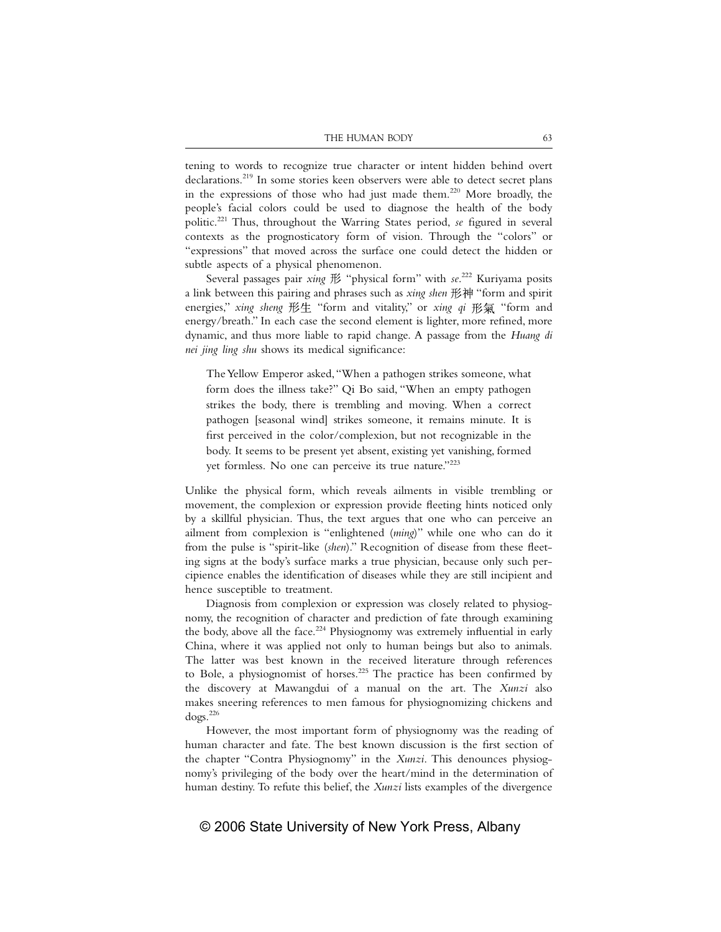tening to words to recognize true character or intent hidden behind overt declarations.<sup>219</sup> In some stories keen observers were able to detect secret plans in the expressions of those who had just made them.<sup>220</sup> More broadly, the people's facial colors could be used to diagnose the health of the body politic.<sup>221</sup> Thus, throughout the Warring States period, *se* figured in several contexts as the prognosticatory form of vision. Through the "colors" or "expressions" that moved across the surface one could detect the hidden or subtle aspects of a physical phenomenon.

Several passages pair *xing* "physical form" with *se*. <sup>222</sup> Kuriyama posits a link between this pairing and phrases such as *xing shen* "form and spirit energies," xing sheng 形生 "form and vitality," or xing qi 形氣 "form and energy/breath." In each case the second element is lighter, more refined, more dynamic, and thus more liable to rapid change. A passage from the *Huang di nei jing ling shu* shows its medical significance:

The Yellow Emperor asked,"When a pathogen strikes someone, what form does the illness take?" Qi Bo said, "When an empty pathogen strikes the body, there is trembling and moving. When a correct pathogen [seasonal wind] strikes someone, it remains minute. It is first perceived in the color/complexion, but not recognizable in the body. It seems to be present yet absent, existing yet vanishing, formed yet formless. No one can perceive its true nature."<sup>223</sup>

Unlike the physical form, which reveals ailments in visible trembling or movement, the complexion or expression provide fleeting hints noticed only by a skillful physician. Thus, the text argues that one who can perceive an ailment from complexion is "enlightened (*ming*)" while one who can do it from the pulse is "spirit-like (*shen*)." Recognition of disease from these fleeting signs at the body's surface marks a true physician, because only such percipience enables the identification of diseases while they are still incipient and hence susceptible to treatment.

Diagnosis from complexion or expression was closely related to physiognomy, the recognition of character and prediction of fate through examining the body, above all the face.<sup>224</sup> Physiognomy was extremely influential in early China, where it was applied not only to human beings but also to animals. The latter was best known in the received literature through references to Bole, a physiognomist of horses.<sup>225</sup> The practice has been confirmed by the discovery at Mawangdui of a manual on the art. The *Xunzi* also makes sneering references to men famous for physiognomizing chickens and dogs.226

However, the most important form of physiognomy was the reading of human character and fate. The best known discussion is the first section of the chapter "Contra Physiognomy" in the *Xunzi*. This denounces physiognomy's privileging of the body over the heart/mind in the determination of human destiny. To refute this belief, the *Xunzi* lists examples of the divergence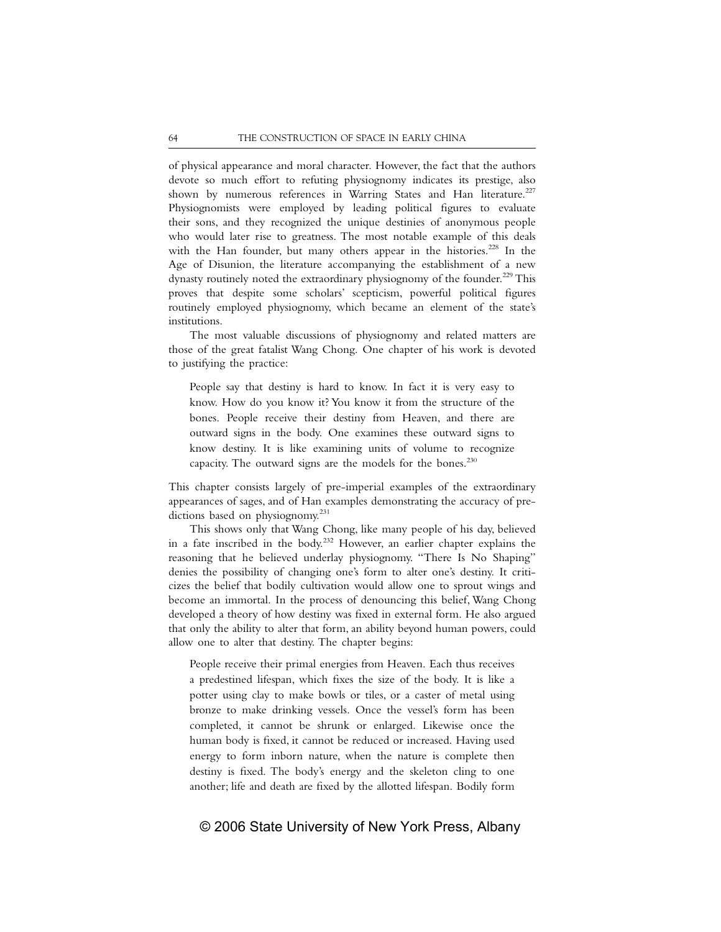of physical appearance and moral character. However, the fact that the authors devote so much effort to refuting physiognomy indicates its prestige, also shown by numerous references in Warring States and Han literature.<sup>227</sup> Physiognomists were employed by leading political figures to evaluate their sons, and they recognized the unique destinies of anonymous people who would later rise to greatness. The most notable example of this deals with the Han founder, but many others appear in the histories.<sup>228</sup> In the Age of Disunion, the literature accompanying the establishment of a new dynasty routinely noted the extraordinary physiognomy of the founder.<sup>229</sup> This proves that despite some scholars' scepticism, powerful political figures routinely employed physiognomy, which became an element of the state's institutions.

The most valuable discussions of physiognomy and related matters are those of the great fatalist Wang Chong. One chapter of his work is devoted to justifying the practice:

People say that destiny is hard to know. In fact it is very easy to know. How do you know it? You know it from the structure of the bones. People receive their destiny from Heaven, and there are outward signs in the body. One examines these outward signs to know destiny. It is like examining units of volume to recognize capacity. The outward signs are the models for the bones. $^{230}$ 

This chapter consists largely of pre-imperial examples of the extraordinary appearances of sages, and of Han examples demonstrating the accuracy of predictions based on physiognomy.<sup>231</sup>

This shows only that Wang Chong, like many people of his day, believed in a fate inscribed in the body.<sup>232</sup> However, an earlier chapter explains the reasoning that he believed underlay physiognomy. "There Is No Shaping" denies the possibility of changing one's form to alter one's destiny. It criticizes the belief that bodily cultivation would allow one to sprout wings and become an immortal. In the process of denouncing this belief, Wang Chong developed a theory of how destiny was fixed in external form. He also argued that only the ability to alter that form, an ability beyond human powers, could allow one to alter that destiny. The chapter begins:

People receive their primal energies from Heaven. Each thus receives a predestined lifespan, which fixes the size of the body. It is like a potter using clay to make bowls or tiles, or a caster of metal using bronze to make drinking vessels. Once the vessel's form has been completed, it cannot be shrunk or enlarged. Likewise once the human body is fixed, it cannot be reduced or increased. Having used energy to form inborn nature, when the nature is complete then destiny is fixed. The body's energy and the skeleton cling to one another; life and death are fixed by the allotted lifespan. Bodily form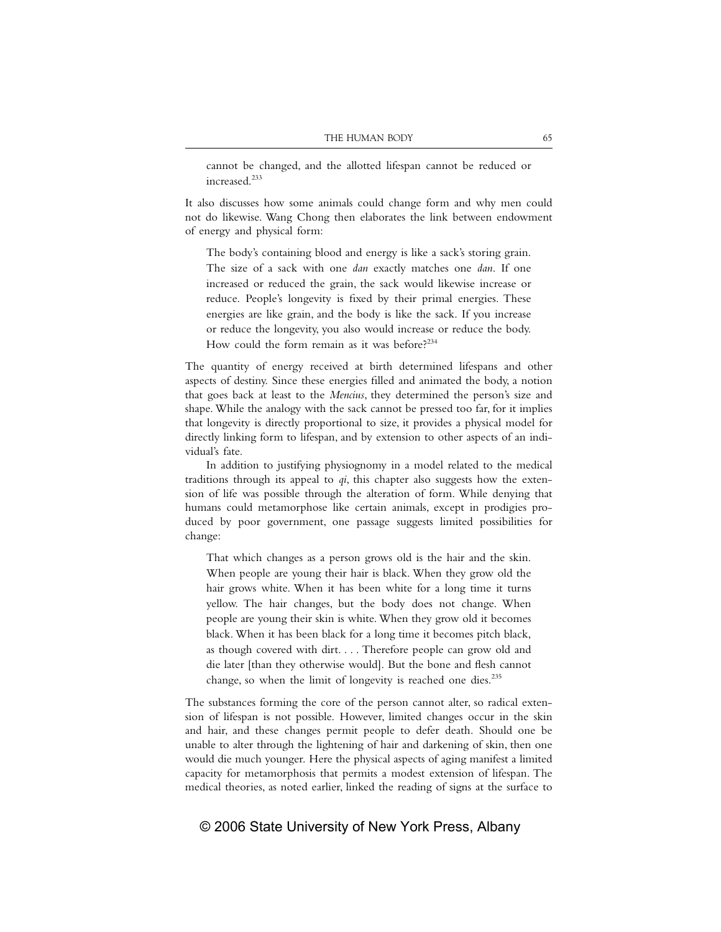cannot be changed, and the allotted lifespan cannot be reduced or increased.<sup>233</sup>

It also discusses how some animals could change form and why men could not do likewise. Wang Chong then elaborates the link between endowment of energy and physical form:

The body's containing blood and energy is like a sack's storing grain. The size of a sack with one *dan* exactly matches one *dan*. If one increased or reduced the grain, the sack would likewise increase or reduce. People's longevity is fixed by their primal energies. These energies are like grain, and the body is like the sack. If you increase or reduce the longevity, you also would increase or reduce the body. How could the form remain as it was before?<sup>234</sup>

The quantity of energy received at birth determined lifespans and other aspects of destiny. Since these energies filled and animated the body, a notion that goes back at least to the *Mencius*, they determined the person's size and shape. While the analogy with the sack cannot be pressed too far, for it implies that longevity is directly proportional to size, it provides a physical model for directly linking form to lifespan, and by extension to other aspects of an individual's fate.

In addition to justifying physiognomy in a model related to the medical traditions through its appeal to *qi*, this chapter also suggests how the extension of life was possible through the alteration of form. While denying that humans could metamorphose like certain animals, except in prodigies produced by poor government, one passage suggests limited possibilities for change:

That which changes as a person grows old is the hair and the skin. When people are young their hair is black. When they grow old the hair grows white. When it has been white for a long time it turns yellow. The hair changes, but the body does not change. When people are young their skin is white. When they grow old it becomes black. When it has been black for a long time it becomes pitch black, as though covered with dirt.... Therefore people can grow old and die later [than they otherwise would]. But the bone and flesh cannot change, so when the limit of longevity is reached one dies.<sup>235</sup>

The substances forming the core of the person cannot alter, so radical extension of lifespan is not possible. However, limited changes occur in the skin and hair, and these changes permit people to defer death. Should one be unable to alter through the lightening of hair and darkening of skin, then one would die much younger. Here the physical aspects of aging manifest a limited capacity for metamorphosis that permits a modest extension of lifespan. The medical theories, as noted earlier, linked the reading of signs at the surface to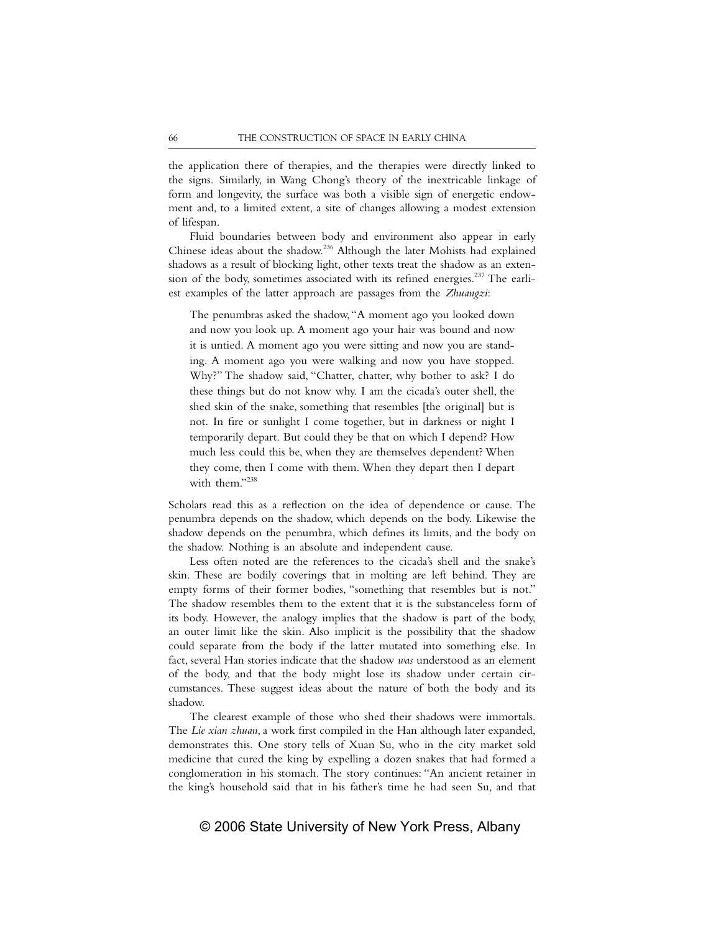the application there of therapies, and the therapies were directly linked to the signs. Similarly, in Wang Chong's theory of the inextricable linkage of form and longevity, the surface was both a visible sign of energetic endowment and, to a limited extent, a site of changes allowing a modest extension of lifespan.

Fluid boundaries between body and environment also appear in early Chinese ideas about the shadow.<sup>236</sup> Although the later Mohists had explained shadows as a result of blocking light, other texts treat the shadow as an extension of the body, sometimes associated with its refined energies.<sup>237</sup> The earliest examples of the latter approach are passages from the *Zhuangzi*:

The penumbras asked the shadow,"A moment ago you looked down and now you look up. A moment ago your hair was bound and now it is untied. A moment ago you were sitting and now you are standing. A moment ago you were walking and now you have stopped. Why?" The shadow said, "Chatter, chatter, why bother to ask? I do these things but do not know why. I am the cicada's outer shell, the shed skin of the snake, something that resembles [the original] but is not. In fire or sunlight I come together, but in darkness or night I temporarily depart. But could they be that on which I depend? How much less could this be, when they are themselves dependent? When they come, then I come with them. When they depart then I depart with them."238

Scholars read this as a reflection on the idea of dependence or cause. The penumbra depends on the shadow, which depends on the body. Likewise the shadow depends on the penumbra, which defines its limits, and the body on the shadow. Nothing is an absolute and independent cause.

Less often noted are the references to the cicada's shell and the snake's skin. These are bodily coverings that in molting are left behind. They are empty forms of their former bodies, "something that resembles but is not." The shadow resembles them to the extent that it is the substanceless form of its body. However, the analogy implies that the shadow is part of the body, an outer limit like the skin. Also implicit is the possibility that the shadow could separate from the body if the latter mutated into something else. In fact, several Han stories indicate that the shadow *was* understood as an element of the body, and that the body might lose its shadow under certain circumstances. These suggest ideas about the nature of both the body and its shadow.

The clearest example of those who shed their shadows were immortals. The *Lie xian zhuan*, a work first compiled in the Han although later expanded, demonstrates this. One story tells of Xuan Su, who in the city market sold medicine that cured the king by expelling a dozen snakes that had formed a conglomeration in his stomach. The story continues: "An ancient retainer in the king's household said that in his father's time he had seen Su, and that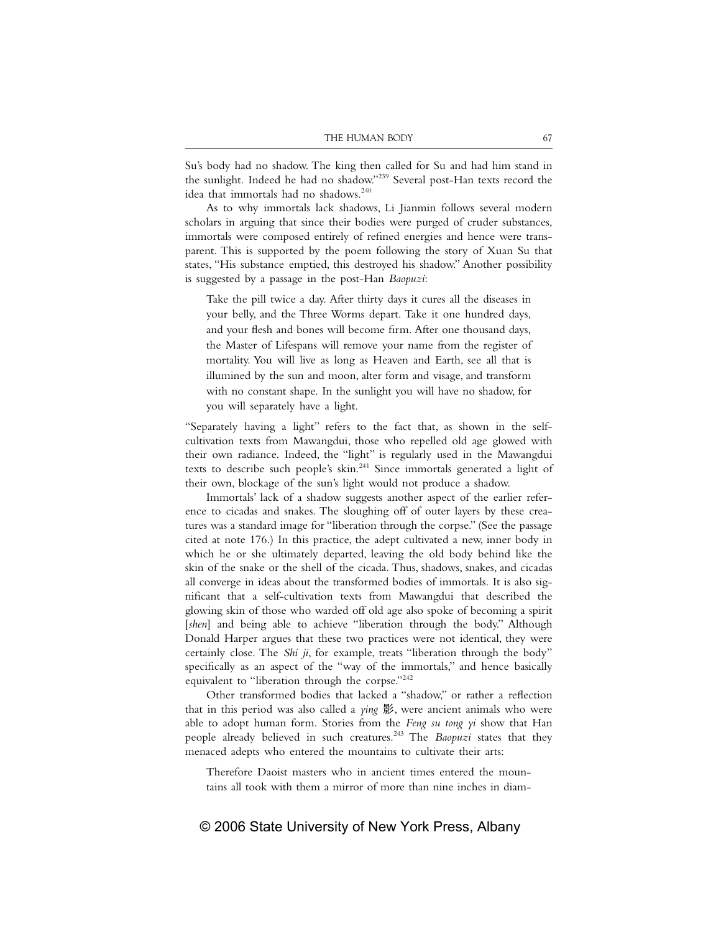Su's body had no shadow. The king then called for Su and had him stand in the sunlight. Indeed he had no shadow."<sup>239</sup> Several post-Han texts record the idea that immortals had no shadows.<sup>240</sup>

As to why immortals lack shadows, Li Jianmin follows several modern scholars in arguing that since their bodies were purged of cruder substances, immortals were composed entirely of refined energies and hence were transparent. This is supported by the poem following the story of Xuan Su that states, "His substance emptied, this destroyed his shadow." Another possibility is suggested by a passage in the post-Han *Baopuzi*:

Take the pill twice a day. After thirty days it cures all the diseases in your belly, and the Three Worms depart. Take it one hundred days, and your flesh and bones will become firm. After one thousand days, the Master of Lifespans will remove your name from the register of mortality. You will live as long as Heaven and Earth, see all that is illumined by the sun and moon, alter form and visage, and transform with no constant shape. In the sunlight you will have no shadow, for you will separately have a light.

"Separately having a light" refers to the fact that, as shown in the selfcultivation texts from Mawangdui, those who repelled old age glowed with their own radiance. Indeed, the "light" is regularly used in the Mawangdui texts to describe such people's skin.<sup>241</sup> Since immortals generated a light of their own, blockage of the sun's light would not produce a shadow.

Immortals' lack of a shadow suggests another aspect of the earlier reference to cicadas and snakes. The sloughing off of outer layers by these creatures was a standard image for "liberation through the corpse." (See the passage cited at note 176.) In this practice, the adept cultivated a new, inner body in which he or she ultimately departed, leaving the old body behind like the skin of the snake or the shell of the cicada. Thus, shadows, snakes, and cicadas all converge in ideas about the transformed bodies of immortals. It is also significant that a self-cultivation texts from Mawangdui that described the glowing skin of those who warded off old age also spoke of becoming a spirit [*shen*] and being able to achieve "liberation through the body." Although Donald Harper argues that these two practices were not identical, they were certainly close. The *Shi ji*, for example, treats "liberation through the body" specifically as an aspect of the "way of the immortals," and hence basically equivalent to "liberation through the corpse."<sup>242</sup>

Other transformed bodies that lacked a "shadow," or rather a reflection that in this period was also called a  $\gamma$ *ing* 影, were ancient animals who were able to adopt human form. Stories from the *Feng su tong yi* show that Han people already believed in such creatures.<sup>243</sup> The *Baopuzi* states that they menaced adepts who entered the mountains to cultivate their arts:

Therefore Daoist masters who in ancient times entered the mountains all took with them a mirror of more than nine inches in diam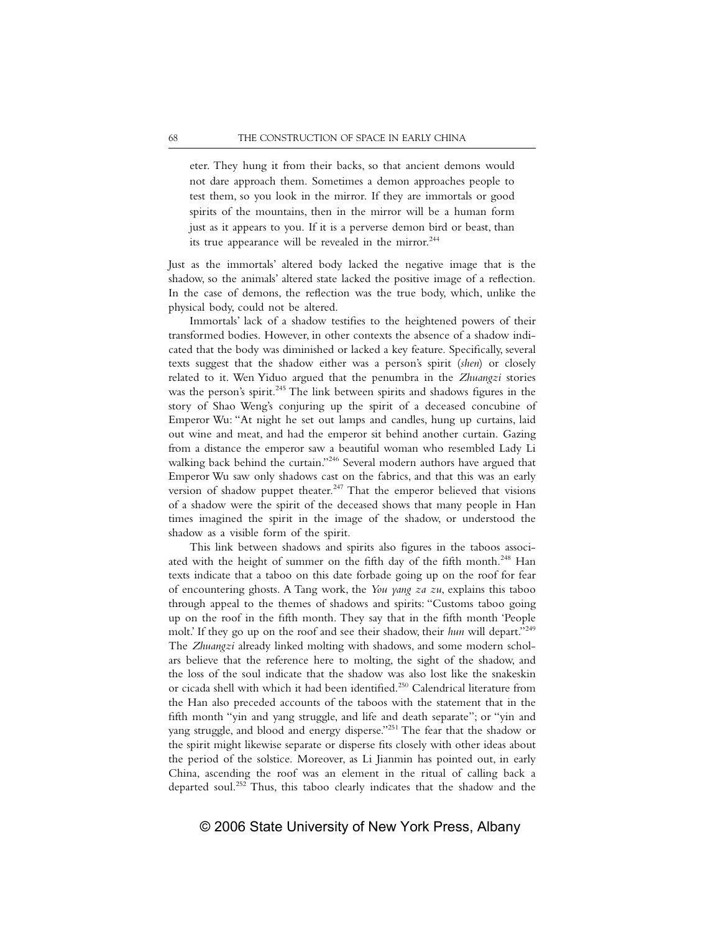eter. They hung it from their backs, so that ancient demons would not dare approach them. Sometimes a demon approaches people to test them, so you look in the mirror. If they are immortals or good spirits of the mountains, then in the mirror will be a human form just as it appears to you. If it is a perverse demon bird or beast, than its true appearance will be revealed in the mirror.<sup>244</sup>

Just as the immortals' altered body lacked the negative image that is the shadow, so the animals' altered state lacked the positive image of a reflection. In the case of demons, the reflection was the true body, which, unlike the physical body, could not be altered.

Immortals' lack of a shadow testifies to the heightened powers of their transformed bodies. However, in other contexts the absence of a shadow indicated that the body was diminished or lacked a key feature. Specifically, several texts suggest that the shadow either was a person's spirit (*shen*) or closely related to it. Wen Yiduo argued that the penumbra in the *Zhuangzi* stories was the person's spirit.<sup>245</sup> The link between spirits and shadows figures in the story of Shao Weng's conjuring up the spirit of a deceased concubine of Emperor Wu: "At night he set out lamps and candles, hung up curtains, laid out wine and meat, and had the emperor sit behind another curtain. Gazing from a distance the emperor saw a beautiful woman who resembled Lady Li walking back behind the curtain."<sup>246</sup> Several modern authors have argued that Emperor Wu saw only shadows cast on the fabrics, and that this was an early version of shadow puppet theater. $247$  That the emperor believed that visions of a shadow were the spirit of the deceased shows that many people in Han times imagined the spirit in the image of the shadow, or understood the shadow as a visible form of the spirit.

This link between shadows and spirits also figures in the taboos associated with the height of summer on the fifth day of the fifth month.<sup>248</sup> Han texts indicate that a taboo on this date forbade going up on the roof for fear of encountering ghosts. A Tang work, the *You yang za zu*, explains this taboo through appeal to the themes of shadows and spirits: "Customs taboo going up on the roof in the fifth month. They say that in the fifth month 'People molt.' If they go up on the roof and see their shadow, their *hun* will depart."<sup>249</sup> The *Zhuangzi* already linked molting with shadows, and some modern scholars believe that the reference here to molting, the sight of the shadow, and the loss of the soul indicate that the shadow was also lost like the snakeskin or cicada shell with which it had been identified.<sup>250</sup> Calendrical literature from the Han also preceded accounts of the taboos with the statement that in the fifth month "yin and yang struggle, and life and death separate"; or "yin and yang struggle, and blood and energy disperse."<sup>251</sup> The fear that the shadow or the spirit might likewise separate or disperse fits closely with other ideas about the period of the solstice. Moreover, as Li Jianmin has pointed out, in early China, ascending the roof was an element in the ritual of calling back a departed soul.<sup>252</sup> Thus, this taboo clearly indicates that the shadow and the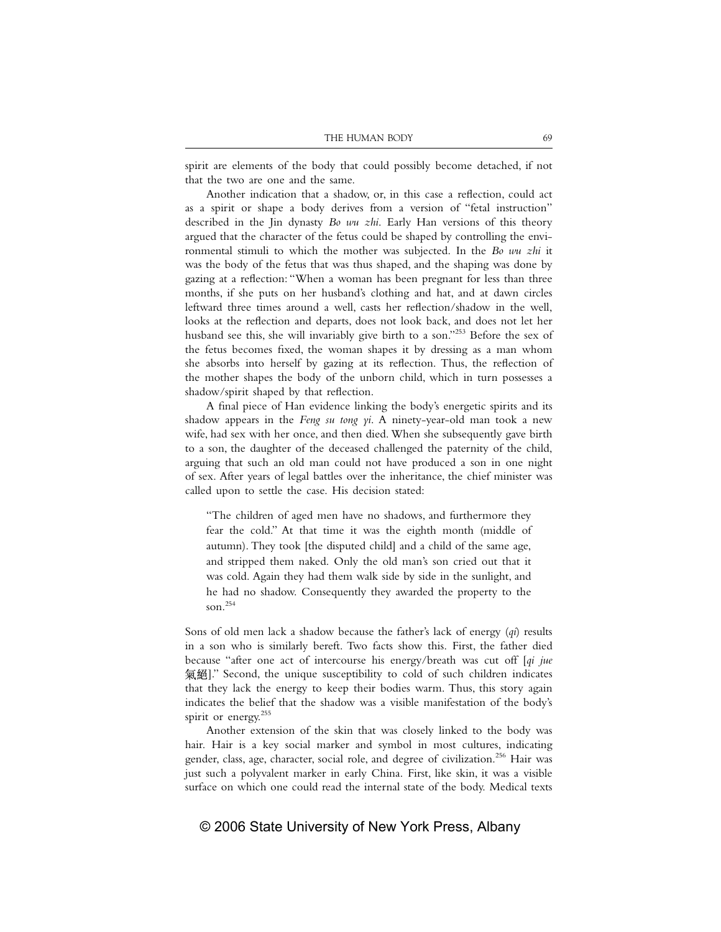spirit are elements of the body that could possibly become detached, if not that the two are one and the same.

Another indication that a shadow, or, in this case a reflection, could act as a spirit or shape a body derives from a version of "fetal instruction" described in the Jin dynasty *Bo wu zhi*. Early Han versions of this theory argued that the character of the fetus could be shaped by controlling the environmental stimuli to which the mother was subjected. In the *Bo wu zhi* it was the body of the fetus that was thus shaped, and the shaping was done by gazing at a reflection: "When a woman has been pregnant for less than three months, if she puts on her husband's clothing and hat, and at dawn circles leftward three times around a well, casts her reflection/shadow in the well, looks at the reflection and departs, does not look back, and does not let her husband see this, she will invariably give birth to a son."253 Before the sex of the fetus becomes fixed, the woman shapes it by dressing as a man whom she absorbs into herself by gazing at its reflection. Thus, the reflection of the mother shapes the body of the unborn child, which in turn possesses a shadow/spirit shaped by that reflection.

A final piece of Han evidence linking the body's energetic spirits and its shadow appears in the *Feng su tong yi*. A ninety-year-old man took a new wife, had sex with her once, and then died. When she subsequently gave birth to a son, the daughter of the deceased challenged the paternity of the child, arguing that such an old man could not have produced a son in one night of sex. After years of legal battles over the inheritance, the chief minister was called upon to settle the case. His decision stated:

"The children of aged men have no shadows, and furthermore they fear the cold." At that time it was the eighth month (middle of autumn). They took [the disputed child] and a child of the same age, and stripped them naked. Only the old man's son cried out that it was cold. Again they had them walk side by side in the sunlight, and he had no shadow. Consequently they awarded the property to the son $^{254}$ 

Sons of old men lack a shadow because the father's lack of energy (*qi*) results in a son who is similarly bereft. Two facts show this. First, the father died because "after one act of intercourse his energy/breath was cut off [*qi jue*  氣絕]." Second, the unique susceptibility to cold of such children indicates that they lack the energy to keep their bodies warm. Thus, this story again indicates the belief that the shadow was a visible manifestation of the body's spirit or energy.<sup>255</sup>

Another extension of the skin that was closely linked to the body was hair. Hair is a key social marker and symbol in most cultures, indicating gender, class, age, character, social role, and degree of civilization.<sup>256</sup> Hair was just such a polyvalent marker in early China. First, like skin, it was a visible surface on which one could read the internal state of the body. Medical texts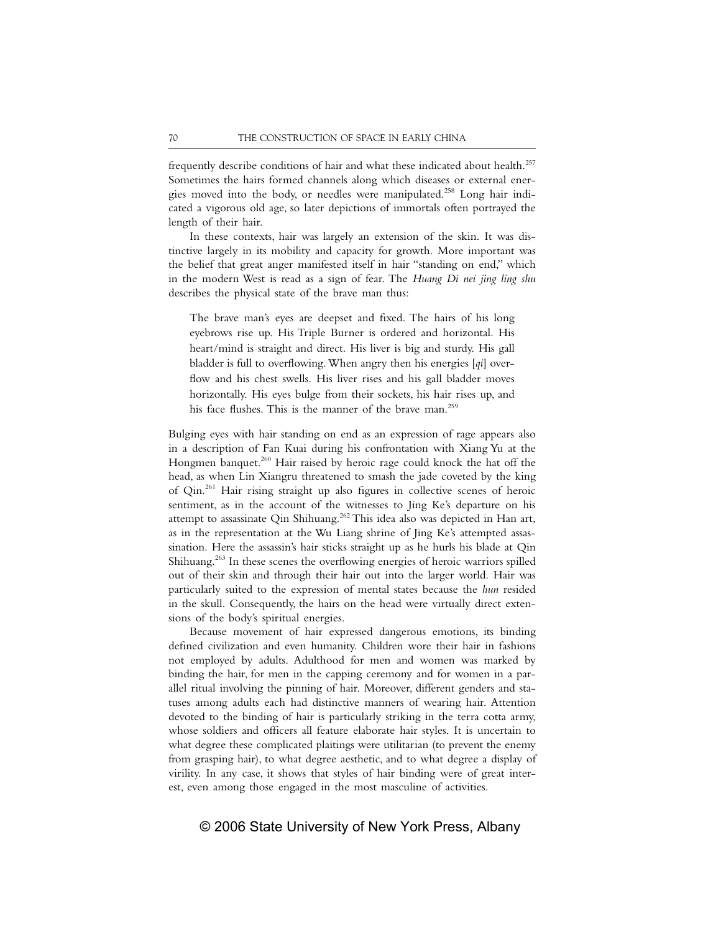frequently describe conditions of hair and what these indicated about health.<sup>257</sup> Sometimes the hairs formed channels along which diseases or external energies moved into the body, or needles were manipulated.<sup>258</sup> Long hair indicated a vigorous old age, so later depictions of immortals often portrayed the length of their hair.

In these contexts, hair was largely an extension of the skin. It was distinctive largely in its mobility and capacity for growth. More important was the belief that great anger manifested itself in hair "standing on end," which in the modern West is read as a sign of fear. The *Huang Di nei jing ling shu* describes the physical state of the brave man thus:

The brave man's eyes are deepset and fixed. The hairs of his long eyebrows rise up. His Triple Burner is ordered and horizontal. His heart/mind is straight and direct. His liver is big and sturdy. His gall bladder is full to overflowing. When angry then his energies [*qi*] overflow and his chest swells. His liver rises and his gall bladder moves horizontally. His eyes bulge from their sockets, his hair rises up, and his face flushes. This is the manner of the brave man.<sup>259</sup>

Bulging eyes with hair standing on end as an expression of rage appears also in a description of Fan Kuai during his confrontation with Xiang Yu at the Hongmen banquet.<sup>260</sup> Hair raised by heroic rage could knock the hat off the head, as when Lin Xiangru threatened to smash the jade coveted by the king of Qin.<sup>261</sup> Hair rising straight up also figures in collective scenes of heroic sentiment, as in the account of the witnesses to Jing Ke's departure on his attempt to assassinate Qin Shihuang.<sup>262</sup> This idea also was depicted in Han art, as in the representation at the Wu Liang shrine of Jing Ke's attempted assassination. Here the assassin's hair sticks straight up as he hurls his blade at Qin Shihuang.<sup>263</sup> In these scenes the overflowing energies of heroic warriors spilled out of their skin and through their hair out into the larger world. Hair was particularly suited to the expression of mental states because the *hun* resided in the skull. Consequently, the hairs on the head were virtually direct extensions of the body's spiritual energies.

Because movement of hair expressed dangerous emotions, its binding defined civilization and even humanity. Children wore their hair in fashions not employed by adults. Adulthood for men and women was marked by binding the hair, for men in the capping ceremony and for women in a parallel ritual involving the pinning of hair. Moreover, different genders and statuses among adults each had distinctive manners of wearing hair. Attention devoted to the binding of hair is particularly striking in the terra cotta army, whose soldiers and officers all feature elaborate hair styles. It is uncertain to what degree these complicated plaitings were utilitarian (to prevent the enemy from grasping hair), to what degree aesthetic, and to what degree a display of virility. In any case, it shows that styles of hair binding were of great interest, even among those engaged in the most masculine of activities.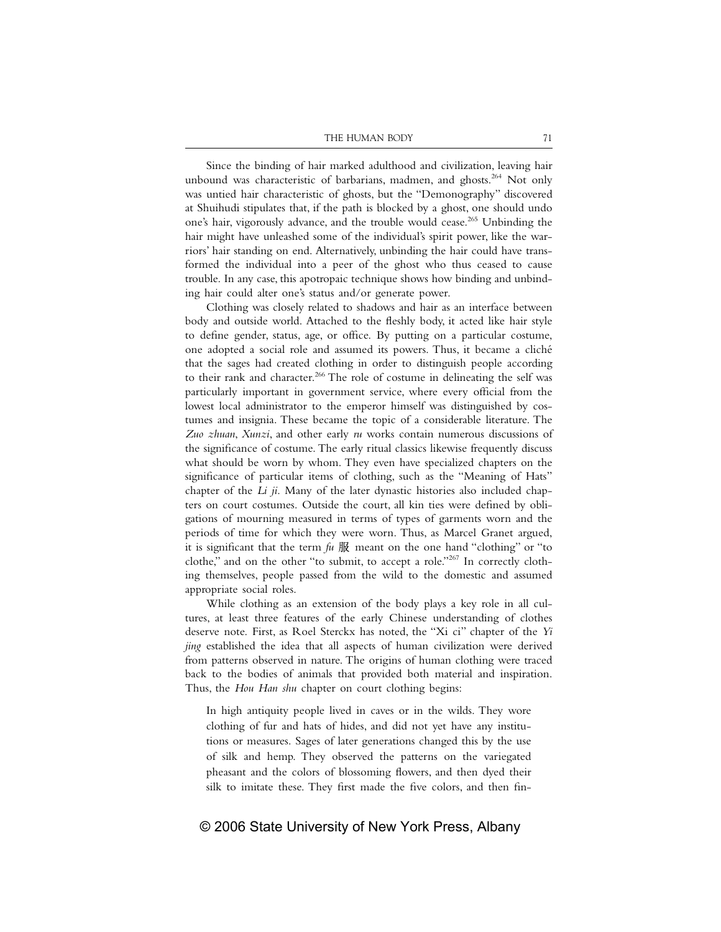Since the binding of hair marked adulthood and civilization, leaving hair unbound was characteristic of barbarians, madmen, and ghosts.<sup>264</sup> Not only was untied hair characteristic of ghosts, but the "Demonography" discovered at Shuihudi stipulates that, if the path is blocked by a ghost, one should undo one's hair, vigorously advance, and the trouble would cease.<sup>265</sup> Unbinding the hair might have unleashed some of the individual's spirit power, like the warriors' hair standing on end. Alternatively, unbinding the hair could have transformed the individual into a peer of the ghost who thus ceased to cause trouble. In any case, this apotropaic technique shows how binding and unbinding hair could alter one's status and/or generate power.

Clothing was closely related to shadows and hair as an interface between body and outside world. Attached to the fleshly body, it acted like hair style to define gender, status, age, or office. By putting on a particular costume, one adopted a social role and assumed its powers. Thus, it became a cliché that the sages had created clothing in order to distinguish people according to their rank and character.<sup>266</sup> The role of costume in delineating the self was particularly important in government service, where every official from the lowest local administrator to the emperor himself was distinguished by costumes and insignia. These became the topic of a considerable literature. The *Zuo zhuan*, *Xunzi*, and other early *ru* works contain numerous discussions of the significance of costume. The early ritual classics likewise frequently discuss what should be worn by whom. They even have specialized chapters on the significance of particular items of clothing, such as the "Meaning of Hats" chapter of the *Li ji*. Many of the later dynastic histories also included chapters on court costumes. Outside the court, all kin ties were defined by obligations of mourning measured in terms of types of garments worn and the periods of time for which they were worn. Thus, as Marcel Granet argued, it is significant that the term  $f_\text{W}$  *meant* on the one hand "clothing" or "to clothe," and on the other "to submit, to accept a role."<sup>267</sup> In correctly clothing themselves, people passed from the wild to the domestic and assumed appropriate social roles.

While clothing as an extension of the body plays a key role in all cultures, at least three features of the early Chinese understanding of clothes deserve note. First, as Roel Sterckx has noted, the "Xi ci" chapter of the *Yi jing* established the idea that all aspects of human civilization were derived from patterns observed in nature. The origins of human clothing were traced back to the bodies of animals that provided both material and inspiration. Thus, the *Hou Han shu* chapter on court clothing begins:

In high antiquity people lived in caves or in the wilds. They wore clothing of fur and hats of hides, and did not yet have any institutions or measures. Sages of later generations changed this by the use of silk and hemp. They observed the patterns on the variegated pheasant and the colors of blossoming flowers, and then dyed their silk to imitate these. They first made the five colors, and then fin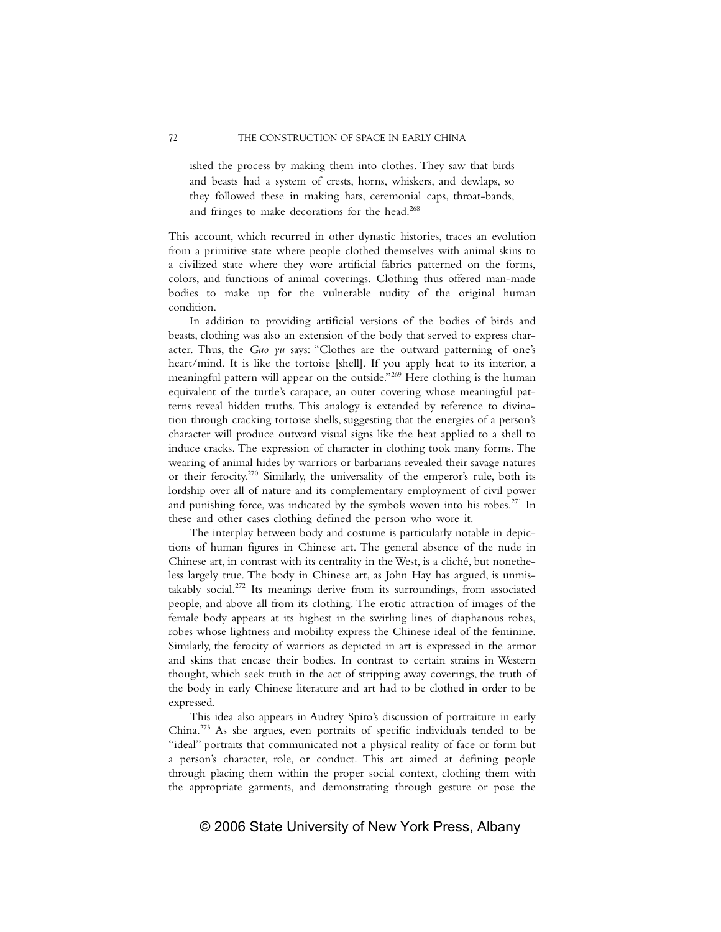ished the process by making them into clothes. They saw that birds and beasts had a system of crests, horns, whiskers, and dewlaps, so they followed these in making hats, ceremonial caps, throat-bands, and fringes to make decorations for the head.<sup>268</sup>

This account, which recurred in other dynastic histories, traces an evolution from a primitive state where people clothed themselves with animal skins to a civilized state where they wore artificial fabrics patterned on the forms, colors, and functions of animal coverings. Clothing thus offered man-made bodies to make up for the vulnerable nudity of the original human condition.

In addition to providing artificial versions of the bodies of birds and beasts, clothing was also an extension of the body that served to express character. Thus, the *Guo yu* says: "Clothes are the outward patterning of one's heart/mind. It is like the tortoise [shell]. If you apply heat to its interior, a meaningful pattern will appear on the outside."<sup>269</sup> Here clothing is the human equivalent of the turtle's carapace, an outer covering whose meaningful patterns reveal hidden truths. This analogy is extended by reference to divination through cracking tortoise shells, suggesting that the energies of a person's character will produce outward visual signs like the heat applied to a shell to induce cracks. The expression of character in clothing took many forms. The wearing of animal hides by warriors or barbarians revealed their savage natures or their ferocity.<sup>270</sup> Similarly, the universality of the emperor's rule, both its lordship over all of nature and its complementary employment of civil power and punishing force, was indicated by the symbols woven into his robes. $271$  In these and other cases clothing defined the person who wore it.

The interplay between body and costume is particularly notable in depictions of human figures in Chinese art. The general absence of the nude in Chinese art, in contrast with its centrality in the West, is a cliché, but nonetheless largely true. The body in Chinese art, as John Hay has argued, is unmistakably social.<sup>272</sup> Its meanings derive from its surroundings, from associated people, and above all from its clothing. The erotic attraction of images of the female body appears at its highest in the swirling lines of diaphanous robes, robes whose lightness and mobility express the Chinese ideal of the feminine. Similarly, the ferocity of warriors as depicted in art is expressed in the armor and skins that encase their bodies. In contrast to certain strains in Western thought, which seek truth in the act of stripping away coverings, the truth of the body in early Chinese literature and art had to be clothed in order to be expressed.

This idea also appears in Audrey Spiro's discussion of portraiture in early China.273 As she argues, even portraits of specific individuals tended to be "ideal" portraits that communicated not a physical reality of face or form but a person's character, role, or conduct. This art aimed at defining people through placing them within the proper social context, clothing them with the appropriate garments, and demonstrating through gesture or pose the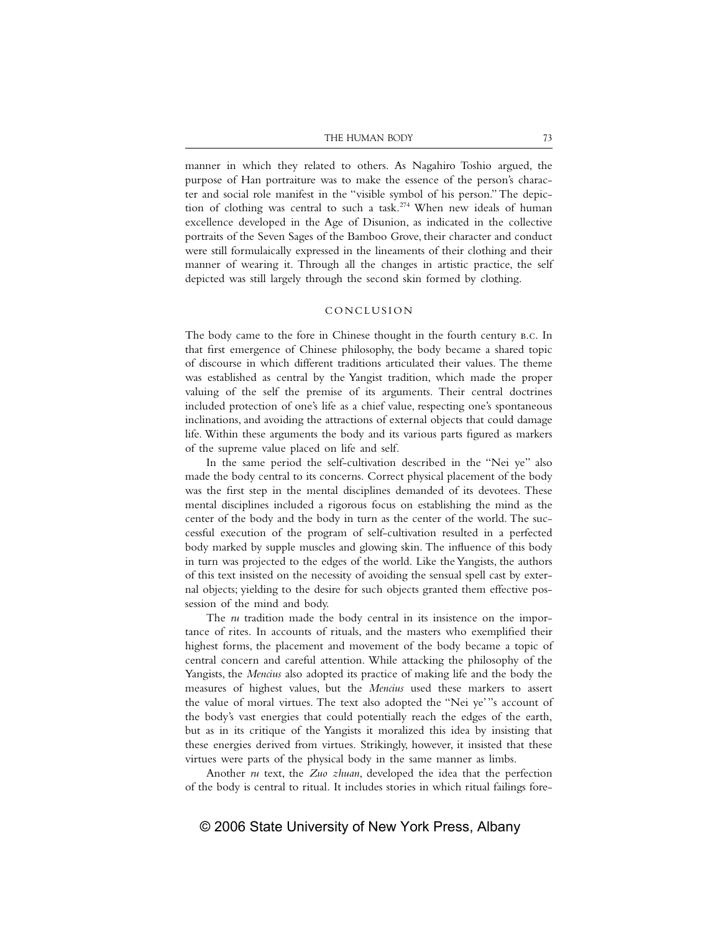manner in which they related to others. As Nagahiro Toshio argued, the purpose of Han portraiture was to make the essence of the person's character and social role manifest in the "visible symbol of his person." The depiction of clothing was central to such a task.<sup>274</sup> When new ideals of human excellence developed in the Age of Disunion, as indicated in the collective portraits of the Seven Sages of the Bamboo Grove, their character and conduct were still formulaically expressed in the lineaments of their clothing and their manner of wearing it. Through all the changes in artistic practice, the self depicted was still largely through the second skin formed by clothing.

#### CONCLUSION

The body came to the fore in Chinese thought in the fourth century b.c. In that first emergence of Chinese philosophy, the body became a shared topic of discourse in which different traditions articulated their values. The theme was established as central by the Yangist tradition, which made the proper valuing of the self the premise of its arguments. Their central doctrines included protection of one's life as a chief value, respecting one's spontaneous inclinations, and avoiding the attractions of external objects that could damage life. Within these arguments the body and its various parts figured as markers of the supreme value placed on life and self.

In the same period the self-cultivation described in the "Nei ye" also made the body central to its concerns. Correct physical placement of the body was the first step in the mental disciplines demanded of its devotees. These mental disciplines included a rigorous focus on establishing the mind as the center of the body and the body in turn as the center of the world. The successful execution of the program of self-cultivation resulted in a perfected body marked by supple muscles and glowing skin. The influence of this body in turn was projected to the edges of the world. Like the Yangists, the authors of this text insisted on the necessity of avoiding the sensual spell cast by external objects; yielding to the desire for such objects granted them effective possession of the mind and body.

The *ru* tradition made the body central in its insistence on the importance of rites. In accounts of rituals, and the masters who exemplified their highest forms, the placement and movement of the body became a topic of central concern and careful attention. While attacking the philosophy of the Yangists, the *Mencius* also adopted its practice of making life and the body the measures of highest values, but the *Mencius* used these markers to assert the value of moral virtues. The text also adopted the "Nei ye'"s account of the body's vast energies that could potentially reach the edges of the earth, but as in its critique of the Yangists it moralized this idea by insisting that these energies derived from virtues. Strikingly, however, it insisted that these virtues were parts of the physical body in the same manner as limbs.

Another *ru* text, the *Zuo zhuan*, developed the idea that the perfection of the body is central to ritual. It includes stories in which ritual failings fore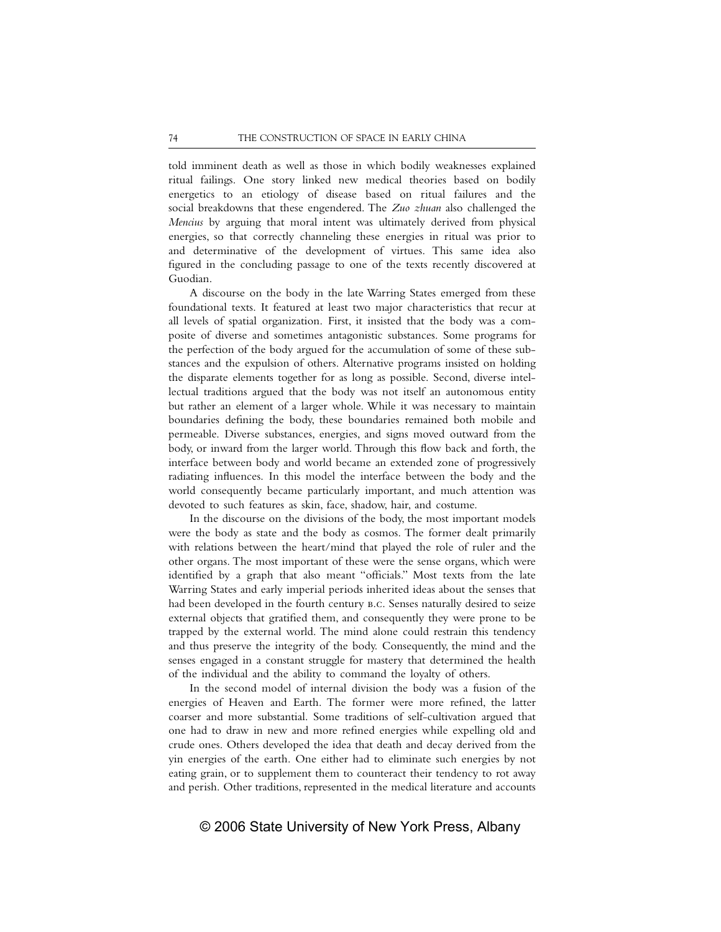told imminent death as well as those in which bodily weaknesses explained ritual failings. One story linked new medical theories based on bodily energetics to an etiology of disease based on ritual failures and the social breakdowns that these engendered. The *Zuo zhuan* also challenged the *Mencius* by arguing that moral intent was ultimately derived from physical energies, so that correctly channeling these energies in ritual was prior to and determinative of the development of virtues. This same idea also figured in the concluding passage to one of the texts recently discovered at Guodian.

A discourse on the body in the late Warring States emerged from these foundational texts. It featured at least two major characteristics that recur at all levels of spatial organization. First, it insisted that the body was a composite of diverse and sometimes antagonistic substances. Some programs for the perfection of the body argued for the accumulation of some of these substances and the expulsion of others. Alternative programs insisted on holding the disparate elements together for as long as possible. Second, diverse intellectual traditions argued that the body was not itself an autonomous entity but rather an element of a larger whole. While it was necessary to maintain boundaries defining the body, these boundaries remained both mobile and permeable. Diverse substances, energies, and signs moved outward from the body, or inward from the larger world. Through this flow back and forth, the interface between body and world became an extended zone of progressively radiating influences. In this model the interface between the body and the world consequently became particularly important, and much attention was devoted to such features as skin, face, shadow, hair, and costume.

In the discourse on the divisions of the body, the most important models were the body as state and the body as cosmos. The former dealt primarily with relations between the heart/mind that played the role of ruler and the other organs. The most important of these were the sense organs, which were identified by a graph that also meant "officials." Most texts from the late Warring States and early imperial periods inherited ideas about the senses that had been developed in the fourth century b.c. Senses naturally desired to seize external objects that gratified them, and consequently they were prone to be trapped by the external world. The mind alone could restrain this tendency and thus preserve the integrity of the body. Consequently, the mind and the senses engaged in a constant struggle for mastery that determined the health of the individual and the ability to command the loyalty of others.

In the second model of internal division the body was a fusion of the energies of Heaven and Earth. The former were more refined, the latter coarser and more substantial. Some traditions of self-cultivation argued that one had to draw in new and more refined energies while expelling old and crude ones. Others developed the idea that death and decay derived from the yin energies of the earth. One either had to eliminate such energies by not eating grain, or to supplement them to counteract their tendency to rot away and perish. Other traditions, represented in the medical literature and accounts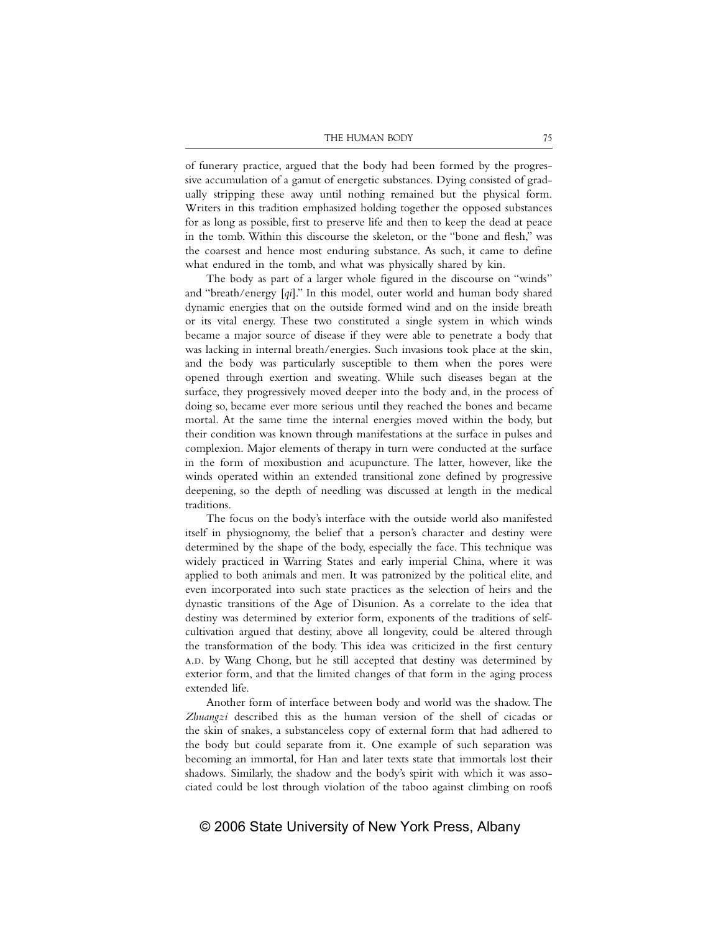of funerary practice, argued that the body had been formed by the progressive accumulation of a gamut of energetic substances. Dying consisted of gradually stripping these away until nothing remained but the physical form. Writers in this tradition emphasized holding together the opposed substances for as long as possible, first to preserve life and then to keep the dead at peace in the tomb. Within this discourse the skeleton, or the "bone and flesh," was the coarsest and hence most enduring substance. As such, it came to define what endured in the tomb, and what was physically shared by kin.

The body as part of a larger whole figured in the discourse on "winds" and "breath/energy [*qi*]." In this model, outer world and human body shared dynamic energies that on the outside formed wind and on the inside breath or its vital energy. These two constituted a single system in which winds became a major source of disease if they were able to penetrate a body that was lacking in internal breath/energies. Such invasions took place at the skin, and the body was particularly susceptible to them when the pores were opened through exertion and sweating. While such diseases began at the surface, they progressively moved deeper into the body and, in the process of doing so, became ever more serious until they reached the bones and became mortal. At the same time the internal energies moved within the body, but their condition was known through manifestations at the surface in pulses and complexion. Major elements of therapy in turn were conducted at the surface in the form of moxibustion and acupuncture. The latter, however, like the winds operated within an extended transitional zone defined by progressive deepening, so the depth of needling was discussed at length in the medical traditions.

The focus on the body's interface with the outside world also manifested itself in physiognomy, the belief that a person's character and destiny were determined by the shape of the body, especially the face. This technique was widely practiced in Warring States and early imperial China, where it was applied to both animals and men. It was patronized by the political elite, and even incorporated into such state practices as the selection of heirs and the dynastic transitions of the Age of Disunion. As a correlate to the idea that destiny was determined by exterior form, exponents of the traditions of selfcultivation argued that destiny, above all longevity, could be altered through the transformation of the body. This idea was criticized in the first century a.d. by Wang Chong, but he still accepted that destiny was determined by exterior form, and that the limited changes of that form in the aging process extended life.

Another form of interface between body and world was the shadow. The *Zhuangzi* described this as the human version of the shell of cicadas or the skin of snakes, a substanceless copy of external form that had adhered to the body but could separate from it. One example of such separation was becoming an immortal, for Han and later texts state that immortals lost their shadows. Similarly, the shadow and the body's spirit with which it was associated could be lost through violation of the taboo against climbing on roofs